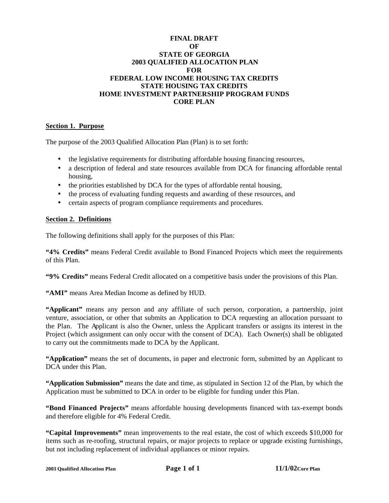## **FINAL DRAFT OF STATE OF GEORGIA 2003 QUALIFIED ALLOCATION PLAN FOR FEDERAL LOW INCOME HOUSING TAX CREDITS STATE HOUSING TAX CREDITS HOME INVESTMENT PARTNERSHIP PROGRAM FUNDS CORE PLAN**

## **Section 1. Purpose**

The purpose of the 2003 Qualified Allocation Plan (Plan) is to set forth:

- the legislative requirements for distributing affordable housing financing resources,
- a description of federal and state resources available from DCA for financing affordable rental housing,
- the priorities established by DCA for the types of affordable rental housing,
- the process of evaluating funding requests and awarding of these resources, and
- certain aspects of program compliance requirements and procedures.

### **Section 2. Definitions**

The following definitions shall apply for the purposes of this Plan:

**"4% Credits"** means Federal Credit available to Bond Financed Projects which meet the requirements of this Plan.

**"9% Credits"** means Federal Credit allocated on a competitive basis under the provisions of this Plan.

**"AMI"** means Area Median Income as defined by HUD.

**"Applicant"** means any person and any affiliate of such person, corporation, a partnership, joint venture, association, or other that submits an Application to DCA requesting an allocation pursuant to the Plan. The Applicant is also the Owner, unless the Applicant transfers or assigns its interest in the Project (which assignment can only occur with the consent of DCA). Each Owner(s) shall be obligated to carry out the commitments made to DCA by the Applicant.

**"Application"** means the set of documents, in paper and electronic form, submitted by an Applicant to DCA under this Plan.

**"Application Submission"** means the date and time, as stipulated in Section 12 of the Plan, by which the Application must be submitted to DCA in order to be eligible for funding under this Plan.

**"Bond Financed Projects"** means affordable housing developments financed with tax-exempt bonds and therefore eligible for 4% Federal Credit.

**"Capital Improvements"** mean improvements to the real estate, the cost of which exceeds \$10,000 for items such as re-roofing, structural repairs, or major projects to replace or upgrade existing furnishings, but not including replacement of individual appliances or minor repairs.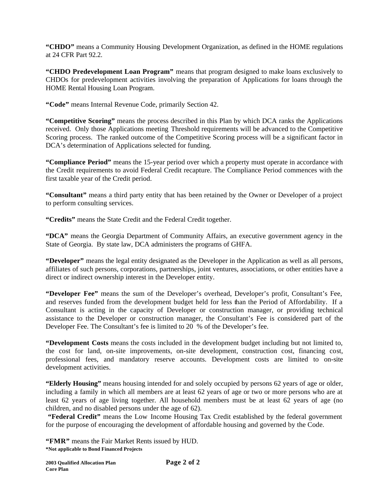**"CHDO"** means a Community Housing Development Organization, as defined in the HOME regulations at 24 CFR Part 92.2.

**"CHDO Predevelopment Loan Program"** means that program designed to make loans exclusively to CHDOs for predevelopment activities involving the preparation of Applications for loans through the HOME Rental Housing Loan Program.

**"Code"** means Internal Revenue Code, primarily Section 42.

**"Competitive Scoring"** means the process described in this Plan by which DCA ranks the Applications received. Only those Applications meeting Threshold requirements will be advanced to the Competitive Scoring process. The ranked outcome of the Competitive Scoring process will be a significant factor in DCA's determination of Applications selected for funding.

**"Compliance Period"** means the 15-year period over which a property must operate in accordance with the Credit requirements to avoid Federal Credit recapture. The Compliance Period commences with the first taxable year of the Credit period.

**"Consultant"** means a third party entity that has been retained by the Owner or Developer of a project to perform consulting services.

**"Credits"** means the State Credit and the Federal Credit together.

**"DCA"** means the Georgia Department of Community Affairs, an executive government agency in the State of Georgia. By state law, DCA administers the programs of GHFA.

**"Developer"** means the legal entity designated as the Developer in the Application as well as all persons, affiliates of such persons, corporations, partnerships, joint ventures, associations, or other entities have a direct or indirect ownership interest in the Developer entity.

**"Developer Fee"** means the sum of the Developer's overhead, Developer's profit, Consultant's Fee, and reserves funded from the development budget held for less than the Period of Affordability. If a Consultant is acting in the capacity of Developer or construction manager, or providing technical assistance to the Developer or construction manager, the Consultant's Fee is considered part of the Developer Fee. The Consultant's fee is limited to 20 % of the Developer's fee.

**"Development Costs** means the costs included in the development budget including but not limited to, the cost for land, on-site improvements, on-site development, construction cost, financing cost, professional fees, and mandatory reserve accounts. Development costs are limited to on-site development activities.

**"Elderly Housing"** means housing intended for and solely occupied by persons 62 years of age or older, including a family in which all members are at least 62 years of age or two or more persons who are at least 62 years of age living together. All household members must be at least 62 years of age (no children, and no disabled persons under the age of 62).

 **"Federal Credit"** means the Low Income Housing Tax Credit established by the federal government for the purpose of encouraging the development of affordable housing and governed by the Code.

**\*Not applicable to Bond Financed Projects "FMR"** means the Fair Market Rents issued by HUD.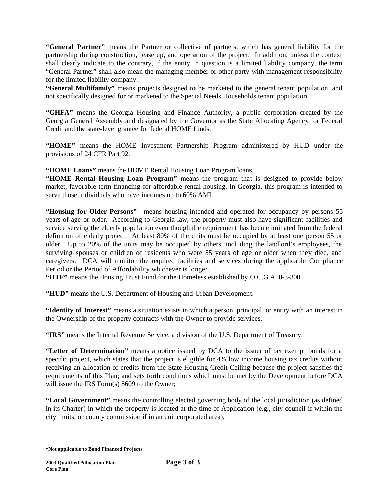**"General Partner"** means the Partner or collective of partners, which has general liability for the partnership during construction, lease up, and operation of the project. In addition, unless the context shall clearly indicate to the contrary, if the entity in question is a limited liability company, the term "General Partner" shall also mean the managing member or other party with management responsibility for the limited liability company.

**"General Multifamily"** means projects designed to be marketed to the general tenant population, and not specifically designed for or marketed to the Special Needs Households tenant population.

**"GHFA"** means the Georgia Housing and Finance Authority, a public corporation created by the Georgia General Assembly and designated by the Governor as the State Allocating Agency for Federal Credit and the state-level grantee for federal HOME funds.

**"HOME"** means the HOME Investment Partnership Program administered by HUD under the provisions of 24 CFR Part 92.

**"HOME Loans"** means the HOME Rental Housing Loan Program loans.

**"HOME Rental Housing Loan Program"** means the program that is designed to provide below market, favorable term financing for affordable rental housing. In Georgia, this program is intended to serve those individuals who have incomes up to 60% AMI.

**"Housing for Older Persons"** means housing intended and operated for occupancy by persons 55 years of age or older. According to Georgia law, the property must also have significant facilities and service serving the elderly population even though the requirement has been eliminated from the federal definition of elderly project. At least 80% of the units must be occupied by at least one person 55 or older. Up to 20% of the units may be occupied by others, including the landlord's employees, the surviving spouses or children of residents who were 55 years of age or older when they died, and caregivers. DCA will monitor the required facilities and services during the applicable Compliance Period or the Period of Affordability whichever is longer.

**"HTF"** means the Housing Trust Fund for the Homeless established by O.C.G.A. 8-3-300.

**"HUD"** means the U.S. Department of Housing and Urban Development.

**"Identity of Interest"** means a situation exists in which a person, principal, or entity with an interest in the Ownership of the property contracts with the Owner to provide services.

**"IRS"** means the Internal Revenue Service, a division of the U.S. Department of Treasury.

**"Letter of Determination"** means a notice issued by DCA to the issuer of tax exempt bonds for a specific project, which states that the project is eligible for 4% low income housing tax credits without receiving an allocation of credits from the State Housing Credit Ceiling because the project satisfies the requirements of this Plan; and sets forth conditions which must be met by the Development before DCA will issue the IRS Form(s) 8609 to the Owner;

**"Local Government"** means the controlling elected governing body of the local jurisdiction (as defined in its Charter) in which the property is located at the time of Application (e.g., city council if within the city limits, or county commission if in an unincorporated area).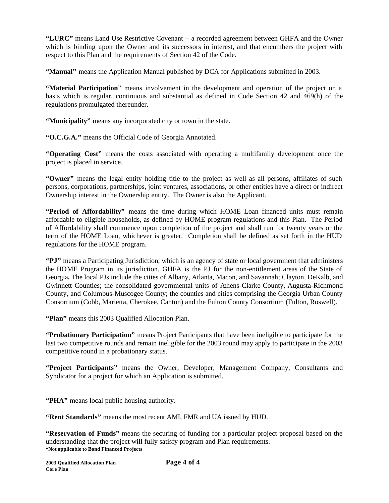**"LURC"** means Land Use Restrictive Covenant – a recorded agreement between GHFA and the Owner which is binding upon the Owner and its successors in interest, and that encumbers the project with respect to this Plan and the requirements of Section 42 of the Code.

**"Manual"** means the Application Manual published by DCA for Applications submitted in 2003.

**"Material Participation**" means involvement in the development and operation of the project on a basis which is regular, continuous and substantial as defined in Code Section 42 and 469(h) of the regulations promulgated thereunder.

**"Municipality"** means any incorporated city or town in the state.

**"O.C.G.A."** means the Official Code of Georgia Annotated.

**"Operating Cost"** means the costs associated with operating a multifamily development once the project is placed in service.

**"Owner"** means the legal entity holding title to the project as well as all persons, affiliates of such persons, corporations, partnerships, joint ventures, associations, or other entities have a direct or indirect Ownership interest in the Ownership entity. The Owner is also the Applicant.

**"Period of Affordability"** means the time during which HOME Loan financed units must remain affordable to eligible households, as defined by HOME program regulations and this Plan. The Period of Affordability shall commence upon completion of the project and shall run for twenty years or the term of the HOME Loan, whichever is greater. Completion shall be defined as set forth in the HUD regulations for the HOME program.

**"PJ"** means a Participating Jurisdiction, which is an agency of state or local government that administers the HOME Program in its jurisdiction. GHFA is the PJ for the non-entitlement areas of the State of Georgia**.** The local PJs include the cities of Albany, Atlanta, Macon, and Savannah; Clayton, DeKalb, and Gwinnett Counties; the consolidated governmental units of Athens-Clarke County, Augusta-Richmond County, and Columbus-Muscogee County; the counties and cities comprising the Georgia Urban County Consortium (Cobb, Marietta, Cherokee, Canton) and the Fulton County Consortium (Fulton, Roswell).

**"Plan"** means this 2003 Qualified Allocation Plan.

**"Probationary Participation"** means Project Participants that have been ineligible to participate for the last two competitive rounds and remain ineligible for the 2003 round may apply to participate in the 2003 competitive round in a probationary status.

**"Project Participants"** means the Owner, Developer, Management Company, Consultants and Syndicator for a project for which an Application is submitted.

**"PHA"** means local public housing authority.

**"Rent Standards"** means the most recent AMI, FMR and UA issued by HUD.

**\*Not applicable to Bond Financed Projects "Reservation of Funds"** means the securing of funding for a particular project proposal based on the understanding that the project will fully satisfy program and Plan requirements.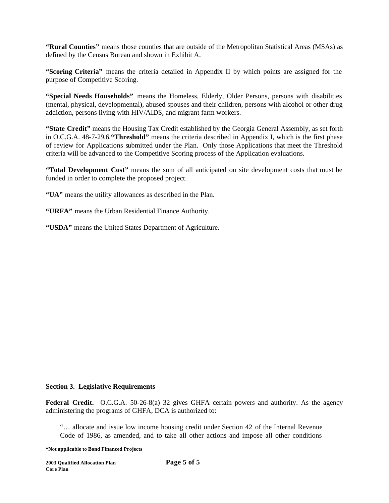**"Rural Counties"** means those counties that are outside of the Metropolitan Statistical Areas (MSAs) as defined by the Census Bureau and shown in Exhibit A.

**"Scoring Criteria"** means the criteria detailed in Appendix II by which points are assigned for the purpose of Competitive Scoring.

**"Special Needs Households"** means the Homeless, Elderly, Older Persons, persons with disabilities (mental, physical, developmental), abused spouses and their children, persons with alcohol or other drug addiction, persons living with HIV/AIDS, and migrant farm workers.

**"State Credit"** means the Housing Tax Credit established by the Georgia General Assembly, as set forth in O.C.G.A. 48-7-29.6.**"Threshold"** means the criteria described in Appendix I, which is the first phase of review for Applications submitted under the Plan. Only those Applications that meet the Threshold criteria will be advanced to the Competitive Scoring process of the Application evaluations.

**"Total Development Cost"** means the sum of all anticipated on site development costs that must be funded in order to complete the proposed project.

**"UA"** means the utility allowances as described in the Plan.

**"URFA"** means the Urban Residential Finance Authority.

**"USDA"** means the United States Department of Agriculture.

### **Section 3. Legislative Requirements**

**Federal Credit.** O.C.G.A. 50-26-8(a) 32 gives GHFA certain powers and authority. As the agency administering the programs of GHFA, DCA is authorized to:

"… allocate and issue low income housing credit under Section 42 of the Internal Revenue Code of 1986, as amended, and to take all other actions and impose all other conditions

**\*Not applicable to Bond Financed Projects**

**2003 Qualified Allocation Plan Page 5 of 5 Core Plan**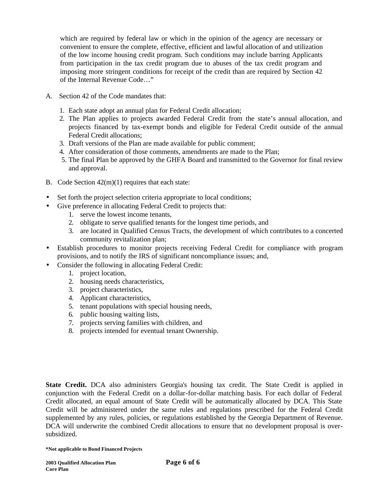which are required by federal law or which in the opinion of the agency are necessary or convenient to ensure the complete, effective, efficient and lawful allocation of and utilization of the low income housing credit program. Such conditions may include barring Applicants from participation in the tax credit program due to abuses of the tax credit program and imposing more stringent conditions for receipt of the credit than are required by Section 42 of the Internal Revenue Code…"

- A. Section 42 of the Code mandates that:
	- 1. Each state adopt an annual plan for Federal Credit allocation;
	- 2. The Plan applies to projects awarded Federal Credit from the state's annual allocation, and projects financed by tax-exempt bonds and eligible for Federal Credit outside of the annual Federal Credit allocations;
	- 3. Draft versions of the Plan are made available for public comment;
	- 4. After consideration of those comments, amendments are made to the Plan;
	- 5. The final Plan be approved by the GHFA Board and transmitted to the Governor for final review and approval.
- B. Code Section 42(m)(1) requires that each state:
- Set forth the project selection criteria appropriate to local conditions;
- Give preference in allocating Federal Credit to projects that:
	- 1. serve the lowest income tenants,
	- 2. obligate to serve qualified tenants for the longest time periods, and
	- 3. are located in Qualified Census Tracts, the development of which contributes to a concerted community revitalization plan;
- Establish procedures to monitor projects receiving Federal Credit for compliance with program provisions, and to notify the IRS of significant noncompliance issues; and,
- Consider the following in allocating Federal Credit:
	- 1. project location,
	- 2. housing needs characteristics,
	- 3. project characteristics,
	- 4. Applicant characteristics,
	- 5. tenant populations with special housing needs,
	- 6. public housing waiting lists,
	- 7. projects serving families with children, and
	- 8. projects intended for eventual tenant Ownership.

**State Credit.** DCA also administers Georgia's housing tax credit. The State Credit is applied in conjunction with the Federal Credit on a dollar-for-dollar matching basis. For each dollar of Federal Credit allocated, an equal amount of State Credit will be automatically allocated by DCA. This State Credit will be administered under the same rules and regulations prescribed for the Federal Credit supplemented by any rules, policies, or regulations established by the Georgia Department of Revenue. DCA will underwrite the combined Credit allocations to ensure that no development proposal is oversubsidized.

**<sup>\*</sup>Not applicable to Bond Financed Projects**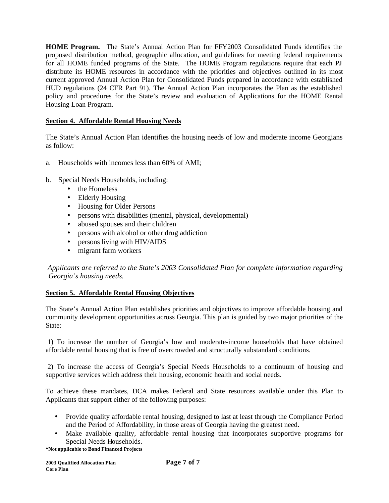**HOME Program.** The State's Annual Action Plan for FFY2003 Consolidated Funds identifies the proposed distribution method, geographic allocation, and guidelines for meeting federal requirements for all HOME funded programs of the State. The HOME Program regulations require that each PJ distribute its HOME resources in accordance with the priorities and objectives outlined in its most current approved Annual Action Plan for Consolidated Funds prepared in accordance with established HUD regulations (24 CFR Part 91). The Annual Action Plan incorporates the Plan as the established policy and procedures for the State's review and evaluation of Applications for the HOME Rental Housing Loan Program.

# **Section 4. Affordable Rental Housing Needs**

The State's Annual Action Plan identifies the housing needs of low and moderate income Georgians as follow:

- a. Households with incomes less than 60% of AMI;
- b. Special Needs Households, including:
	- the Homeless
	- Elderly Housing
	- Housing for Older Persons
	- persons with disabilities (mental, physical, developmental)
	- abused spouses and their children
	- persons with alcohol or other drug addiction
	- persons living with HIV/AIDS
	- migrant farm workers

 *Applicants are referred to the State's 2003 Consolidated Plan for complete information regarding Georgia's housing needs.*

# **Section 5. Affordable Rental Housing Objectives**

The State's Annual Action Plan establishes priorities and objectives to improve affordable housing and community development opportunities across Georgia. This plan is guided by two major priorities of the State:

 1) To increase the number of Georgia's low and moderate-income households that have obtained affordable rental housing that is free of overcrowded and structurally substandard conditions.

 2) To increase the access of Georgia's Special Needs Households to a continuum of housing and supportive services which address their housing, economic health and social needs.

To achieve these mandates, DCA makes Federal and State resources available under this Plan to Applicants that support either of the following purposes:

- Provide quality affordable rental housing, designed to last at least through the Compliance Period and the Period of Affordability, in those areas of Georgia having the greatest need.
- Make available quality, affordable rental housing that incorporates supportive programs for Special Needs Households.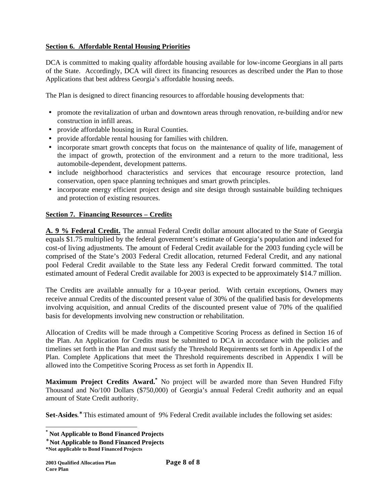# **Section 6. Affordable Rental Housing Priorities**

DCA is committed to making quality affordable housing available for low-income Georgians in all parts of the State. Accordingly, DCA will direct its financing resources as described under the Plan to those Applications that best address Georgia's affordable housing needs.

The Plan is designed to direct financing resources to affordable housing developments that:

- promote the revitalization of urban and downtown areas through renovation, re-building and/or new construction in infill areas.
- provide affordable housing in Rural Counties.
- provide affordable rental housing for families with children.
- incorporate smart growth concepts that focus on the maintenance of quality of life, management of the impact of growth, protection of the environment and a return to the more traditional, less automobile-dependent, development patterns.
- include neighborhood characteristics and services that encourage resource protection, land conservation, open space planning techniques and smart growth principles.
- incorporate energy efficient project design and site design through sustainable building techniques and protection of existing resources.

# **Section 7. Financing Resources – Credits**

**A. 9 % Federal Credit.** The annual Federal Credit dollar amount allocated to the State of Georgia equals \$1.75 multiplied by the federal government's estimate of Georgia's population and indexed for cost-of living adjustments. The amount of Federal Credit available for the 2003 funding cycle will be comprised of the State's 2003 Federal Credit allocation, returned Federal Credit, and any national pool Federal Credit available to the State less any Federal Credit forward committed. The total estimated amount of Federal Credit available for 2003 is expected to be approximately \$14.7 million.

The Credits are available annually for a 10-year period. With certain exceptions, Owners may receive annual Credits of the discounted present value of 30% of the qualified basis for developments involving acquisition, and annual Credits of the discounted present value of 70% of the qualified basis for developments involving new construction or rehabilitation.

Allocation of Credits will be made through a Competitive Scoring Process as defined in Section 16 of the Plan. An Application for Credits must be submitted to DCA in accordance with the policies and timelines set forth in the Plan and must satisfy the Threshold Requirements set forth in Appendix I of the Plan. Complete Applications that meet the Threshold requirements described in Appendix I will be allowed into the Competitive Scoring Process as set forth in Appendix II.

**Maximum Project Credits Award.\*** No project will be awarded more than Seven Hundred Fifty Thousand and No/100 Dollars (\$750,000) of Georgia's annual Federal Credit authority and an equal amount of State Credit authority.

Set-Asides.<sup>\*</sup> This estimated amount of 9% Federal Credit available includes the following set asides:

**<sup>\*</sup> Not Applicable to Bond Financed Projects**

**<sup>\*</sup> Not Applicable to Bond Financed Projects**

**<sup>\*</sup>Not applicable to Bond Financed Projects**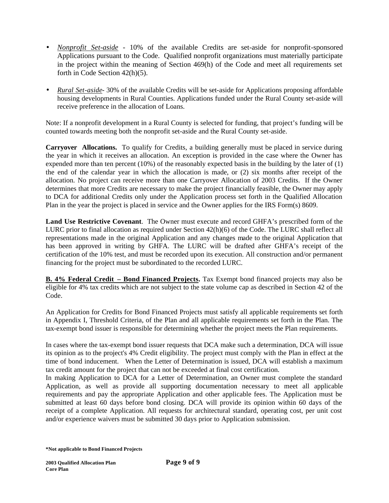- *Nonprofit Set-aside* 10% of the available Credits are set-aside for nonprofit-sponsored Applications pursuant to the Code. Qualified nonprofit organizations must materially participate in the project within the meaning of Section 469(h) of the Code and meet all requirements set forth in Code Section 42(h)(5).
- *Rural Set-aside* 30% of the available Credits will be set-aside for Applications proposing affordable housing developments in Rural Counties. Applications funded under the Rural County set-aside will receive preference in the allocation of Loans.

Note: If a nonprofit development in a Rural County is selected for funding, that project's funding will be counted towards meeting both the nonprofit set-aside and the Rural County set-aside.

**Carryover Allocations.** To qualify for Credits, a building generally must be placed in service during the year in which it receives an allocation. An exception is provided in the case where the Owner has expended more than ten percent (10%) of the reasonably expected basis in the building by the later of (1) the end of the calendar year in which the allocation is made, or (2) six months after receipt of the allocation. No project can receive more than one Carryover Allocation of 2003 Credits. If the Owner determines that more Credits are necessary to make the project financially feasible, the Owner may apply to DCA for additional Credits only under the Application process set forth in the Qualified Allocation Plan in the year the project is placed in service and the Owner applies for the IRS Form(s) 8609.

**Land Use Restrictive Covenant**. The Owner must execute and record GHFA's prescribed form of the LURC prior to final allocation as required under Section 42(h)(6) of the Code. The LURC shall reflect all representations made in the original Application and any changes made to the original Application that has been approved in writing by GHFA. The LURC will be drafted after GHFA's receipt of the certification of the 10% test, and must be recorded upon its execution. All construction and/or permanent financing for the project must be subordinated to the recorded LURC.

**B. 4% Federal Credit – Bond Financed Projects.** Tax Exempt bond financed projects may also be eligible for 4% tax credits which are not subject to the state volume cap as described in Section 42 of the Code.

An Application for Credits for Bond Financed Projects must satisfy all applicable requirements set forth in Appendix I, Threshold Criteria, of the Plan and all applicable requirements set forth in the Plan. The tax-exempt bond issuer is responsible for determining whether the project meets the Plan requirements.

In cases where the tax-exempt bond issuer requests that DCA make such a determination, DCA will issue its opinion as to the project's 4% Credit eligibility. The project must comply with the Plan in effect at the time of bond inducement. When the Letter of Determination is issued, DCA will establish a maximum tax credit amount for the project that can not be exceeded at final cost certification.

In making Application to DCA for a Letter of Determination, an Owner must complete the standard Application, as well as provide all supporting documentation necessary to meet all applicable requirements and pay the appropriate Application and other applicable fees. The Application must be submitted at least 60 days before bond closing. DCA will provide its opinion within 60 days of the receipt of a complete Application. All requests for architectural standard, operating cost, per unit cost and/or experience waivers must be submitted 30 days prior to Application submission.

**<sup>\*</sup>Not applicable to Bond Financed Projects**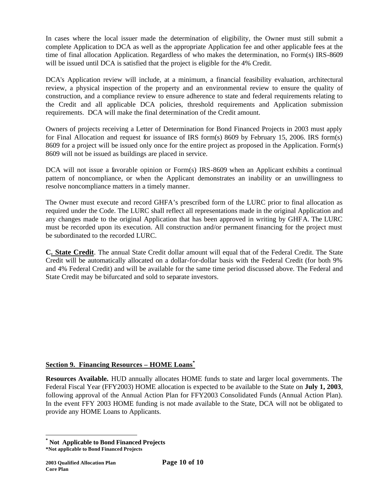In cases where the local issuer made the determination of eligibility, the Owner must still submit a complete Application to DCA as well as the appropriate Application fee and other applicable fees at the time of final allocation Application. Regardless of who makes the determination, no Form(s) IRS-8609 will be issued until DCA is satisfied that the project is eligible for the 4% Credit.

DCA's Application review will include, at a minimum, a financial feasibility evaluation, architectural review, a physical inspection of the property and an environmental review to ensure the quality of construction, and a compliance review to ensure adherence to state and federal requirements relating to the Credit and all applicable DCA policies, threshold requirements and Application submission requirements. DCA will make the final determination of the Credit amount.

Owners of projects receiving a Letter of Determination for Bond Financed Projects in 2003 must apply for Final Allocation and request for issuance of IRS form(s) 8609 by February 15, 2006. IRS form(s) 8609 for a project will be issued only once for the entire project as proposed in the Application. Form(s) 8609 will not be issued as buildings are placed in service.

DCA will not issue a favorable opinion or Form(s) IRS-8609 when an Applicant exhibits a continual pattern of noncompliance, or when the Applicant demonstrates an inability or an unwillingness to resolve noncompliance matters in a timely manner.

The Owner must execute and record GHFA's prescribed form of the LURC prior to final allocation as required under the Code. The LURC shall reflect all representations made in the original Application and any changes made to the original Application that has been approved in writing by GHFA. The LURC must be recorded upon its execution. All construction and/or permanent financing for the project must be subordinated to the recorded LURC.

**C. State Credit**. The annual State Credit dollar amount will equal that of the Federal Credit. The State Credit will be automatically allocated on a dollar-for-dollar basis with the Federal Credit (for both 9% and 4% Federal Credit) and will be available for the same time period discussed above. The Federal and State Credit may be bifurcated and sold to separate investors.

# **Section 9. Financing Resources – HOME Loans\***

**Resources Available.** HUD annually allocates HOME funds to state and larger local governments. The Federal Fiscal Year (FFY2003) HOME allocation is expected to be available to the State on **July 1, 2003**, following approval of the Annual Action Plan for FFY2003 Consolidated Funds (Annual Action Plan). In the event FFY 2003 HOME funding is not made available to the State, DCA will not be obligated to provide any HOME Loans to Applicants.

**<sup>\*</sup> Not Applicable to Bond Financed Projects**

**<sup>\*</sup>Not applicable to Bond Financed Projects**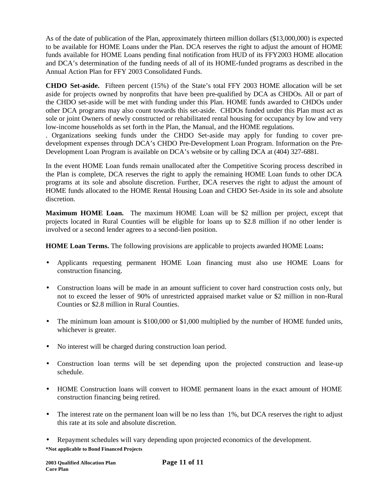As of the date of publication of the Plan, approximately thirteen million dollars (\$13,000,000) is expected to be available for HOME Loans under the Plan. DCA reserves the right to adjust the amount of HOME funds available for HOME Loans pending final notification from HUD of its FFY2003 HOME allocation and DCA's determination of the funding needs of all of its HOME-funded programs as described in the Annual Action Plan for FFY 2003 Consolidated Funds.

**CHDO Set-aside.** Fifteen percent (15%) of the State's total FFY 2003 HOME allocation will be set aside for projects owned by nonprofits that have been pre-qualified by DCA as CHDOs. All or part of the CHDO set-aside will be met with funding under this Plan. HOME funds awarded to CHDOs under other DCA programs may also count towards this set-aside. CHDOs funded under this Plan must act as sole or joint Owners of newly constructed or rehabilitated rental housing for occupancy by low and very low-income households as set forth in the Plan, the Manual, and the HOME regulations.

. Organizations seeking funds under the CHDO Set-aside may apply for funding to cover predevelopment expenses through DCA's CHDO Pre-Development Loan Program. Information on the Pre-Development Loan Program is available on DCA's website or by calling DCA at (404) 327-6881.

In the event HOME Loan funds remain unallocated after the Competitive Scoring process described in the Plan is complete, DCA reserves the right to apply the remaining HOME Loan funds to other DCA programs at its sole and absolute discretion. Further, DCA reserves the right to adjust the amount of HOME funds allocated to the HOME Rental Housing Loan and CHDO Set-Aside in its sole and absolute discretion.

**Maximum HOME Loan.** The maximum HOME Loan will be \$2 million per project, except that projects located in Rural Counties will be eligible for loans up to \$2.8 million if no other lender is involved or a second lender agrees to a second-lien position.

**HOME Loan Terms.** The following provisions are applicable to projects awarded HOME Loans**:**

- Applicants requesting permanent HOME Loan financing must also use HOME Loans for construction financing.
- Construction loans will be made in an amount sufficient to cover hard construction costs only, but not to exceed the lesser of 90% of unrestricted appraised market value or \$2 million in non-Rural Counties or \$2.8 million in Rural Counties.
- The minimum loan amount is \$100,000 or \$1,000 multiplied by the number of HOME funded units, whichever is greater.
- No interest will be charged during construction loan period.
- Construction loan terms will be set depending upon the projected construction and lease-up schedule.
- HOME Construction loans will convert to HOME permanent loans in the exact amount of HOME construction financing being retired.
- The interest rate on the permanent loan will be no less than 1%, but DCA reserves the right to adjust this rate at its sole and absolute discretion.
- Repayment schedules will vary depending upon projected economics of the development.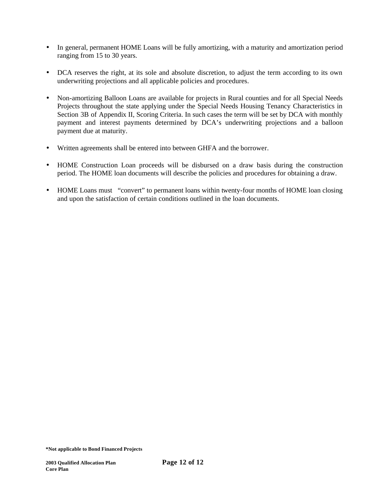- In general, permanent HOME Loans will be fully amortizing, with a maturity and amortization period ranging from 15 to 30 years.
- DCA reserves the right, at its sole and absolute discretion, to adjust the term according to its own underwriting projections and all applicable policies and procedures.
- Non-amortizing Balloon Loans are available for projects in Rural counties and for all Special Needs Projects throughout the state applying under the Special Needs Housing Tenancy Characteristics in Section 3B of Appendix II, Scoring Criteria. In such cases the term will be set by DCA with monthly payment and interest payments determined by DCA's underwriting projections and a balloon payment due at maturity.
- Written agreements shall be entered into between GHFA and the borrower.
- HOME Construction Loan proceeds will be disbursed on a draw basis during the construction period. The HOME loan documents will describe the policies and procedures for obtaining a draw.
- HOME Loans must "convert" to permanent loans within twenty-four months of HOME loan closing and upon the satisfaction of certain conditions outlined in the loan documents.

**<sup>\*</sup>Not applicable to Bond Financed Projects**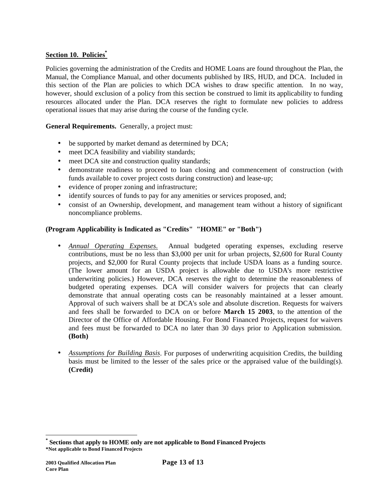# **Section 10. Policies\***

Policies governing the administration of the Credits and HOME Loans are found throughout the Plan, the Manual, the Compliance Manual, and other documents published by IRS, HUD, and DCA. Included in this section of the Plan are policies to which DCA wishes to draw specific attention. In no way, however, should exclusion of a policy from this section be construed to limit its applicability to funding resources allocated under the Plan. DCA reserves the right to formulate new policies to address operational issues that may arise during the course of the funding cycle.

**General Requirements.** Generally, a project must:

- be supported by market demand as determined by DCA;
- meet DCA feasibility and viability standards;
- meet DCA site and construction quality standards;
- demonstrate readiness to proceed to loan closing and commencement of construction (with funds available to cover project costs during construction) and lease-up;
- evidence of proper zoning and infrastructure;
- identify sources of funds to pay for any amenities or services proposed, and;
- consist of an Ownership, development, and management team without a history of significant noncompliance problems.

# **(Program Applicability is Indicated as "Credits" "HOME" or "Both")**

- *Annual Operating Expenses.* Annual budgeted operating expenses, excluding reserve contributions, must be no less than \$3,000 per unit for urban projects, \$2,600 for Rural County projects, and \$2,000 for Rural County projects that include USDA loans as a funding source. (The lower amount for an USDA project is allowable due to USDA's more restrictive underwriting policies.) However, DCA reserves the right to determine the reasonableness of budgeted operating expenses. DCA will consider waivers for projects that can clearly demonstrate that annual operating costs can be reasonably maintained at a lesser amount. Approval of such waivers shall be at DCA's sole and absolute discretion. Requests for waivers and fees shall be forwarded to DCA on or before **March 15 2003**, to the attention of the Director of the Office of Affordable Housing. For Bond Financed Projects, request for waivers and fees must be forwarded to DCA no later than 30 days prior to Application submission. **(Both)**
- *Assumptions for Building Basis*. For purposes of underwriting acquisition Credits, the building basis must be limited to the lesser of the sales price or the appraised value of the building(s). **(Credit)**

**<sup>\*</sup>Not applicable to Bond Financed Projects \* Sections that apply to HOME only are not applicable to Bond Financed Projects**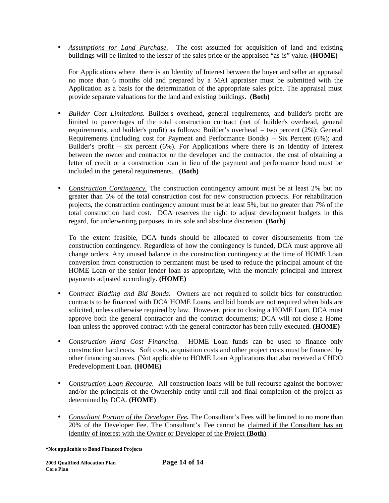• *Assumptions for Land Purchase.* The cost assumed for acquisition of land and existing buildings will be limited to the lesser of the sales price or the appraised "as-is" value. **(HOME)** 

For Applications where there is an Identity of Interest between the buyer and seller an appraisal no more than 6 months old and prepared by a MAI appraiser must be submitted with the Application as a basis for the determination of the appropriate sales price. The appraisal must provide separate valuations for the land and existing buildings. **(Both)**

- *Builder Cost Limitations.* Builder's overhead, general requirements, and builder's profit are limited to percentages of the total construction contract (net of builder's overhead, general requirements, and builder's profit) as follows: Builder's overhead – two percent (2%); General Requirements (including cost for Payment and Performance Bonds) – Six Percent (6%); and Builder's profit – six percent (6%). For Applications where there is an Identity of Interest between the owner and contractor or the developer and the contractor, the cost of obtaining a letter of credit or a construction loan in lieu of the payment and performance bond must be included in the general requirements. **(Both)**
- *Construction Contingency*. The construction contingency amount must be at least 2% but no greater than 5% of the total construction cost for new construction projects. For rehabilitation projects, the construction contingency amount must be at least 5%, but no greater than 7% of the total construction hard cost. DCA reserves the right to adjust development budgets in this regard, for underwriting purposes, in its sole and absolute discretion. **(Both)**

To the extent feasible, DCA funds should be allocated to cover disbursements from the construction contingency. Regardless of how the contingency is funded, DCA must approve all change orders. Any unused balance in the construction contingency at the time of HOME Loan conversion from construction to permanent must be used to reduce the principal amount of the HOME Loan or the senior lender loan as appropriate, with the monthly principal and interest payments adjusted accordingly. **(HOME)**

- *Contract Bidding and Bid Bonds.* Owners are not required to solicit bids for construction contracts to be financed with DCA HOME Loans, and bid bonds are not required when bids are solicited, unless otherwise required by law. However, prior to closing a HOME Loan, DCA must approve both the general contractor and the contract documents; DCA will not close a Home loan unless the approved contract with the general contractor has been fully executed. **(HOME)**
- *Construction Hard Cost Financing.* HOME Loan funds can be used to finance only construction hard costs. Soft costs, acquisition costs and other project costs must be financed by other financing sources. (Not applicable to HOME Loan Applications that also received a CHDO Predevelopment Loan. **(HOME)**
- *Construction Loan Recourse.* All construction loans will be full recourse against the borrower and/or the principals of the Ownership entity until full and final completion of the project as determined by DCA. **(HOME)**
- *Consultant Portion of the Developer Fee.* The Consultant's Fees will be limited to no more than 20% of the Developer Fee. The Consultant's Fee cannot be claimed if the Consultant has an identity of interest with the Owner or Developer of the Project **(Both)**

**<sup>\*</sup>Not applicable to Bond Financed Projects**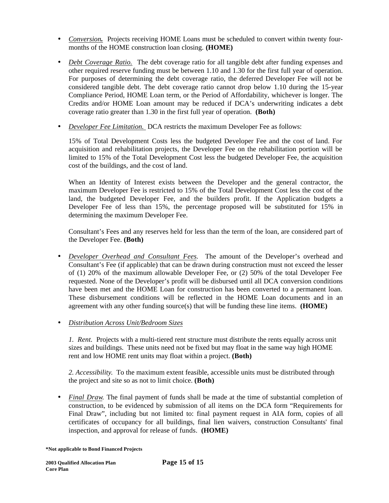- *Conversion*. Projects receiving HOME Loans must be scheduled to convert within twenty fourmonths of the HOME construction loan closing. **(HOME)**
- *Debt Coverage Ratio.* The debt coverage ratio for all tangible debt after funding expenses and other required reserve funding must be between 1.10 and 1.30 for the first full year of operation. For purposes of determining the debt coverage ratio, the deferred Developer Fee will not be considered tangible debt. The debt coverage ratio cannot drop below 1.10 during the 15-year Compliance Period, HOME Loan term, or the Period of Affordability, whichever is longer. The Credits and/or HOME Loan amount may be reduced if DCA's underwriting indicates a debt coverage ratio greater than 1.30 in the first full year of operation. **(Both)**
- *Developer Fee Limitation.* DCA restricts the maximum Developer Fee as follows:

15% of Total Development Costs less the budgeted Developer Fee and the cost of land. For acquisition and rehabilitation projects, the Developer Fee on the rehabilitation portion will be limited to 15% of the Total Development Cost less the budgeted Developer Fee, the acquisition cost of the buildings, and the cost of land.

When an Identity of Interest exists between the Developer and the general contractor, the maximum Developer Fee is restricted to 15% of the Total Development Cost less the cost of the land, the budgeted Developer Fee, and the builders profit. If the Application budgets a Developer Fee of less than 15%, the percentage proposed will be substituted for 15% in determining the maximum Developer Fee.

Consultant's Fees and any reserves held for less than the term of the loan, are considered part of the Developer Fee. **(Both)** 

• *Developer Overhead and Consultant Fees.*The amount of the Developer's overhead and Consultant's Fee (if applicable) that can be drawn during construction must not exceed the lesser of (1) 20% of the maximum allowable Developer Fee, or (2) 50% of the total Developer Fee requested. None of the Developer's profit will be disbursed until all DCA conversion conditions have been met and the HOME Loan for construction has been converted to a permanent loan. These disbursement conditions will be reflected in the HOME Loan documents and in an agreement with any other funding source(s) that will be funding these line items. **(HOME)**

# • *Distribution Across Unit/Bedroom Sizes*

*1. Rent.* Projects with a multi-tiered rent structure must distribute the rents equally across unit sizes and buildings. These units need not be fixed but may float in the same way high HOME rent and low HOME rent units may float within a project. **(Both)**

*2. Accessibility*. To the maximum extent feasible, accessible units must be distributed through the project and site so as not to limit choice. **(Both)**

• *Final Draw.* The final payment of funds shall be made at the time of substantial completion of construction, to be evidenced by submission of all items on the DCA form "Requirements for Final Draw", including but not limited to: final payment request in AIA form, copies of all certificates of occupancy for all buildings, final lien waivers, construction Consultants' final inspection, and approval for release of funds. **(HOME)**

**<sup>\*</sup>Not applicable to Bond Financed Projects**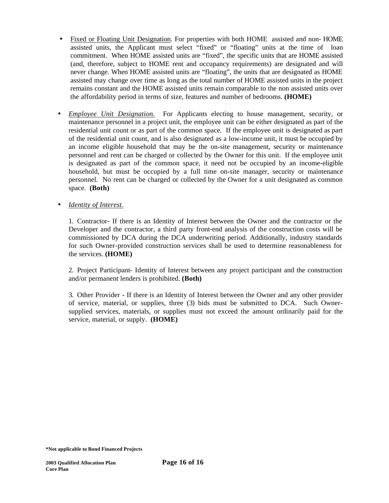- Fixed or Floating Unit Designation. For properties with both HOME assisted and non- HOME assisted units, the Applicant must select "fixed" or "floating" units at the time of loan commitment. When HOME assisted units are "fixed", the specific units that are HOME assisted (and, therefore, subject to HOME rent and occupancy requirements) are designated and will never change. When HOME assisted units are "floating", the units that are designated as HOME assisted may change over time as long as the total number of HOME assisted units in the project remains constant and the HOME assisted units remain comparable to the non assisted units over the affordability period in terms of size, features and number of bedrooms. **(HOME)**
- *Employee Unit Designation.* For Applicants electing to house management, security, or maintenance personnel in a project unit, the employee unit can be either designated as part of the residential unit count or as part of the common space. If the employee unit is designated as part of the residential unit count, and is also designated as a low-income unit, it must be occupied by an income eligible household that may be the on-site management, security or maintenance personnel and rent can be charged or collected by the Owner for this unit. If the employee unit is designated as part of the common space, it need not be occupied by an income-eligible household, but must be occupied by a full time on-site manager, security or maintenance personnel. No rent can be charged or collected by the Owner for a unit designated as common space. **(Both)**
- *Identity of Interest.*

1. Contractor- If there is an Identity of Interest between the Owner and the contractor or the Developer and the contractor, a third party front-end analysis of the construction costs will be commissioned by DCA during the DCA underwriting period. Additionally, industry standards for such Owner-provided construction services shall be used to determine reasonableness for the services. **(HOME)**

2. Project Participant- Identity of Interest between any project participant and the construction and/or permanent lenders is prohibited. **(Both)**

3. Other Provider - If there is an Identity of Interest between the Owner and any other provider of service, material, or supplies, three (3) bids must be submitted to DCA. Such Ownersupplied services, materials, or supplies must not exceed the amount ordinarily paid for the service, material, or supply. **(HOME)**

**<sup>\*</sup>Not applicable to Bond Financed Projects**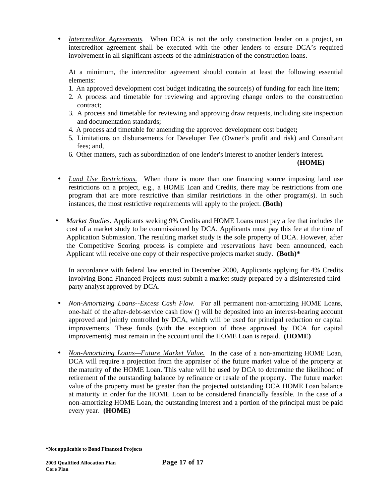• *Intercreditor Agreements.* When DCA is not the only construction lender on a project, an intercreditor agreement shall be executed with the other lenders to ensure DCA's required involvement in all significant aspects of the administration of the construction loans.

At a minimum, the intercreditor agreement should contain at least the following essential elements:

- 1. An approved development cost budget indicating the source(s) of funding for each line item;
- 2. A process and timetable for reviewing and approving change orders to the construction contract;
- 3. A process and timetable for reviewing and approving draw requests, including site inspection and documentation standards;
- 4. A process and timetable for amending the approved development cost budget**;**
- 5. Limitations on disbursements for Developer Fee (Owner's profit and risk) and Consultant fees; and,
- 6. Other matters, such as subordination of one lender's interest to another lender's interest*.*

**(HOME)** 

- *Land Use Restrictions.* When there is more than one financing source imposing land use restrictions on a project, e.g., a HOME Loan and Credits, there may be restrictions from one program that are more restrictive than similar restrictions in the other program(s). In such instances, the most restrictive requirements will apply to the project. **(Both)**
- *Market Studies***.** Applicants seeking 9% Credits and HOME Loans must pay a fee that includes the cost of a market study to be commissioned by DCA. Applicants must pay this fee at the time of Application Submission. The resulting market study is the sole property of DCA. However, after the Competitive Scoring process is complete and reservations have been announced, each Applicant will receive one copy of their respective projects market study. **(Both)\***

In accordance with federal law enacted in December 2000, Applicants applying for 4% Credits involving Bond Financed Projects must submit a market study prepared by a disinterested thirdparty analyst approved by DCA.

- *Non-Amortizing Loans--Excess Cash Flow.* For all permanent non-amortizing HOME Loans, one-half of the after-debt-service cash flow () will be deposited into an interest-bearing account approved and jointly controlled by DCA, which will be used for principal reduction or capital improvements. These funds (with the exception of those approved by DCA for capital improvements) must remain in the account until the HOME Loan is repaid. **(HOME)**
- *Non-Amortizing Loans—Future Market Value.* In the case of a non-amortizing HOME Loan, DCA will require a projection from the appraiser of the future market value of the property at the maturity of the HOME Loan. This value will be used by DCA to determine the likelihood of retirement of the outstanding balance by refinance or resale of the property. The future market value of the property must be greater than the projected outstanding DCA HOME Loan balance at maturity in order for the HOME Loan to be considered financially feasible. In the case of a non-amortizing HOME Loan, the outstanding interest and a portion of the principal must be paid every year. **(HOME)**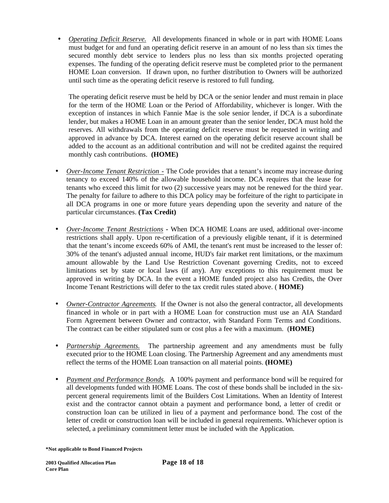• *Operating Deficit Reserve.* All developments financed in whole or in part with HOME Loans must budget for and fund an operating deficit reserve in an amount of no less than six times the secured monthly debt service to lenders plus no less than six months projected operating expenses. The funding of the operating deficit reserve must be completed prior to the permanent HOME Loan conversion. If drawn upon, no further distribution to Owners will be authorized until such time as the operating deficit reserve is restored to full funding.

The operating deficit reserve must be held by DCA or the senior lender and must remain in place for the term of the HOME Loan or the Period of Affordability, whichever is longer. With the exception of instances in which Fannie Mae is the sole senior lender, if DCA is a subordinate lender, but makes a HOME Loan in an amount greater than the senior lender, DCA must hold the reserves. All withdrawals from the operating deficit reserve must be requested in writing and approved in advance by DCA. Interest earned on the operating deficit reserve account shall be added to the account as an additional contribution and will not be credited against the required monthly cash contributions. **(HOME)**

- *Over-Income Tenant Restriction -* The Code provides that a tenant's income may increase during tenancy to exceed 140% of the allowable household income. DCA requires that the lease for tenants who exceed this limit for two (2) successive years may not be renewed for the third year. The penalty for failure to adhere to this DCA policy may be forfeiture of the right to participate in all DCA programs in one or more future years depending upon the severity and nature of the particular circumstances. **(Tax Credit)**
- *Over-Income Tenant Restrictions* **-** When DCA HOME Loans are used, additional over-income restrictions shall apply. Upon re-certification of a previously eligible tenant, if it is determined that the tenant's income exceeds 60% of AMI, the tenant's rent must be increased to the lesser of: 30% of the tenant's adjusted annual income, HUD's fair market rent limitations, or the maximum amount allowable by the Land Use Restriction Covenant governing Credits, not to exceed limitations set by state or local laws (if any). Any exceptions to this requirement must be approved in writing by DCA. In the event a HOME funded project also has Credits, the Over Income Tenant Restrictions will defer to the tax credit rules stated above. ( **HOME)**
- *Owner-Contractor Agreements.* If the Owner is not also the general contractor, all developments financed in whole or in part with a HOME Loan for construction must use an AIA Standard Form Agreement between Owner and contractor, with Standard Form Terms and Conditions. The contract can be either stipulated sum or cost plus a fee with a maximum. (**HOME)**
- *Partnership Agreements.* The partnership agreement and any amendments must be fully executed prior to the HOME Loan closing. The Partnership Agreement and any amendments must reflect the terms of the HOME Loan transaction on all material points. **(HOME)**
- *Payment and Performance Bonds.*A 100% payment and performance bond will be required for all developments funded with HOME Loans. The cost of these bonds shall be included in the sixpercent general requirements limit of the Builders Cost Limitations. When an Identity of Interest exist and the contractor cannot obtain a payment and performance bond, a letter of credit or construction loan can be utilized in lieu of a payment and performance bond. The cost of the letter of credit or construction loan will be included in general requirements. Whichever option is selected, a preliminary commitment letter must be included with the Application.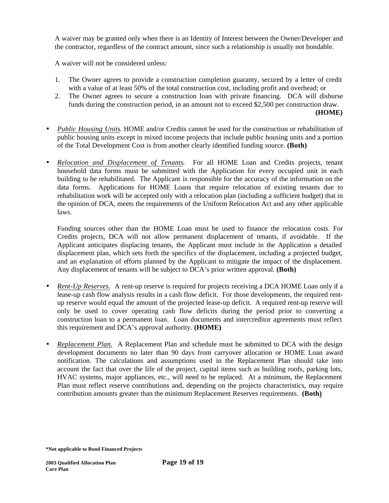A waiver may be granted only when there is an Identity of Interest between the Owner/Developer and the contractor, regardless of the contract amount, since such a relationship is usually not bondable.

A waiver will not be considered unless:

- 1. The Owner agrees to provide a construction completion guaranty, secured by a letter of credit with a value of at least 50% of the total construction cost, including profit and overhead; or
- 2. The Owner agrees to secure a construction loan with private financing. DCA will disburse funds during the construction period, in an amount not to exceed \$2,500 per construction draw. **(HOME)**
- *Public Housing Units*. HOME and/or Credits cannot be used for the construction or rehabilitation of public housing units except in mixed income projects that include public housing units and a portion of the Total Development Cost is from another clearly identified funding source. **(Both)**
- *Relocation and Displacement of Tenants.*For all HOME Loan and Credits projects, tenant household data forms must be submitted with the Application for every occupied unit in each building to be rehabilitated. The Applicant is responsible for the accuracy of the information on the data forms. Applications for HOME Loans that require relocation of existing tenants due to rehabilitation work will be accepted only with a relocation plan (including a sufficient budget) that in the opinion of DCA, meets the requirements of the Uniform Relocation Act and any other applicable laws.

Funding sources other than the HOME Loan must be used to finance the relocation costs. For Credits projects, DCA will not allow permanent displacement of tenants, if avoidable. If the Applicant anticipates displacing tenants, the Applicant must include in the Application a detailed displacement plan, which sets forth the specifics of the displacement, including a projected budget, and an explanation of efforts planned by the Applicant to mitigate the impact of the displacement. Any displacement of tenants will be subject to DCA's prior written approval. **(Both)**

- *Rent-Up Reserves.* A rent-up reserve is required for projects receiving a DCA HOME Loan only if a lease-up cash flow analysis results in a cash flow deficit. For those developments, the required rentup reserve would equal the amount of the projected lease-up deficit. A required rent-up reserve will only be used to cover operating cash flow deficits during the period prior to converting a construction loan to a permanent loan. Loan documents and intercreditor agreements must reflect this requirement and DCA's approval authority. **(HOME)**
- *Replacement Plan.* A Replacement Plan and schedule must be submitted to DCA with the design development documents no later than 90 days from carryover allocation or HOME Loan award notification. The calculations and assumptions used in the Replacement Plan should take into account the fact that over the life of the project, capital items such as building roofs, parking lots, HVAC systems, major appliances, etc., will need to be replaced. At a minimum, the Replacement Plan must reflect reserve contributions and, depending on the projects characteristics, may require contribution amounts greater than the minimum Replacement Reserves requirements. **(Both)**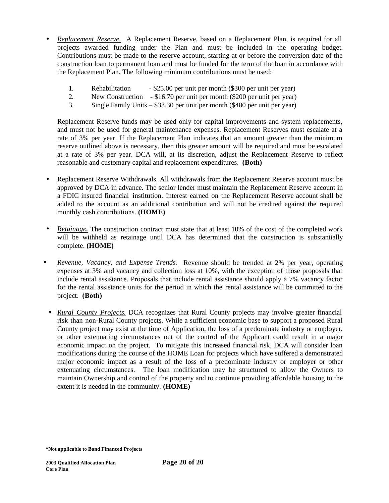- *Replacement Reserve.* A Replacement Reserve, based on a Replacement Plan, is required for all projects awarded funding under the Plan and must be included in the operating budget. Contributions must be made to the reserve account, starting at or before the conversion date of the construction loan to permanent loan and must be funded for the term of the loan in accordance with the Replacement Plan. The following minimum contributions must be used:
	- 1. Rehabilitation \$25.00 per unit per month (\$300 per unit per year)
	- 2. New Construction \$16.70 per unit per month (\$200 per unit per year)
	- 3. Single Family Units \$33.30 per unit per month (\$400 per unit per year)

Replacement Reserve funds may be used only for capital improvements and system replacements, and must not be used for general maintenance expenses. Replacement Reserves must escalate at a rate of 3% per year. If the Replacement Plan indicates that an amount greater than the minimum reserve outlined above is necessary, then this greater amount will be required and must be escalated at a rate of 3% per year. DCA will, at its discretion, adjust the Replacement Reserve to reflect reasonable and customary capital and replacement expenditures. **(Both)**

- Replacement Reserve Withdrawals. All withdrawals from the Replacement Reserve account must be approved by DCA in advance. The senior lender must maintain the Replacement Reserve account in a FDIC insured financial institution. Interest earned on the Replacement Reserve account shall be added to the account as an additional contribution and will not be credited against the required monthly cash contributions. **(HOME)**
- *Retainage.* The construction contract must state that at least 10% of the cost of the completed work will be withheld as retainage until DCA has determined that the construction is substantially complete. **(HOME)**
- *Revenue, Vacancy, and Expense Trends.* Revenue should be trended at 2% per year, operating expenses at 3% and vacancy and collection loss at 10%, with the exception of those proposals that include rental assistance. Proposals that include rental assistance should apply a 7% vacancy factor for the rental assistance units for the period in which the rental assistance will be committed to the project. **(Both)**
	- *Rural County Projects.* DCA recognizes that Rural County projects may involve greater financial risk than non-Rural County projects. While a sufficient economic base to support a proposed Rural County project may exist at the time of Application, the loss of a predominate industry or employer, or other extenuating circumstances out of the control of the Applicant could result in a major economic impact on the project. To mitigate this increased financial risk, DCA will consider loan modifications during the course of the HOME Loan for projects which have suffered a demonstrated major economic impact as a result of the loss of a predominate industry or employer or other extenuating circumstances. The loan modification may be structured to allow the Owners to maintain Ownership and control of the property and to continue providing affordable housing to the extent it is needed in the community. **(HOME)**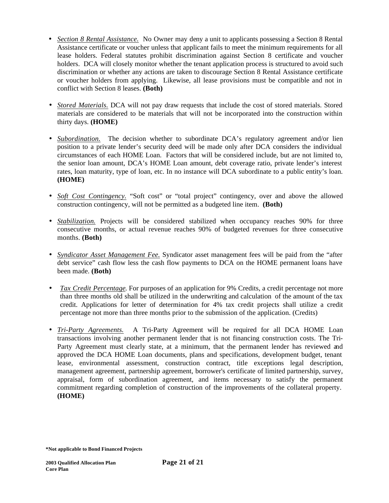- *Section 8 Rental Assistance.* No Owner may deny a unit to applicants possessing a Section 8 Rental Assistance certificate or voucher unless that applicant fails to meet the minimum requirements for all lease holders. Federal statutes prohibit discrimination against Section 8 certificate and voucher holders. DCA will closely monitor whether the tenant application process is structured to avoid such discrimination or whether any actions are taken to discourage Section 8 Rental Assistance certificate or voucher holders from applying. Likewise, all lease provisions must be compatible and not in conflict with Section 8 leases. **(Both)**
- *Stored Materials.* DCA will not pay draw requests that include the cost of stored materials. Stored materials are considered to be materials that will not be incorporated into the construction within thirty days. **(HOME)**
- *Subordination*. The decision whether to subordinate DCA's regulatory agreement and/or lien position to a private lender's security deed will be made only after DCA considers the individual circumstances of each HOME Loan. Factors that will be considered include, but are not limited to, the senior loan amount, DCA's HOME Loan amount, debt coverage ratio, private lender's interest rates, loan maturity, type of loan, etc. In no instance will DCA subordinate to a public entity's loan. **(HOME)**
- *Soft Cost Contingency.* "Soft cost" or "total project" contingency, over and above the allowed construction contingency, will not be permitted as a budgeted line item. **(Both)**
- *Stabilization.* Projects will be considered stabilized when occupancy reaches 90% for three consecutive months, or actual revenue reaches 90% of budgeted revenues for three consecutive months. **(Both)**
- *Syndicator Asset Management Fee.* Syndicator asset management fees will be paid from the "after debt service" cash flow less the cash flow payments to DCA on the HOME permanent loans have been made. **(Both)**
- *Tax Credit Percentage*. For purposes of an application for 9% Credits, a credit percentage not more than three months old shall be utilized in the underwriting and calculation of the amount of the tax credit. Applications for letter of determination for 4% tax credit projects shall utilize a credit percentage not more than three months prior to the submission of the application. (Credits)
- *Tri-Party Agreements.* A Tri-Party Agreement will be required for all DCA HOME Loan transactions involving another permanent lender that is not financing construction costs. The Tri-Party Agreement must clearly state, at a minimum, that the permanent lender has reviewed and approved the DCA HOME Loan documents, plans and specifications, development budget, tenant lease, environmental assessment, construction contract, title exceptions legal description, management agreement, partnership agreement, borrower's certificate of limited partnership, survey, appraisal, form of subordination agreement, and items necessary to satisfy the permanent commitment regarding completion of construction of the improvements of the collateral property. **(HOME)**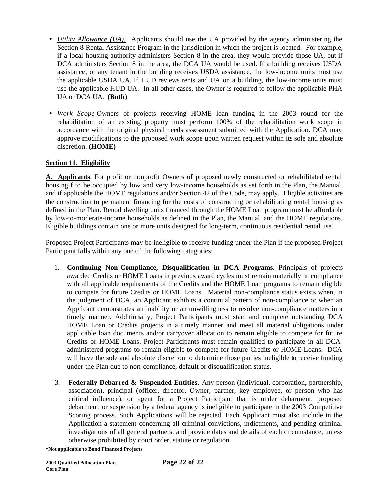- *Utility Allowance (UA).* Applicants should use the UA provided by the agency administering the Section 8 Rental Assistance Program in the jurisdiction in which the project is located. For example, if a local housing authority administers Section 8 in the area, they would provide those UA, but if DCA administers Section 8 in the area, the DCA UA would be used. If a building receives USDA assistance, or any tenant in the building receives USDA assistance, the low-income units must use the applicable USDA UA. If HUD reviews rents and UA on a building, the low-income units must use the applicable HUD UA. In all other cases, the Owner is required to follow the applicable PHA UA or DCA UA. **(Both)**
- *Work Scope-*Owners of projects receiving HOME loan funding in the 2003 round for the rehabilitation of an existing property must perform 100% of the rehabilitation work scope in accordance with the original physical needs assessment submitted with the Application. DCA may approve modifications to the proposed work scope upon written request within its sole and absolute discretion. **(HOME)**

# **Section 11. Eligibility**

**A. Applicants**. For profit or nonprofit Owners of proposed newly constructed or rehabilitated rental housing f to be occupied by low and very low-income households as set forth in the Plan, the Manual, and if applicable the HOME regulations and/or Section 42 of the Code, may apply. Eligible activities are the construction to permanent financing for the costs of constructing or rehabilitating rental housing as defined in the Plan. Rental dwelling units financed through the HOME Loan program must be affordable by low-to-moderate-income households as defined in the Plan, the Manual, and the HOME regulations. Eligible buildings contain one or more units designed for long-term, continuous residential rental use.

Proposed Project Participants may be ineligible to receive funding under the Plan if the proposed Project Participant falls within any one of the following categories:

- 1. **Continuing Non-Compliance, Disqualification in DCA Programs**. Principals of projects awarded Credits or HOME Loans in previous award cycles must remain materially in compliance with all applicable requirements of the Credits and the HOME Loan programs to remain eligible to compete for future Credits or HOME Loans. Material non-compliance status exists when, in the judgment of DCA, an Applicant exhibits a continual pattern of non-compliance or when an Applicant demonstrates an inability or an unwillingness to resolve non-compliance matters in a timely manner. Additionally, Project Participants must start and complete outstanding DCA HOME Loan or Credits projects in a timely manner and meet all material obligations under applicable loan documents and/or carryover allocation to remain eligible to compete for future Credits or HOME Loans. Project Participants must remain qualified to participate in all DCAadministered programs to remain eligible to compete for future Credits or HOME Loans. DCA will have the sole and absolute discretion to determine those parties ineligible to receive funding under the Plan due to non-compliance, default or disqualification status.
- 3. **Federally Debarred & Suspended Entities.** Any person (individual, corporation, partnership, association), principal (officer, director, Owner, partner, key employee, or person who has critical influence), or agent for a Project Participant that is under debarment, proposed debarment, or suspension by a federal agency is ineligible to participate in the 2003 Competitive Scoring process. Such Applications will be rejected. Each Applicant must also include in the Application a statement concerning all criminal convictions, indictments, and pending criminal investigations of all general partners, and provide dates and details of each circumstance, unless otherwise prohibited by court order, statute or regulation.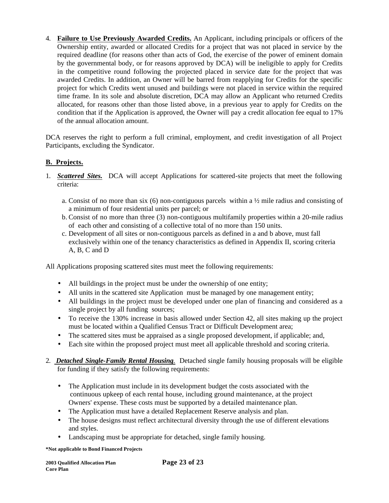4. **Failure to Use Previously Awarded Credits.** An Applicant, including principals or officers of the Ownership entity, awarded or allocated Credits for a project that was not placed in service by the required deadline (for reasons other than acts of God, the exercise of the power of eminent domain by the governmental body, or for reasons approved by DCA) will be ineligible to apply for Credits in the competitive round following the projected placed in service date for the project that was awarded Credits. In addition, an Owner will be barred from reapplying for Credits for the specific project for which Credits went unused and buildings were not placed in service within the required time frame. In its sole and absolute discretion, DCA may allow an Applicant who returned Credits allocated, for reasons other than those listed above, in a previous year to apply for Credits on the condition that if the Application is approved, the Owner will pay a credit allocation fee equal to 17% of the annual allocation amount.

DCA reserves the right to perform a full criminal, employment, and credit investigation of all Project Participants, excluding the Syndicator.

# **B. Projects.**

- 1. *Scattered Sites.*DCA will accept Applications for scattered-site projects that meet the following criteria:
	- a. Consist of no more than six  $(6)$  non-contiguous parcels within a  $\frac{1}{2}$  mile radius and consisting of a minimum of four residential units per parcel; or
	- b. Consist of no more than three (3) non-contiguous multifamily properties within a 20-mile radius of each other and consisting of a collective total of no more than 150 units.
	- c. Development of all sites or non-contiguous parcels as defined in a and b above, must fall exclusively within one of the tenancy characteristics as defined in Appendix II, scoring criteria A, B, C and D

All Applications proposing scattered sites must meet the following requirements:

- All buildings in the project must be under the ownership of one entity;
- All units in the scattered site Application must be managed by one management entity;
- All buildings in the project must be developed under one plan of financing and considered as a single project by all funding sources;
- To receive the 130% increase in basis allowed under Section 42, all sites making up the project must be located within a Qualified Census Tract or Difficult Development area;
- The scattered sites must be appraised as a single proposed development, if applicable; and,
- Each site within the proposed project must meet all applicable threshold and scoring criteria.
- 2. *Detached Single-Family Rental Housing.* Detached single family housing proposals will be eligible for funding if they satisfy the following requirements:
	- The Application must include in its development budget the costs associated with the continuous upkeep of each rental house, including ground maintenance, at the project Owners' expense. These costs must be supported by a detailed maintenance plan.

**Page 23 of 23** 

- The Application must have a detailed Replacement Reserve analysis and plan.
- The house designs must reflect architectural diversity through the use of different elevations and styles.
- Landscaping must be appropriate for detached, single family housing.

| <b>2003 Oualified Allocation Plan</b> |  |
|---------------------------------------|--|
| <b>Core Plan</b>                      |  |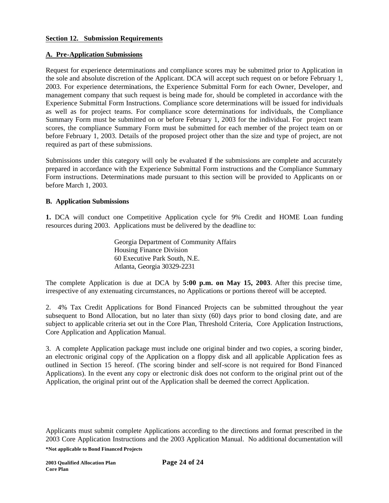## **Section 12. Submission Requirements**

## **A. Pre-Application Submissions**

Request for experience determinations and compliance scores may be submitted prior to Application in the sole and absolute discretion of the Applicant. DCA will accept such request on or before February 1, 2003. For experience determinations, the Experience Submittal Form for each Owner, Developer, and management company that such request is being made for, should be completed in accordance with the Experience Submittal Form Instructions. Compliance score determinations will be issued for individuals as well as for project teams. For compliance score determinations for individuals, the Compliance Summary Form must be submitted on or before February 1, 2003 for the individual. For project team scores, the compliance Summary Form must be submitted for each member of the project team on or before February 1, 2003. Details of the proposed project other than the size and type of project, are not required as part of these submissions.

Submissions under this category will only be evaluated if the submissions are complete and accurately prepared in accordance with the Experience Submittal Form instructions and the Compliance Summary Form instructions. Determinations made pursuant to this section will be provided to Applicants on or before March 1, 2003.

## **B. Application Submissions**

**1.** DCA will conduct one Competitive Application cycle for 9% Credit and HOME Loan funding resources during 2003. Applications must be delivered by the deadline to:

> Georgia Department of Community Affairs Housing Finance Division 60 Executive Park South, N.E. Atlanta, Georgia 30329-2231

The complete Application is due at DCA by **5:00 p.m. on May 15, 2003**. After this precise time, irrespective of any extenuating circumstances, no Applications or portions thereof will be accepted.

2. 4% Tax Credit Applications for Bond Financed Projects can be submitted throughout the year subsequent to Bond Allocation, but no later than sixty (60) days prior to bond closing date, and are subject to applicable criteria set out in the Core Plan, Threshold Criteria, Core Application Instructions, Core Application and Application Manual.

3. A complete Application package must include one original binder and two copies, a scoring binder, an electronic original copy of the Application on a floppy disk and all applicable Application fees as outlined in Section 15 hereof. (The scoring binder and self-score is not required for Bond Financed Applications). In the event any copy or electronic disk does not conform to the original print out of the Application, the original print out of the Application shall be deemed the correct Application.

Applicants must submit complete Applications according to the directions and format prescribed in the 2003 Core Application Instructions and the 2003 Application Manual.No additional documentation will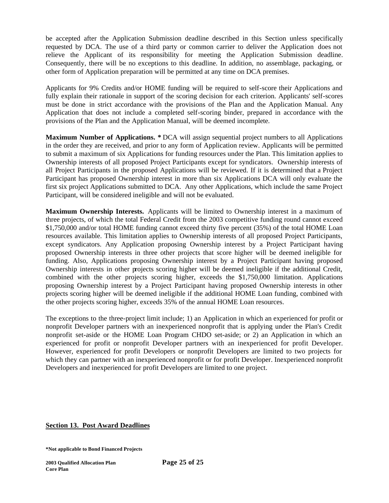be accepted after the Application Submission deadline described in this Section unless specifically requested by DCA. The use of a third party or common carrier to deliver the Application does not relieve the Applicant of its responsibility for meeting the Application Submission deadline. Consequently, there will be no exceptions to this deadline. In addition, no assemblage, packaging, or other form of Application preparation will be permitted at any time on DCA premises.

Applicants for 9% Credits and/or HOME funding will be required to self-score their Applications and fully explain their rationale in support of the scoring decision for each criterion. Applicants' self-scores must be done in strict accordance with the provisions of the Plan and the Application Manual. Any Application that does not include a completed self-scoring binder, prepared in accordance with the provisions of the Plan and the Application Manual, will be deemed incomplete.

**Maximum Number of Applications. \*** DCA will assign sequential project numbers to all Applications in the order they are received, and prior to any form of Application review. Applicants will be permitted to submit a maximum of six Applications for funding resources under the Plan. This limitation applies to Ownership interests of all proposed Project Participants except for syndicators. Ownership interests of all Project Participants in the proposed Applications will be reviewed. If it is determined that a Project Participant has proposed Ownership interest in more than six Applications DCA will only evaluate the first six project Applications submitted to DCA. Any other Applications, which include the same Project Participant, will be considered ineligible and will not be evaluated.

**Maximum Ownership Interests.** Applicants will be limited to Ownership interest in a maximum of three projects, of which the total Federal Credit from the 2003 competitive funding round cannot exceed \$1,750,000 and/or total HOME funding cannot exceed thirty five percent (35%) of the total HOME Loan resources available. This limitation applies to Ownership interests of all proposed Project Participants, except syndicators. Any Application proposing Ownership interest by a Project Participant having proposed Ownership interests in three other projects that score higher will be deemed ineligible for funding. Also, Applications proposing Ownership interest by a Project Participant having proposed Ownership interests in other projects scoring higher will be deemed ineligible if the additional Credit, combined with the other projects scoring higher, exceeds the \$1,750,000 limitation. Applications proposing Ownership interest by a Project Participant having proposed Ownership interests in other projects scoring higher will be deemed ineligible if the additional HOME Loan funding, combined with the other projects scoring higher, exceeds 35% of the annual HOME Loan resources.

The exceptions to the three-project limit include; 1) an Application in which an experienced for profit or nonprofit Developer partners with an inexperienced nonprofit that is applying under the Plan's Credit nonprofit set-aside or the HOME Loan Program CHDO set-aside; or 2) an Application in which an experienced for profit or nonprofit Developer partners with an inexperienced for profit Developer. However, experienced for profit Developers or nonprofit Developers are limited to two projects for which they can partner with an inexperienced nonprofit or for profit Developer. Inexperienced nonprofit Developers and inexperienced for profit Developers are limited to one project.

### **Section 13. Post Award Deadlines**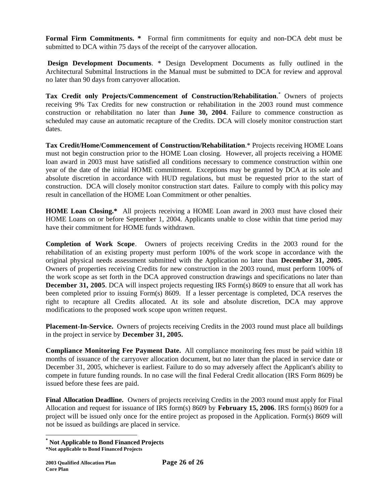**Formal Firm Commitments. \*** Formal firm commitments for equity and non-DCA debt must be submitted to DCA within 75 days of the receipt of the carryover allocation.

 **Design Development Documents**. \* Design Development Documents as fully outlined in the Architectural Submittal Instructions in the Manual must be submitted to DCA for review and approval no later than 90 days from carryover allocation.

**Tax Credit only Projects/Commencement of Construction/Rehabilitation**. \* Owners of projects receiving 9% Tax Credits for new construction or rehabilitation in the 2003 round must commence construction or rehabilitation no later than **June 30, 2004**. Failure to commence construction as scheduled may cause an automatic recapture of the Credits. DCA will closely monitor construction start dates.

**Tax Credit/Home/Commencement of Construction/Rehabilitation**.\* Projects receiving HOME Loans must not begin construction prior to the HOME Loan closing. However, all projects receiving a HOME loan award in 2003 must have satisfied all conditions necessary to commence construction within one year of the date of the initial HOME commitment. Exceptions may be granted by DCA at its sole and absolute discretion in accordance with HUD regulations, but must be requested prior to the start of construction. DCA will closely monitor construction start dates. Failure to comply with this policy may result in cancellation of the HOME Loan Commitment or other penalties.

**HOME Loan Closing.\*** All projects receiving a HOME Loan award in 2003 must have closed their HOME Loans on or before September 1, 2004. Applicants unable to close within that time period may have their commitment for HOME funds withdrawn.

**Completion of Work Scope**. Owners of projects receiving Credits in the 2003 round for the rehabilitation of an existing property must perform 100% of the work scope in accordance with the original physical needs assessment submitted with the Application no later than **December 31, 2005**. Owners of properties receiving Credits for new construction in the 2003 round, must perform 100% of the work scope as set forth in the DCA approved construction drawings and specifications no later than **December 31, 2005**. DCA will inspect projects requesting IRS Form(s) 8609 to ensure that all work has been completed prior to issuing Form(s) 8609. If a lesser percentage is completed, DCA reserves the right to recapture all Credits allocated. At its sole and absolute discretion, DCA may approve modifications to the proposed work scope upon written request.

**Placement-In-Service.** Owners of projects receiving Credits in the 2003 round must place all buildings in the project in service by **December 31, 2005.**

**Compliance Monitoring Fee Payment Date.** All compliance monitoring fees must be paid within 18 months of issuance of the carryover allocation document, but no later than the placed in service date or December 31, 2005, whichever is earliest. Failure to do so may adversely affect the Applicant's ability to compete in future funding rounds. In no case will the final Federal Credit allocation (IRS Form 8609) be issued before these fees are paid.

**Final Allocation Deadline.** Owners of projects receiving Credits in the 2003 round must apply for Final Allocation and request for issuance of IRS form(s) 8609 by **February 15, 2006**. IRS form(s) 8609 for a project will be issued only once for the entire project as proposed in the Application. Form(s) 8609 will not be issued as buildings are placed in service.

**<sup>\*</sup> Not Applicable to Bond Financed Projects**

**<sup>\*</sup>Not applicable to Bond Financed Projects**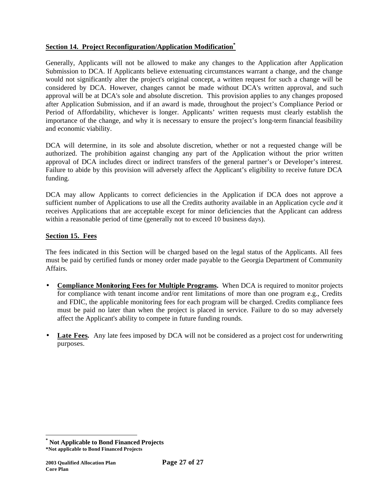# **Section 14. Project Reconfiguration/Application Modification\***

Generally, Applicants will not be allowed to make any changes to the Application after Application Submission to DCA. If Applicants believe extenuating circumstances warrant a change, and the change would not significantly alter the project's original concept, a written request for such a change will be considered by DCA. However, changes cannot be made without DCA's written approval, and such approval will be at DCA's sole and absolute discretion. This provision applies to any changes proposed after Application Submission, and if an award is made, throughout the project's Compliance Period or Period of Affordability, whichever is longer. Applicants' written requests must clearly establish the importance of the change, and why it is necessary to ensure the project's long-term financial feasibility and economic viability.

DCA will determine, in its sole and absolute discretion, whether or not a requested change will be authorized. The prohibition against changing any part of the Application without the prior written approval of DCA includes direct or indirect transfers of the general partner's or Developer's interest. Failure to abide by this provision will adversely affect the Applicant's eligibility to receive future DCA funding.

DCA may allow Applicants to correct deficiencies in the Application if DCA does not approve a sufficient number of Applications to use all the Credits authority available in an Application cycle *and* it receives Applications that are acceptable except for minor deficiencies that the Applicant can address within a reasonable period of time (generally not to exceed 10 business days).

# **Section 15. Fees**

The fees indicated in this Section will be charged based on the legal status of the Applicants. All fees must be paid by certified funds or money order made payable to the Georgia Department of Community Affairs.

- **Compliance Monitoring Fees for Multiple Programs.** When DCA is required to monitor projects for compliance with tenant income and/or rent limitations of more than one program e.g., Credits and FDIC, the applicable monitoring fees for each program will be charged. Credits compliance fees must be paid no later than when the project is placed in service. Failure to do so may adversely affect the Applicant's ability to compete in future funding rounds.
- **Late Fees.** Any late fees imposed by DCA will not be considered as a project cost for underwriting purposes.

**<sup>\*</sup> Not Applicable to Bond Financed Projects**

**<sup>\*</sup>Not applicable to Bond Financed Projects**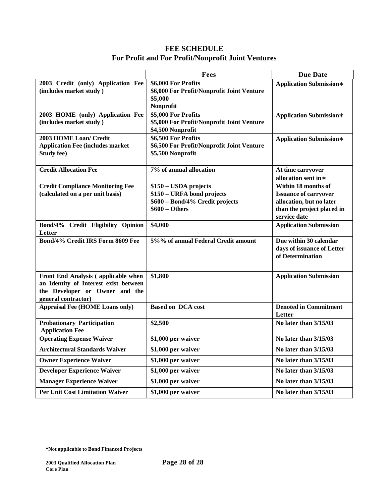# **FEE SCHEDULE For Profit and For Profit/Nonprofit Joint Ventures**

|                                                                                                                                       | <b>Fees</b>                                                                                              | <b>Due Date</b>                                                                                                               |
|---------------------------------------------------------------------------------------------------------------------------------------|----------------------------------------------------------------------------------------------------------|-------------------------------------------------------------------------------------------------------------------------------|
| 2003 Credit (only) Application Fee<br>(includes market study)                                                                         | \$6,000 For Profits<br>\$6,000 For Profit/Nonprofit Joint Venture<br>\$5,000<br>Nonprofit                | <b>Application Submission*</b>                                                                                                |
| 2003 HOME (only) Application Fee<br>(includes market study)                                                                           | \$5,000 For Profits<br>\$5,000 For Profit/Nonprofit Joint Venture<br>\$4,500 Nonprofit                   | <b>Application Submission*</b>                                                                                                |
| <b>2003 HOME Loan/ Credit</b><br><b>Application Fee (includes market</b><br><b>Study fee)</b>                                         | \$6,500 For Profits<br>\$6,500 For Profit/Nonprofit Joint Venture<br>\$5,500 Nonprofit                   | <b>Application Submission*</b>                                                                                                |
| <b>Credit Allocation Fee</b>                                                                                                          | 7% of annual allocation                                                                                  | At time carryover<br>allocation sent in*                                                                                      |
| <b>Credit Compliance Monitoring Fee</b><br>(calculated on a per unit basis)                                                           | \$150 - USDA projects<br>\$150 - URFA bond projects<br>\$600 - Bond/4% Credit projects<br>\$600 – Others | Within 18 months of<br><b>Issuance of carryover</b><br>allocation, but no later<br>than the project placed in<br>service date |
| Bond/4% Credit Eligibility Opinion<br>Letter                                                                                          | \$4,000                                                                                                  | <b>Application Submission</b>                                                                                                 |
| Bond/4% Credit IRS Form 8609 Fee                                                                                                      | 5%% of annual Federal Credit amount                                                                      | Due within 30 calendar<br>days of issuance of Letter<br>of Determination                                                      |
| Front End Analysis (applicable when<br>an Identity of Interest exist between<br>the Developer or Owner and the<br>general contractor) | \$1,800                                                                                                  | <b>Application Submission</b>                                                                                                 |
| <b>Appraisal Fee (HOME Loans only)</b>                                                                                                | <b>Based on DCA cost</b>                                                                                 | <b>Denoted in Commitment</b><br>Letter                                                                                        |
| <b>Probationary Participation</b><br><b>Application Fee</b>                                                                           | \$2,500                                                                                                  | No later than 3/15/03                                                                                                         |
| <b>Operating Expense Waiver</b>                                                                                                       | \$1,000 per waiver                                                                                       | No later than 3/15/03                                                                                                         |
| <b>Architectural Standards Waiver</b>                                                                                                 | \$1,000 per waiver                                                                                       | No later than 3/15/03                                                                                                         |
| <b>Owner Experience Waiver</b>                                                                                                        | \$1,000 per waiver                                                                                       | No later than $3/15/03$                                                                                                       |
| <b>Developer Experience Waiver</b>                                                                                                    | \$1,000 per waiver                                                                                       | No later than 3/15/03                                                                                                         |
| <b>Manager Experience Waiver</b>                                                                                                      | \$1,000 per waiver                                                                                       | No later than $3/15/03$                                                                                                       |
| <b>Per Unit Cost Limitation Waiver</b>                                                                                                | \$1,000 per waiver                                                                                       | No later than 3/15/03                                                                                                         |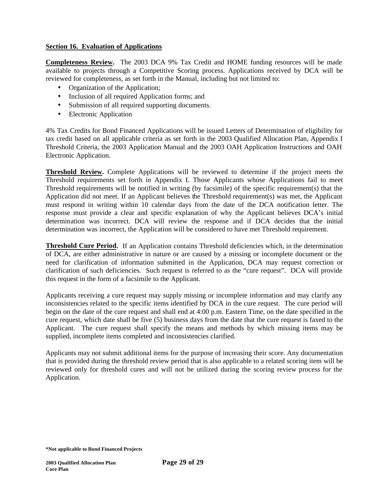## **Section 16. Evaluation of Applications**

**Completeness Review.** The 2003 DCA 9% Tax Credit and HOME funding resources will be made available to projects through a Competitive Scoring process. Applications received by DCA will be reviewed for completeness, as set forth in the Manual, including but not limited to:

- Organization of the Application;
- Inclusion of all required Application forms; and
- Submission of all required supporting documents.
- Electronic Application

4% Tax Credits for Bond Financed Applications will be issued Letters of Determination of eligibility for tax credit based on all applicable criteria as set forth in the 2003 Qualified Allocation Plan, Appendix I Threshold Criteria, the 2003 Application Manual and the 2003 OAH Application Instructions and OAH Electronic Application.

**Threshold Review.** Complete Applications will be reviewed to determine if the project meets the Threshold requirements set forth in Appendix I. Those Applicants whose Applications fail to meet Threshold requirements will be notified in writing (by facsimile) of the specific requirement(s) that the Application did not meet. If an Applicant believes the Threshold requirement(s) was met, the Applicant must respond in writing within 10 calendar days from the date of the DCA notification letter. The response must provide a clear and specific explanation of why the Applicant believes DCA's initial determination was incorrect. DCA will review the response and if DCA decides that the initial determination was incorrect, the Application will be considered to have met Threshold requirement.

**Threshold Cure Period.** If an Application contains Threshold deficiencies which, in the determination of DCA, are either administrative in nature or are caused by a missing or incomplete document or the need for clarification of information submitted in the Application, DCA may request correction or clarification of such deficiencies. Such request is referred to as the "cure request". DCA will provide this request in the form of a facsimile to the Applicant.

Applicants receiving a cure request may supply missing or incomplete information and may clarify any inconsistencies related to the specific items identified by DCA in the cure request. The cure period will begin on the date of the cure request and shall end at 4:00 p.m. Eastern Time, on the date specified in the cure request, which date shall be five (5) business days from the date that the cure request is faxed to the Applicant. The cure request shall specify the means and methods by which missing items may be supplied, incomplete items completed and inconsistencies clarified.

Applicants may not submit additional items for the purpose of increasing their score. Any documentation that is provided during the threshold review period that is also applicable to a related scoring item will be reviewed only for threshold cures and will not be utilized during the scoring review process for the Application.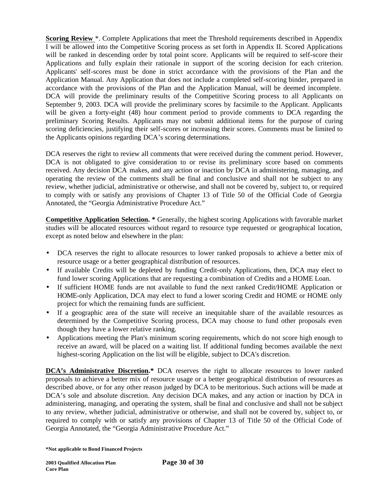**Scoring Review** \*. Complete Applications that meet the Threshold requirements described in Appendix I will be allowed into the Competitive Scoring process as set forth in Appendix II. Scored Applications will be ranked in descending order by total point score. Applicants will be required to self-score their Applications and fully explain their rationale in support of the scoring decision for each criterion. Applicants' self-scores must be done in strict accordance with the provisions of the Plan and the Application Manual. Any Application that does not include a completed self-scoring binder, prepared in accordance with the provisions of the Plan and the Application Manual, will be deemed incomplete. DCA will provide the preliminary results of the Competitive Scoring process to all Applicants on September 9, 2003. DCA will provide the preliminary scores by facsimile to the Applicant. Applicants will be given a forty-eight (48) hour comment period to provide comments to DCA regarding the preliminary Scoring Results. Applicants may not submit additional items for the purpose of curing scoring deficiencies, justifying their self-scores or increasing their scores. Comments must be limited to the Applicants opinions regarding DCA's scoring determinations.

DCA reserves the right to review all comments that were received during the comment period. However, DCA is not obligated to give consideration to or revise its preliminary score based on comments received. Any decision DCA makes, and any action or inaction by DCA in administering, managing, and operating the review of the comments shall be final and conclusive and shall not be subject to any review, whether judicial, administrative or otherwise, and shall not be covered by, subject to, or required to comply with or satisfy any provisions of Chapter 13 of Title 50 of the Official Code of Georgia Annotated, the "Georgia Administrative Procedure Act."

**Competitive Application Selection. \*** Generally, the highest scoring Applications with favorable market studies will be allocated resources without regard to resource type requested or geographical location, except as noted below and elsewhere in the plan:

- DCA reserves the right to allocate resources to lower ranked proposals to achieve a better mix of resource usage or a better geographical distribution of resources.
- If available Credits will be depleted by funding Credit-only Applications, then, DCA may elect to fund lower scoring Applications that are requesting a combination of Credits and a HOME Loan.
- If sufficient HOME funds are not available to fund the next ranked Credit/HOME Application or HOME-only Application, DCA may elect to fund a lower scoring Credit and HOME or HOME only project for which the remaining funds are sufficient.
- If a geographic area of the state will receive an inequitable share of the available resources as determined by the Competitive Scoring process, DCA may choose to fund other proposals even though they have a lower relative ranking.
- Applications meeting the Plan's minimum scoring requirements, which do not score high enough to receive an award, will be placed on a waiting list. If additional funding becomes available the next highest-scoring Application on the list will be eligible, subject to DCA's discretion.

**DCA's Administrative Discretion.\*** DCA reserves the right to allocate resources to lower ranked proposals to achieve a better mix of resource usage or a better geographical distribution of resources as described above, or for any other reason judged by DCA to be meritorious. Such actions will be made at DCA's sole and absolute discretion. Any decision DCA makes, and any action or inaction by DCA in administering, managing, and operating the system, shall be final and conclusive and shall not be subject to any review, whether judicial, administrative or otherwise, and shall not be covered by, subject to, or required to comply with or satisfy any provisions of Chapter 13 of Title 50 of the Official Code of Georgia Annotated, the "Georgia Administrative Procedure Act."

**<sup>\*</sup>Not applicable to Bond Financed Projects**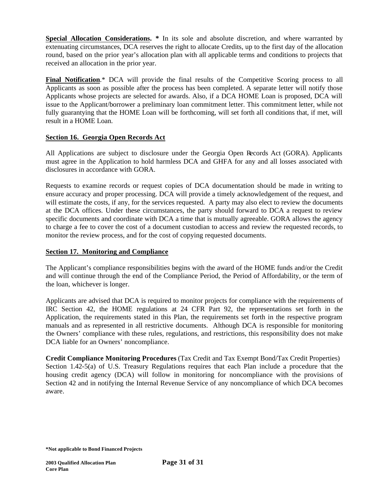**Special Allocation Considerations.** \* In its sole and absolute discretion, and where warranted by extenuating circumstances, DCA reserves the right to allocate Credits, up to the first day of the allocation round, based on the prior year's allocation plan with all applicable terms and conditions to projects that received an allocation in the prior year.

**Final Notification.**\* DCA will provide the final results of the Competitive Scoring process to all Applicants as soon as possible after the process has been completed. A separate letter will notify those Applicants whose projects are selected for awards. Also, if a DCA HOME Loan is proposed, DCA will issue to the Applicant/borrower a preliminary loan commitment letter. This commitment letter, while not fully guarantying that the HOME Loan will be forthcoming, will set forth all conditions that, if met, will result in a HOME Loan.

# **Section 16. Georgia Open Records Act**

All Applications are subject to disclosure under the Georgia Open Records Act (GORA). Applicants must agree in the Application to hold harmless DCA and GHFA for any and all losses associated with disclosures in accordance with GORA.

Requests to examine records or request copies of DCA documentation should be made in writing to ensure accuracy and proper processing. DCA will provide a timely acknowledgement of the request, and will estimate the costs, if any, for the services requested. A party may also elect to review the documents at the DCA offices. Under these circumstances, the party should forward to DCA a request to review specific documents and coordinate with DCA a time that is mutually agreeable. GORA allows the agency to charge a fee to cover the cost of a document custodian to access and review the requested records, to monitor the review process, and for the cost of copying requested documents.

## **Section 17. Monitoring and Compliance**

The Applicant's compliance responsibilities begins with the award of the HOME funds and/or the Credit and will continue through the end of the Compliance Period, the Period of Affordability, or the term of the loan, whichever is longer.

Applicants are advised that DCA is required to monitor projects for compliance with the requirements of IRC Section 42, the HOME regulations at 24 CFR Part 92, the representations set forth in the Application, the requirements stated in this Plan, the requirements set forth in the respective program manuals and as represented in all restrictive documents. Although DCA is responsible for monitoring the Owners' compliance with these rules, regulations, and restrictions, this responsibility does not make DCA liable for an Owners' noncompliance.

**Credit Compliance Monitoring Procedures** (Tax Credit and Tax Exempt Bond/Tax Credit Properties) Section 1.42-5(a) of U.S. Treasury Regulations requires that each Plan include a procedure that the housing credit agency (DCA) will follow in monitoring for noncompliance with the provisions of Section 42 and in notifying the Internal Revenue Service of any noncompliance of which DCA becomes aware.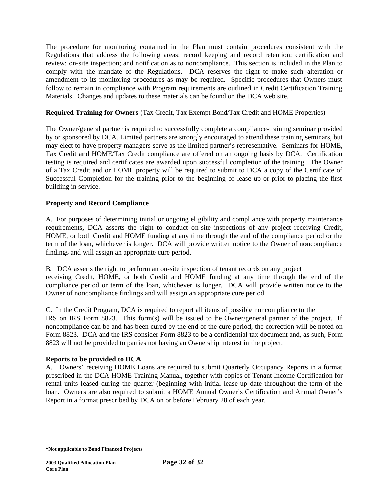The procedure for monitoring contained in the Plan must contain procedures consistent with the Regulations that address the following areas: record keeping and record retention; certification and review; on-site inspection; and notification as to noncompliance. This section is included in the Plan to comply with the mandate of the Regulations. DCA reserves the right to make such alteration or amendment to its monitoring procedures as may be required. Specific procedures that Owners must follow to remain in compliance with Program requirements are outlined in Credit Certification Training Materials. Changes and updates to these materials can be found on the DCA web site.

# **Required Training for Owners** (Tax Credit, Tax Exempt Bond/Tax Credit and HOME Properties)

The Owner/general partner is required to successfully complete a compliance-training seminar provided by or sponsored by DCA. Limited partners are strongly encouraged to attend these training seminars, but may elect to have property managers serve as the limited partner's representative. Seminars for HOME, Tax Credit and HOME/Tax Credit compliance are offered on an ongoing basis by DCA. Certification testing is required and certificates are awarded upon successful completion of the training. The Owner of a Tax Credit and or HOME property will be required to submit to DCA a copy of the Certificate of Successful Completion for the training prior to the beginning of lease-up or prior to placing the first building in service.

# **Property and Record Compliance**

A. For purposes of determining initial or ongoing eligibility and compliance with property maintenance requirements, DCA asserts the right to conduct on-site inspections of any project receiving Credit, HOME, or both Credit and HOME funding at any time through the end of the compliance period or the term of the loan, whichever is longer. DCA will provide written notice to the Owner of noncompliance findings and will assign an appropriate cure period.

B. DCA asserts the right to perform an on-site inspection of tenant records on any project receiving Credit, HOME, or both Credit and HOME funding at any time through the end of the compliance period or term of the loan, whichever is longer. DCA will provide written notice to the Owner of noncompliance findings and will assign an appropriate cure period.

C. In the Credit Program, DCA is required to report all items of possible noncompliance to the IRS on IRS Form 8823. This form(s) will be issued to the Owner/general partner of the project. If noncompliance can be and has been cured by the end of the cure period, the correction will be noted on Form 8823. DCA and the IRS consider Form 8823 to be a confidential tax document and, as such, Form 8823 will not be provided to parties not having an Ownership interest in the project.

# **Reports to be provided to DCA**

A. Owners' receiving HOME Loans are required to submit Quarterly Occupancy Reports in a format prescribed in the DCA HOME Training Manual, together with copies of Tenant Income Certification for rental units leased during the quarter (beginning with initial lease-up date throughout the term of the loan. Owners are also required to submit a HOME Annual Owner's Certification and Annual Owner's Report in a format prescribed by DCA on or before February 28 of each year.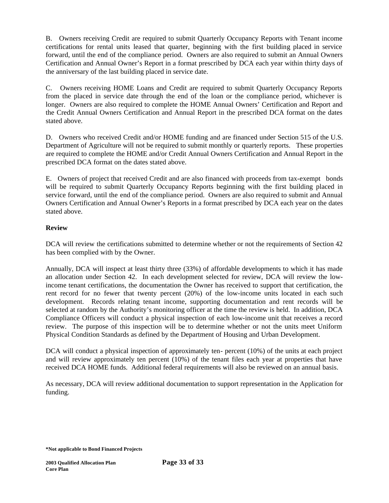B. Owners receiving Credit are required to submit Quarterly Occupancy Reports with Tenant income certifications for rental units leased that quarter, beginning with the first building placed in service forward, until the end of the compliance period. Owners are also required to submit an Annual Owners Certification and Annual Owner's Report in a format prescribed by DCA each year within thirty days of the anniversary of the last building placed in service date.

C. Owners receiving HOME Loans and Credit are required to submit Quarterly Occupancy Reports from the placed in service date through the end of the loan or the compliance period, whichever is longer. Owners are also required to complete the HOME Annual Owners' Certification and Report and the Credit Annual Owners Certification and Annual Report in the prescribed DCA format on the dates stated above.

D. Owners who received Credit and/or HOME funding and are financed under Section 515 of the U.S. Department of Agriculture will not be required to submit monthly or quarterly reports. These properties are required to complete the HOME and/or Credit Annual Owners Certification and Annual Report in the prescribed DCA format on the dates stated above.

E. Owners of project that received Credit and are also financed with proceeds from tax-exempt bonds will be required to submit Quarterly Occupancy Reports beginning with the first building placed in service forward, until the end of the compliance period. Owners are also required to submit and Annual Owners Certification and Annual Owner's Reports in a format prescribed by DCA each year on the dates stated above.

# **Review**

DCA will review the certifications submitted to determine whether or not the requirements of Section 42 has been complied with by the Owner.

Annually, DCA will inspect at least thirty three (33%) of affordable developments to which it has made an allocation under Section 42. In each development selected for review, DCA will review the lowincome tenant certifications, the documentation the Owner has received to support that certification, the rent record for no fewer that twenty percent (20%) of the low-income units located in each such development. Records relating tenant income, supporting documentation and rent records will be selected at random by the Authority's monitoring officer at the time the review is held. In addition, DCA Compliance Officers will conduct a physical inspection of each low-income unit that receives a record review. The purpose of this inspection will be to determine whether or not the units meet Uniform Physical Condition Standards as defined by the Department of Housing and Urban Development.

DCA will conduct a physical inspection of approximately ten- percent (10%) of the units at each project and will review approximately ten percent (10%) of the tenant files each year at properties that have received DCA HOME funds. Additional federal requirements will also be reviewed on an annual basis.

As necessary, DCA will review additional documentation to support representation in the Application for funding.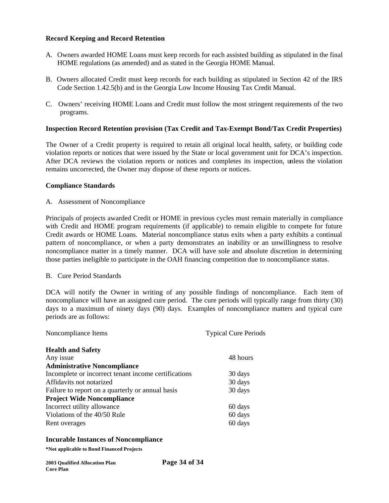## **Record Keeping and Record Retention**

- A. Owners awarded HOME Loans must keep records for each assisted building as stipulated in the final HOME regulations (as amended) and as stated in the Georgia HOME Manual.
- B. Owners allocated Credit must keep records for each building as stipulated in Section 42 of the IRS Code Section 1.42.5(b) and in the Georgia Low Income Housing Tax Credit Manual.
- C. Owners' receiving HOME Loans and Credit must follow the most stringent requirements of the two programs.

### **Inspection Record Retention provision (Tax Credit and Tax-Exempt Bond/Tax Credit Properties)**

The Owner of a Credit property is required to retain all original local health, safety, or building code violation reports or notices that were issued by the State or local government unit for DCA's inspection. After DCA reviews the violation reports or notices and completes its inspection, unless the violation remains uncorrected, the Owner may dispose of these reports or notices.

### **Compliance Standards**

### A. Assessment of Noncompliance

Principals of projects awarded Credit or HOME in previous cycles must remain materially in compliance with Credit and HOME program requirements (if applicable) to remain eligible to compete for future Credit awards or HOME Loans. Material noncompliance status exits when a party exhibits a continual pattern of noncompliance, or when a party demonstrates an inability or an unwillingness to resolve noncompliance matter in a timely manner. DCA will have sole and absolute discretion in determining those parties ineligible to participate in the OAH financing competition due to noncompliance status.

### B. Cure Period Standards

DCA will notify the Owner in writing of any possible findings of noncompliance. Each item of noncompliance will have an assigned cure period. The cure periods will typically range from thirty (30) days to a maximum of ninety days (90) days. Examples of noncompliance matters and typical cure periods are as follows:

| Noncompliance Items                                  | <b>Typical Cure Periods</b> |
|------------------------------------------------------|-----------------------------|
| <b>Health and Safety</b>                             |                             |
| Any issue                                            | 48 hours                    |
| <b>Administrative Noncompliance</b>                  |                             |
| Incomplete or incorrect tenant income certifications | 30 days                     |
| Affidavits not notarized                             | 30 days                     |
| Failure to report on a quarterly or annual basis     | 30 days                     |
| <b>Project Wide Noncompliance</b>                    |                             |
| Incorrect utility allowance                          | 60 days                     |
| Violations of the 40/50 Rule                         | 60 days                     |
| Rent overages                                        | 60 days                     |

#### **Incurable Instances of Noncompliance**

| <b>2003 Oualified Allocation Plan</b> | Page 34 of 34 |
|---------------------------------------|---------------|
| <b>Core Plan</b>                      |               |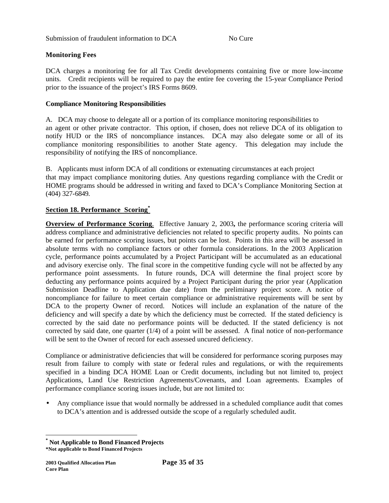# **Monitoring Fees**

DCA charges a monitoring fee for all Tax Credit developments containing five or more low-income units. Credit recipients will be required to pay the entire fee covering the 15-year Compliance Period prior to the issuance of the project's IRS Forms 8609.

### **Compliance Monitoring Responsibilities**

A. DCA may choose to delegate all or a portion of its compliance monitoring responsibilities to an agent or other private contractor. This option, if chosen, does not relieve DCA of its obligation to notify HUD or the IRS of noncompliance instances. DCA may also delegate some or all of its compliance monitoring responsibilities to another State agency. This delegation may include the responsibility of notifying the IRS of noncompliance.

B. Applicants must inform DCA of all conditions or extenuating circumstances at each project that may impact compliance monitoring duties. Any questions regarding compliance with the Credit or HOME programs should be addressed in writing and faxed to DCA's Compliance Monitoring Section at (404) 327-6849.

## **Section 18. Performance Scoring\***

**Overview of Performance Scoring**.Effective January 2, 2003**,** the performance scoring criteria will address compliance and administrative deficiencies not related to specific property audits. No points can be earned for performance scoring issues, but points can be lost. Points in this area will be assessed in absolute terms with no compliance factors or other formula considerations. In the 2003 Application cycle, performance points accumulated by a Project Participant will be accumulated as an educational and advisory exercise only. The final score in the competitive funding cycle will not be affected by any performance point assessments. In future rounds, DCA will determine the final project score by deducting any performance points acquired by a Project Participant during the prior year (Application Submission Deadline to Application due date) from the preliminary project score. A notice of noncompliance for failure to meet certain compliance or administrative requirements will be sent by DCA to the property Owner of record. Notices will include an explanation of the nature of the deficiency and will specify a date by which the deficiency must be corrected. If the stated deficiency is corrected by the said date no performance points will be deducted. If the stated deficiency is not corrected by said date, one quarter  $(1/4)$  of a point will be assessed. A final notice of non-performance will be sent to the Owner of record for each assessed uncured deficiency.

Compliance or administrative deficiencies that will be considered for performance scoring purposes may result from failure to comply with state or federal rules and regulations, or with the requirements specified in a binding DCA HOME Loan or Credit documents, including but not limited to, project Applications, Land Use Restriction Agreements/Covenants, and Loan agreements. Examples of performance compliance scoring issues include, but are not limited to:

• Any compliance issue that would normally be addressed in a scheduled compliance audit that comes to DCA's attention and is addressed outside the scope of a regularly scheduled audit.

**<sup>\*</sup> Not Applicable to Bond Financed Projects**

**<sup>\*</sup>Not applicable to Bond Financed Projects**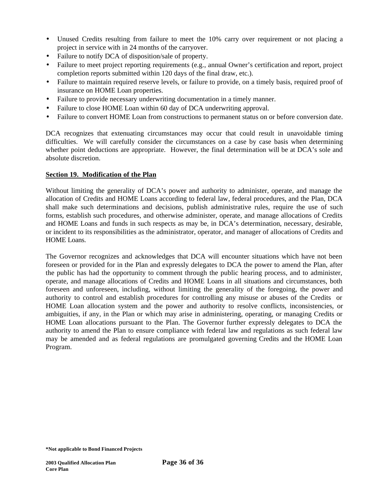- Unused Credits resulting from failure to meet the 10% carry over requirement or not placing a project in service with in 24 months of the carryover.
- Failure to notify DCA of disposition/sale of property.
- Failure to meet project reporting requirements (e.g., annual Owner's certification and report, project completion reports submitted within 120 days of the final draw, etc.).
- Failure to maintain required reserve levels, or failure to provide, on a timely basis, required proof of insurance on HOME Loan properties.
- Failure to provide necessary underwriting documentation in a timely manner.
- Failure to close HOME Loan within 60 day of DCA underwriting approval.
- Failure to convert HOME Loan from constructions to permanent status on or before conversion date.

DCA recognizes that extenuating circumstances may occur that could result in unavoidable timing difficulties. We will carefully consider the circumstances on a case by case basis when determining whether point deductions are appropriate. However, the final determination will be at DCA's sole and absolute discretion.

# **Section 19. Modification of the Plan**

Without limiting the generality of DCA's power and authority to administer, operate, and manage the allocation of Credits and HOME Loans according to federal law, federal procedures, and the Plan, DCA shall make such determinations and decisions, publish administrative rules, require the use of such forms, establish such procedures, and otherwise administer, operate, and manage allocations of Credits and HOME Loans and funds in such respects as may be, in DCA's determination, necessary, desirable, or incident to its responsibilities as the administrator, operator, and manager of allocations of Credits and HOME Loans.

The Governor recognizes and acknowledges that DCA will encounter situations which have not been foreseen or provided for in the Plan and expressly delegates to DCA the power to amend the Plan, after the public has had the opportunity to comment through the public hearing process, and to administer, operate, and manage allocations of Credits and HOME Loans in all situations and circumstances, both foreseen and unforeseen, including, without limiting the generality of the foregoing, the power and authority to control and establish procedures for controlling any misuse or abuses of the Credits or HOME Loan allocation system and the power and authority to resolve conflicts, inconsistencies, or ambiguities, if any, in the Plan or which may arise in administering, operating, or managing Credits or HOME Loan allocations pursuant to the Plan. The Governor further expressly delegates to DCA the authority to amend the Plan to ensure compliance with federal law and regulations as such federal law may be amended and as federal regulations are promulgated governing Credits and the HOME Loan Program.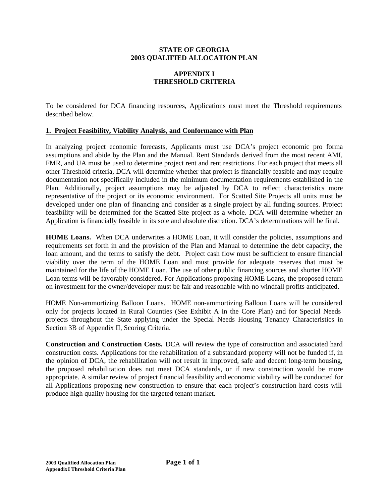### **STATE OF GEORGIA 2003 QUALIFIED ALLOCATION PLAN**

# **APPENDIX I THRESHOLD CRITERIA**

To be considered for DCA financing resources, Applications must meet the Threshold requirements described below.

## **1. Project Feasibility, Viability Analysis, and Conformance with Plan**

In analyzing project economic forecasts, Applicants must use DCA's project economic pro forma assumptions and abide by the Plan and the Manual. Rent Standards derived from the most recent AMI, FMR, and UA must be used to determine project rent and rent restrictions. For each project that meets all other Threshold criteria, DCA will determine whether that project is financially feasible and may require documentation not specifically included in the minimum documentation requirements established in the Plan. Additionally, project assumptions may be adjusted by DCA to reflect characteristics more representative of the project or its economic environment. For Scatted Site Projects all units must be developed under one plan of financing and consider as a single project by all funding sources. Project feasibility will be determined for the Scatted Site project as a whole. DCA will determine whether an Application is financially feasible in its sole and absolute discretion. DCA's determinations will be final.

HOME Loans. When DCA underwrites a HOME Loan, it will consider the policies, assumptions and requirements set forth in and the provision of the Plan and Manual to determine the debt capacity, the loan amount, and the terms to satisfy the debt. Project cash flow must be sufficient to ensure financial viability over the term of the HOME Loan and must provide for adequate reserves that must be maintained for the life of the HOME Loan. The use of other public financing sources and shorter HOME Loan terms will be favorably considered. For Applications proposing HOME Loans, the proposed return on investment for the owner/developer must be fair and reasonable with no windfall profits anticipated.

HOME Non-ammortizing Balloon Loans.HOME non-ammortizing Balloon Loans will be considered only for projects located in Rural Counties (See Exhibit A in the Core Plan) and for Special Needs projects throughout the State applying under the Special Needs Housing Tenancy Characteristics in Section 3B of Appendix II, Scoring Criteria.

**Construction and Construction Costs.** DCA will review the type of construction and associated hard construction costs. Applications for the rehabilitation of a substandard property will not be funded if, in the opinion of DCA, the rehabilitation will not result in improved, safe and decent long-term housing, the proposed rehabilitation does not meet DCA standards, or if new construction would be more appropriate. A similar review of project financial feasibility and economic viability will be conducted for all Applications proposing new construction to ensure that each project's construction hard costs will produce high quality housing for the targeted tenant market**.**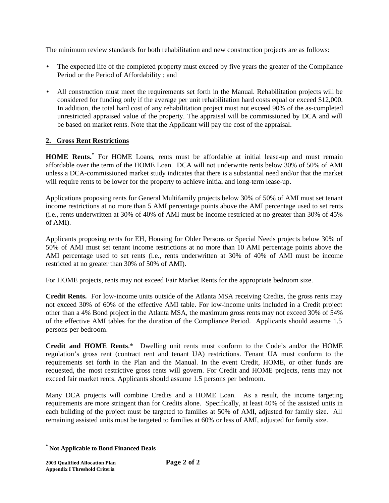The minimum review standards for both rehabilitation and new construction projects are as follows:

- The expected life of the completed property must exceed by five years the greater of the Compliance Period or the Period of Affordability ; and
- All construction must meet the requirements set forth in the Manual. Rehabilitation projects will be considered for funding only if the average per unit rehabilitation hard costs equal or exceed \$12,000. In addition, the total hard cost of any rehabilitation project must not exceed 90% of the as-completed unrestricted appraised value of the property. The appraisal will be commissioned by DCA and will be based on market rents. Note that the Applicant will pay the cost of the appraisal.

# **2. Gross Rent Restrictions**

**HOME Rents.\*** For HOME Loans, rents must be affordable at initial lease-up and must remain affordable over the term of the HOME Loan. DCA will not underwrite rents below 30% of 50% of AMI unless a DCA-commissioned market study indicates that there is a substantial need and/or that the market will require rents to be lower for the property to achieve initial and long-term lease-up.

Applications proposing rents for General Multifamily projects below 30% of 50% of AMI must set tenant income restrictions at no more than 5 AMI percentage points above the AMI percentage used to set rents (i.e., rents underwritten at 30% of 40% of AMI must be income restricted at no greater than 30% of 45% of AMI).

Applicants proposing rents for EH, Housing for Older Persons or Special Needs projects below 30% of 50% of AMI must set tenant income restrictions at no more than 10 AMI percentage points above the AMI percentage used to set rents (i.e., rents underwritten at 30% of 40% of AMI must be income restricted at no greater than 30% of 50% of AMI).

For HOME projects, rents may not exceed Fair Market Rents for the appropriate bedroom size.

**Credit Rents.** For low-income units outside of the Atlanta MSA receiving Credits, the gross rents may not exceed 30% of 60% of the effective AMI table. For low-income units included in a Credit project other than a 4% Bond project in the Atlanta MSA, the maximum gross rents may not exceed 30% of 54% of the effective AMI tables for the duration of the Compliance Period. Applicants should assume 1.5 persons per bedroom.

**Credit and HOME Rents**.\* Dwelling unit rents must conform to the Code's and/or the HOME regulation's gross rent (contract rent and tenant UA) restrictions. Tenant UA must conform to the requirements set forth in the Plan and the Manual. In the event Credit, HOME, or other funds are requested, the most restrictive gross rents will govern. For Credit and HOME projects, rents may not exceed fair market rents. Applicants should assume 1.5 persons per bedroom.

Many DCA projects will combine Credits and a HOME Loan. As a result, the income targeting requirements are more stringent than for Credits alone. Specifically, at least 40% of the assisted units in each building of the project must be targeted to families at 50% of AMI, adjusted for family size. All remaining assisted units must be targeted to families at 60% or less of AMI, adjusted for family size.

**<sup>\*</sup> Not Applicable to Bond Financed Deals**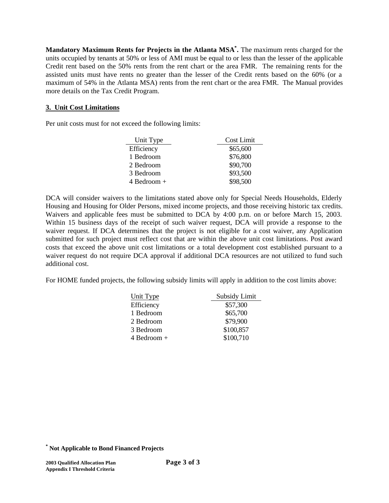**Mandatory Maximum Rents for Projects in the Atlanta MSA\* .** The maximum rents charged for the units occupied by tenants at 50% or less of AMI must be equal to or less than the lesser of the applicable Credit rent based on the 50% rents from the rent chart or the area FMR. The remaining rents for the assisted units must have rents no greater than the lesser of the Credit rents based on the 60% (or a maximum of 54% in the Atlanta MSA) rents from the rent chart or the area FMR. The Manual provides more details on the Tax Credit Program.

# **3. Unit Cost Limitations**

Per unit costs must for not exceed the following limits:

| Unit Type     | Cost Limit |
|---------------|------------|
| Efficiency    | \$65,600   |
| 1 Bedroom     | \$76,800   |
| 2 Bedroom     | \$90,700   |
| 3 Bedroom     | \$93,500   |
| $4$ Bedroom + | \$98,500   |

DCA will consider waivers to the limitations stated above only for Special Needs Households, Elderly Housing and Housing for Older Persons, mixed income projects, and those receiving historic tax credits. Waivers and applicable fees must be submitted to DCA by 4:00 p.m. on or before March 15, 2003. Within 15 business days of the receipt of such waiver request, DCA will provide a response to the waiver request. If DCA determines that the project is not eligible for a cost waiver, any Application submitted for such project must reflect cost that are within the above unit cost limitations. Post award costs that exceed the above unit cost limitations or a total development cost established pursuant to a waiver request do not require DCA approval if additional DCA resources are not utilized to fund such additional cost.

For HOME funded projects, the following subsidy limits will apply in addition to the cost limits above:

| Unit Type       | Subsidy Limit |
|-----------------|---------------|
| Efficiency      | \$57,300      |
| 1 Bedroom       | \$65,700      |
| 2 Bedroom       | \$79,900      |
| 3 Bedroom       | \$100,857     |
| $4$ Bedroom $+$ | \$100,710     |

**<sup>\*</sup> Not Applicable to Bond Financed Projects**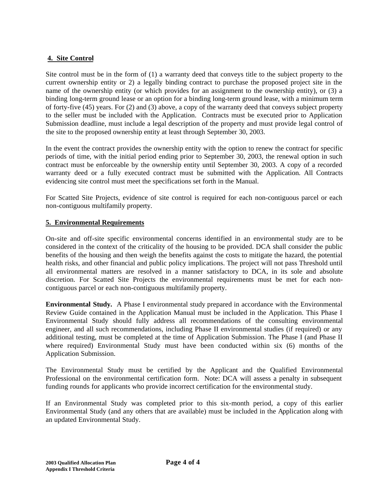# **4. Site Control**

Site control must be in the form of (1) a warranty deed that conveys title to the subject property to the current ownership entity or 2) a legally binding contract to purchase the proposed project site in the name of the ownership entity (or which provides for an assignment to the ownership entity), or (3) a binding long-term ground lease or an option for a binding long-term ground lease, with a minimum term of forty-five (45) years. For (2) and (3) above, a copy of the warranty deed that conveys subject property to the seller must be included with the Application. Contracts must be executed prior to Application Submission deadline, must include a legal description of the property and must provide legal control of the site to the proposed ownership entity at least through September 30, 2003.

In the event the contract provides the ownership entity with the option to renew the contract for specific periods of time, with the initial period ending prior to September 30, 2003, the renewal option in such contract must be enforceable by the ownership entity until September 30, 2003. A copy of a recorded warranty deed or a fully executed contract must be submitted with the Application. All Contracts evidencing site control must meet the specifications set forth in the Manual.

For Scatted Site Projects, evidence of site control is required for each non-contiguous parcel or each non-contiguous multifamily property.

## **5. Environmental Requirements**

On-site and off-site specific environmental concerns identified in an environmental study are to be considered in the context of the criticality of the housing to be provided. DCA shall consider the public benefits of the housing and then weigh the benefits against the costs to mitigate the hazard, the potential health risks, and other financial and public policy implications. The project will not pass Threshold until all environmental matters are resolved in a manner satisfactory to DCA, in its sole and absolute discretion. For Scatted Site Projects the environmental requirements must be met for each noncontiguous parcel or each non-contiguous multifamily property.

**Environmental Study.** A Phase I environmental study prepared in accordance with the Environmental Review Guide contained in the Application Manual must be included in the Application. This Phase I Environmental Study should fully address all recommendations of the consulting environmental engineer, and all such recommendations, including Phase II environmental studies (if required) or any additional testing, must be completed at the time of Application Submission. The Phase I (and Phase II where required) Environmental Study must have been conducted within six (6) months of the Application Submission.

The Environmental Study must be certified by the Applicant and the Qualified Environmental Professional on the environmental certification form. Note: DCA will assess a penalty in subsequent funding rounds for applicants who provide incorrect certification for the environmental study.

If an Environmental Study was completed prior to this six-month period, a copy of this earlier Environmental Study (and any others that are available) must be included in the Application along with an updated Environmental Study.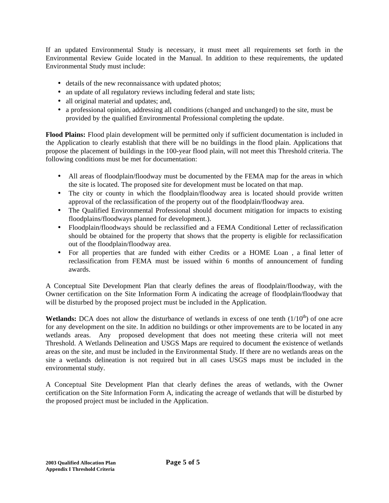If an updated Environmental Study is necessary, it must meet all requirements set forth in the Environmental Review Guide located in the Manual. In addition to these requirements, the updated Environmental Study must include:

- details of the new reconnaissance with updated photos;
- an update of all regulatory reviews including federal and state lists;
- all original material and updates; and,
- a professional opinion, addressing all conditions (changed and unchanged) to the site, must be provided by the qualified Environmental Professional completing the update.

**Flood Plains:** Flood plain development will be permitted only if sufficient documentation is included in the Application to clearly establish that there will be no buildings in the flood plain. Applications that propose the placement of buildings in the 100-year flood plain, will not meet this Threshold criteria. The following conditions must be met for documentation:

- All areas of floodplain/floodway must be documented by the FEMA map for the areas in which the site is located. The proposed site for development must be located on that map.
- The city or county in which the floodplain/floodway area is located should provide written approval of the reclassification of the property out of the floodplain/floodway area.
- The Qualified Environmental Professional should document mitigation for impacts to existing floodplains/floodways planned for development.).
- Floodplain/floodways should be reclassified and a FEMA Conditional Letter of reclassification should be obtained for the property that shows that the property is eligible for reclassification out of the floodplain/floodway area.
- For all properties that are funded with either Credits or a HOME Loan , a final letter of reclassification from FEMA must be issued within 6 months of announcement of funding awards.

A Conceptual Site Development Plan that clearly defines the areas of floodplain/floodway, with the Owner certification on the Site Information Form A indicating the acreage of floodplain/floodway that will be disturbed by the proposed project must be included in the Application.

**Wetlands:** DCA does not allow the disturbance of wetlands in excess of one tenth  $(1/10<sup>th</sup>)$  of one acre for any development on the site. In addition no buildings or other improvements are to be located in any wetlands areas. Any proposed development that does not meeting these criteria will not meet Threshold. A Wetlands Delineation and USGS Maps are required to document the existence of wetlands areas on the site, and must be included in the Environmental Study. If there are no wetlands areas on the site a wetlands delineation is not required but in all cases USGS maps must be included in the environmental study.

A Conceptual Site Development Plan that clearly defines the areas of wetlands, with the Owner certification on the Site Information Form A, indicating the acreage of wetlands that will be disturbed by the proposed project must be included in the Application.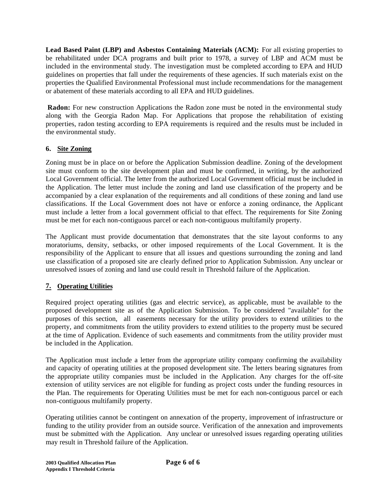**Lead Based Paint (LBP) and Asbestos Containing Materials (ACM):** For all existing properties to be rehabilitated under DCA programs and built prior to 1978, a survey of LBP and ACM must be included in the environmental study. The investigation must be completed according to EPA and HUD guidelines on properties that fall under the requirements of these agencies. If such materials exist on the properties the Qualified Environmental Professional must include recommendations for the management or abatement of these materials according to all EPA and HUD guidelines.

**Radon:** For new construction Applications the Radon zone must be noted in the environmental study along with the Georgia Radon Map. For Applications that propose the rehabilitation of existing properties, radon testing according to EPA requirements is required and the results must be included in the environmental study.

# **6. Site Zoning**

Zoning must be in place on or before the Application Submission deadline. Zoning of the development site must conform to the site development plan and must be confirmed, in writing, by the authorized Local Government official. The letter from the authorized Local Government official must be included in the Application. The letter must include the zoning and land use classification of the property and be accompanied by a clear explanation of the requirements and all conditions of these zoning and land use classifications. If the Local Government does not have or enforce a zoning ordinance, the Applicant must include a letter from a local government official to that effect. The requirements for Site Zoning must be met for each non-contiguous parcel or each non-contiguous multifamily property.

The Applicant must provide documentation that demonstrates that the site layout conforms to any moratoriums, density, setbacks, or other imposed requirements of the Local Government. It is the responsibility of the Applicant to ensure that all issues and questions surrounding the zoning and land use classification of a proposed site are clearly defined prior to Application Submission. Any unclear or unresolved issues of zoning and land use could result in Threshold failure of the Application.

# **7. Operating Utilities**

Required project operating utilities (gas and electric service), as applicable, must be available to the proposed development site as of the Application Submission. To be considered "available" for the purposes of this section, all easements necessary for the utility providers to extend utilities to the property, and commitments from the utility providers to extend utilities to the property must be secured at the time of Application. Evidence of such easements and commitments from the utility provider must be included in the Application.

The Application must include a letter from the appropriate utility company confirming the availability and capacity of operating utilities at the proposed development site. The letters bearing signatures from the appropriate utility companies must be included in the Application. Any charges for the off-site extension of utility services are not eligible for funding as project costs under the funding resources in the Plan. The requirements for Operating Utilities must be met for each non-contiguous parcel or each non-contiguous multifamily property.

Operating utilities cannot be contingent on annexation of the property, improvement of infrastructure or funding to the utility provider from an outside source. Verification of the annexation and improvements must be submitted with the Application. Any unclear or unresolved issues regarding operating utilities may result in Threshold failure of the Application.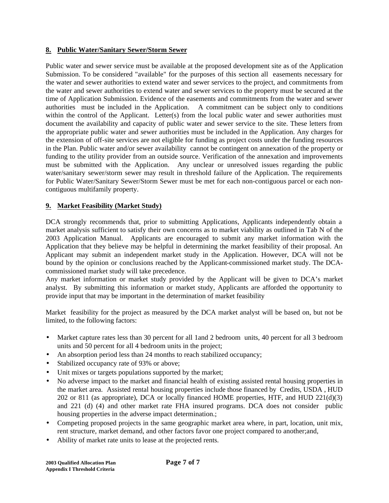# **8. Public Water/Sanitary Sewer/Storm Sewer**

Public water and sewer service must be available at the proposed development site as of the Application Submission. To be considered "available" for the purposes of this section all easements necessary for the water and sewer authorities to extend water and sewer services to the project, and commitments from the water and sewer authorities to extend water and sewer services to the property must be secured at the time of Application Submission. Evidence of the easements and commitments from the water and sewer authorities must be included in the Application. A commitment can be subject only to conditions within the control of the Applicant. Letter(s) from the local public water and sewer authorities must document the availability and capacity of public water and sewer service to the site. These letters from the appropriate public water and sewer authorities must be included in the Application. Any charges for the extension of off-site services are not eligible for funding as project costs under the funding resources in the Plan. Public water and/or sewer availability cannot be contingent on annexation of the property or funding to the utility provider from an outside source. Verification of the annexation and improvements must be submitted with the Application.Any unclear or unresolved issues regarding the public water/sanitary sewer/storm sewer may result in threshold failure of the Application. The requirements for Public Water/Sanitary Sewer/Storm Sewer must be met for each non-contiguous parcel or each noncontiguous multifamily property.

# **9. Market Feasibility (Market Study)**

DCA strongly recommends that, prior to submitting Applications, Applicants independently obtain a market analysis sufficient to satisfy their own concerns as to market viability as outlined in Tab N of the 2003 Application Manual. Applicants are encouraged to submit any market information with the Application that they believe may be helpful in determining the market feasibility of their proposal. An Applicant may submit an independent market study in the Application. However, DCA will not be bound by the opinion or conclusions reached by the Applicant-commissioned market study. The DCAcommissioned market study will take precedence.

Any market information or market study provided by the Applicant will be given to DCA's market analyst. By submitting this information or market study, Applicants are afforded the opportunity to provide input that may be important in the determination of market feasibility

Market feasibility for the project as measured by the DCA market analyst will be based on, but not be limited, to the following factors:

- Market capture rates less than 30 percent for all 1 and 2 bedroom units, 40 percent for all 3 bedroom units and 50 percent for all 4 bedroom units in the project;
- An absorption period less than 24 months to reach stabilized occupancy;
- Stabilized occupancy rate of 93% or above;
- Unit mixes or targets populations supported by the market;
- No adverse impact to the market and financial health of existing assisted rental housing properties in the market area. Assisted rental housing properties include those financed by Credits, USDA , HUD 202 or 811 (as appropriate), DCA or locally financed HOME properties, HTF, and HUD 221(d)(3) and 221 (d) (4) and other market rate FHA insured programs. DCA does not consider public housing properties in the adverse impact determination.;
- Competing proposed projects in the same geographic market area where, in part, location, unit mix, rent structure, market demand, and other factors favor one project compared to another;and,
- Ability of market rate units to lease at the projected rents.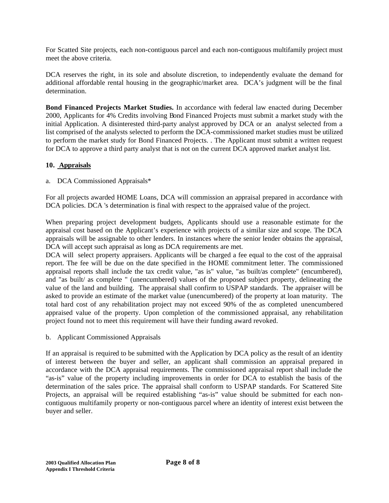For Scatted Site projects, each non-contiguous parcel and each non-contiguous multifamily project must meet the above criteria.

DCA reserves the right, in its sole and absolute discretion, to independently evaluate the demand for additional affordable rental housing in the geographic/market area. DCA's judgment will be the final determination.

**Bond Financed Projects Market Studies.** In accordance with federal law enacted during December 2000, Applicants for 4% Credits involving Bond Financed Projects must submit a market study with the initial Application. A disinterested third-party analyst approved by DCA or an analyst selected from a list comprised of the analysts selected to perform the DCA-commissioned market studies must be utilized to perform the market study for Bond Financed Projects. . The Applicant must submit a written request for DCA to approve a third party analyst that is not on the current DCA approved market analyst list.

# **10. Appraisals**

a. DCA Commissioned Appraisals\*

For all projects awarded HOME Loans, DCA will commission an appraisal prepared in accordance with DCA policies. DCA 's determination is final with respect to the appraised value of the project.

When preparing project development budgets, Applicants should use a reasonable estimate for the appraisal cost based on the Applicant's experience with projects of a similar size and scope. The DCA appraisals will be assignable to other lenders. In instances where the senior lender obtains the appraisal, DCA will accept such appraisal as long as DCA requirements are met.

DCA will select property appraisers. Applicants will be charged a fee equal to the cost of the appraisal report. The fee will be due on the date specified in the HOME commitment letter. The commissioned appraisal reports shall include the tax credit value, "as is" value, "as built/as complete" (encumbered), and "as built/ as complete " (unencumbered) values of the proposed subject property, delineating the value of the land and building. The appraisal shall confirm to USPAP standards. The appraiser will be asked to provide an estimate of the market value (unencumbered) of the property at loan maturity. The total hard cost of any rehabilitation project may not exceed 90% of the as completed unencumbered appraised value of the property. Upon completion of the commissioned appraisal, any rehabilitation project found not to meet this requirement will have their funding award revoked.

b. Applicant Commissioned Appraisals

If an appraisal is required to be submitted with the Application by DCA policy as the result of an identity of interest between the buyer and seller, an applicant shall commission an appraisal prepared in accordance with the DCA appraisal requirements. The commissioned appraisal report shall include the "as-is" value of the property including improvements in order for DCA to establish the basis of the determination of the sales price. The appraisal shall conform to USPAP standards. For Scattered Site Projects, an appraisal will be required establishing "as-is" value should be submitted for each noncontiguous multifamily property or non-contiguous parcel where an identity of interest exist between the buyer and seller.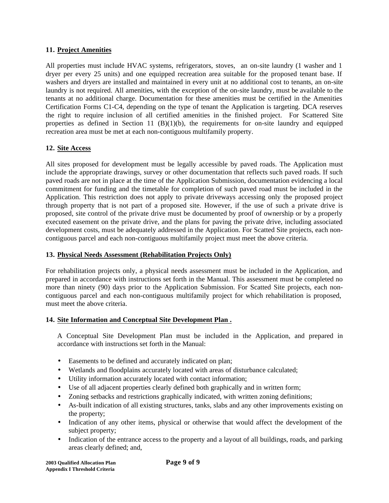## **11. Project Amenities**

All properties must include HVAC systems, refrigerators, stoves, an on-site laundry (1 washer and 1 dryer per every 25 units) and one equipped recreation area suitable for the proposed tenant base. If washers and dryers are installed and maintained in every unit at no additional cost to tenants, an on-site laundry is not required. All amenities, with the exception of the on-site laundry, must be available to the tenants at no additional charge. Documentation for these amenities must be certified in the Amenities Certification Forms C1-C4, depending on the type of tenant the Application is targeting. DCA reserves the right to require inclusion of all certified amenities in the finished project. For Scattered Site properties as defined in Section 11 (B)(1)(b), the requirements for on-site laundry and equipped recreation area must be met at each non-contiguous multifamily property.

# **12. Site Access**

All sites proposed for development must be legally accessible by paved roads. The Application must include the appropriate drawings, survey or other documentation that reflects such paved roads. If such paved roads are not in place at the time of the Application Submission, documentation evidencing a local commitment for funding and the timetable for completion of such paved road must be included in the Application. This restriction does not apply to private driveways accessing only the proposed project through property that is not part of a proposed site. However, if the use of such a private drive is proposed, site control of the private drive must be documented by proof of ownership or by a properly executed easement on the private drive, and the plans for paving the private drive, including associated development costs, must be adequately addressed in the Application. For Scatted Site projects, each noncontiguous parcel and each non-contiguous multifamily project must meet the above criteria.

# **13. Physical Needs Assessment (Rehabilitation Projects Only)**

For rehabilitation projects only, a physical needs assessment must be included in the Application, and prepared in accordance with instructions set forth in the Manual. This assessment must be completed no more than ninety (90) days prior to the Application Submission. For Scatted Site projects, each noncontiguous parcel and each non-contiguous multifamily project for which rehabilitation is proposed, must meet the above criteria.

# **14. Site Information and Conceptual Site Development Plan .**

A Conceptual Site Development Plan must be included in the Application, and prepared in accordance with instructions set forth in the Manual:

- Easements to be defined and accurately indicated on plan;
- Wetlands and floodplains accurately located with areas of disturbance calculated;
- Utility information accurately located with contact information;
- Use of all adjacent properties clearly defined both graphically and in written form;
- Zoning setbacks and restrictions graphically indicated, with written zoning definitions;
- As-built indication of all existing structures, tanks, slabs and any other improvements existing on the property;
- Indication of any other items, physical or otherwise that would affect the development of the subject property;
- Indication of the entrance access to the property and a layout of all buildings, roads, and parking areas clearly defined; and,

| <b>2003 Oualified Allocation Plan</b> |  |
|---------------------------------------|--|
| <b>Appendix I Threshold Criteria</b>  |  |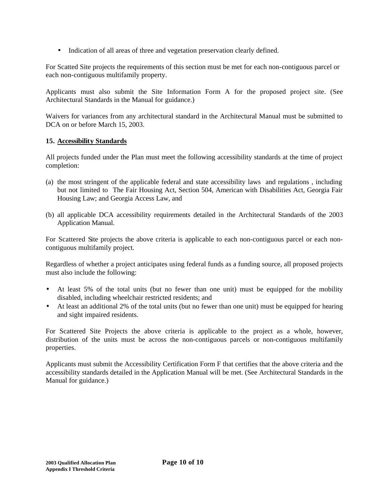• Indication of all areas of three and vegetation preservation clearly defined.

For Scatted Site projects the requirements of this section must be met for each non-contiguous parcel or each non-contiguous multifamily property.

Applicants must also submit the Site Information Form A for the proposed project site. (See Architectural Standards in the Manual for guidance.)

Waivers for variances from any architectural standard in the Architectural Manual must be submitted to DCA on or before March 15, 2003.

# **15. Accessibility Standards**

All projects funded under the Plan must meet the following accessibility standards at the time of project completion:

- (a) the most stringent of the applicable federal and state accessibility laws and regulations , including but not limited to The Fair Housing Act, Section 504, American with Disabilities Act, Georgia Fair Housing Law; and Georgia Access Law, and
- (b) all applicable DCA accessibility requirements detailed in the Architectural Standards of the 2003 Application Manual.

For Scattered Site projects the above criteria is applicable to each non-contiguous parcel or each noncontiguous multifamily project.

Regardless of whether a project anticipates using federal funds as a funding source, all proposed projects must also include the following:

- At least 5% of the total units (but no fewer than one unit) must be equipped for the mobility disabled, including wheelchair restricted residents; and
- At least an additional 2% of the total units (but no fewer than one unit) must be equipped for hearing and sight impaired residents.

For Scattered Site Projects the above criteria is applicable to the project as a whole, however, distribution of the units must be across the non-contiguous parcels or non-contiguous multifamily properties.

Applicants must submit the Accessibility Certification Form F that certifies that the above criteria and the accessibility standards detailed in the Application Manual will be met. (See Architectural Standards in the Manual for guidance.)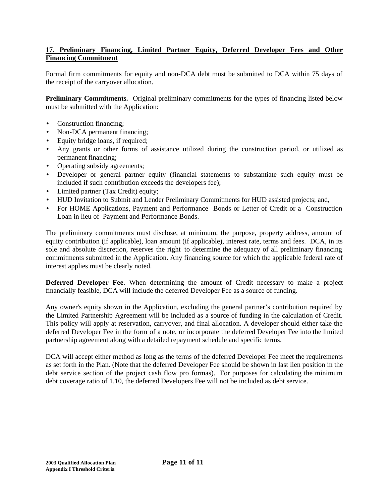# **17. Preliminary Financing, Limited Partner Equity, Deferred Developer Fees and Other Financing Commitment**

Formal firm commitments for equity and non-DCA debt must be submitted to DCA within 75 days of the receipt of the carryover allocation.

**Preliminary Commitments.** Original preliminary commitments for the types of financing listed below must be submitted with the Application:

- Construction financing;
- Non-DCA permanent financing;
- Equity bridge loans, if required;
- Any grants or other forms of assistance utilized during the construction period, or utilized as permanent financing;
- Operating subsidy agreements;
- Developer or general partner equity (financial statements to substantiate such equity must be included if such contribution exceeds the developers fee);
- Limited partner (Tax Credit) equity;
- HUD Invitation to Submit and Lender Preliminary Commitments for HUD assisted projects; and,
- For HOME Applications, Payment and Performance Bonds or Letter of Credit or a Construction Loan in lieu of Payment and Performance Bonds.

The preliminary commitments must disclose, at minimum, the purpose, property address, amount of equity contribution (if applicable), loan amount (if applicable), interest rate, terms and fees. DCA, in its sole and absolute discretion, reserves the right to determine the adequacy of all preliminary financing commitments submitted in the Application. Any financing source for which the applicable federal rate of interest applies must be clearly noted.

**Deferred Developer Fee**. When determining the amount of Credit necessary to make a project financially feasible, DCA will include the deferred Developer Fee as a source of funding.

Any owner's equity shown in the Application, excluding the general partner's contribution required by the Limited Partnership Agreement will be included as a source of funding in the calculation of Credit. This policy will apply at reservation, carryover, and final allocation. A developer should either take the deferred Developer Fee in the form of a note, or incorporate the deferred Developer Fee into the limited partnership agreement along with a detailed repayment schedule and specific terms.

DCA will accept either method as long as the terms of the deferred Developer Fee meet the requirements as set forth in the Plan. (Note that the deferred Developer Fee should be shown in last lien position in the debt service section of the project cash flow pro formas). For purposes for calculating the minimum debt coverage ratio of 1.10, the deferred Developers Fee will not be included as debt service.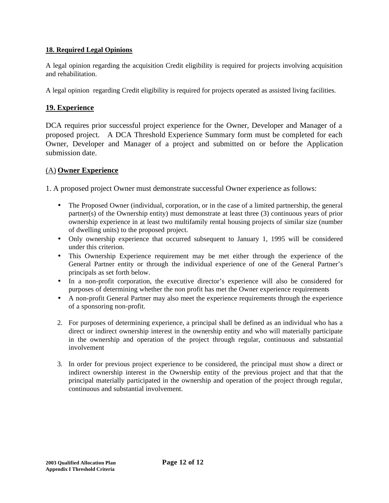# **18. Required Legal Opinions**

A legal opinion regarding the acquisition Credit eligibility is required for projects involving acquisition and rehabilitation.

A legal opinion regarding Credit eligibility is required for projects operated as assisted living facilities.

# **19. Experience**

DCA requires prior successful project experience for the Owner, Developer and Manager of a proposed project. A DCA Threshold Experience Summary form must be completed for each Owner, Developer and Manager of a project and submitted on or before the Application submission date.

# (A) **Owner Experience**

1. A proposed project Owner must demonstrate successful Owner experience as follows:

- The Proposed Owner (individual, corporation, or in the case of a limited partnership, the general partner(s) of the Ownership entity) must demonstrate at least three (3) continuous years of prior ownership experience in at least two multifamily rental housing projects of similar size (number of dwelling units) to the proposed project.
- Only ownership experience that occurred subsequent to January 1, 1995 will be considered under this criterion.
- This Ownership Experience requirement may be met either through the experience of the General Partner entity or through the individual experience of one of the General Partner's principals as set forth below.
- In a non-profit corporation, the executive director's experience will also be considered for purposes of determining whether the non profit has met the Owner experience requirements
- A non-profit General Partner may also meet the experience requirements through the experience of a sponsoring non-profit.
- 2. For purposes of determining experience, a principal shall be defined as an individual who has a direct or indirect ownership interest in the ownership entity and who will materially participate in the ownership and operation of the project through regular, continuous and substantial involvement
- 3. In order for previous project experience to be considered, the principal must show a direct or indirect ownership interest in the Ownership entity of the previous project and that that the principal materially participated in the ownership and operation of the project through regular, continuous and substantial involvement.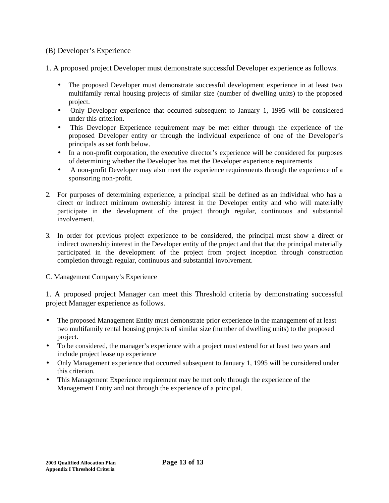# (B) Developer's Experience

1. A proposed project Developer must demonstrate successful Developer experience as follows.

- The proposed Developer must demonstrate successful development experience in at least two multifamily rental housing projects of similar size (number of dwelling units) to the proposed project.
- Only Developer experience that occurred subsequent to January 1, 1995 will be considered under this criterion.
- This Developer Experience requirement may be met either through the experience of the proposed Developer entity or through the individual experience of one of the Developer's principals as set forth below.
- In a non-profit corporation, the executive director's experience will be considered for purposes of determining whether the Developer has met the Developer experience requirements
- A non-profit Developer may also meet the experience requirements through the experience of a sponsoring non-profit.
- 2. For purposes of determining experience, a principal shall be defined as an individual who has a direct or indirect minimum ownership interest in the Developer entity and who will materially participate in the development of the project through regular, continuous and substantial involvement.
- 3. In order for previous project experience to be considered, the principal must show a direct or indirect ownership interest in the Developer entity of the project and that that the principal materially participated in the development of the project from project inception through construction completion through regular, continuous and substantial involvement.
- C. Management Company's Experience

1. A proposed project Manager can meet this Threshold criteria by demonstrating successful project Manager experience as follows.

- The proposed Management Entity must demonstrate prior experience in the management of at least two multifamily rental housing projects of similar size (number of dwelling units) to the proposed project.
- To be considered, the manager's experience with a project must extend for at least two years and include project lease up experience
- Only Management experience that occurred subsequent to January 1, 1995 will be considered under this criterion.
- This Management Experience requirement may be met only through the experience of the Management Entity and not through the experience of a principal.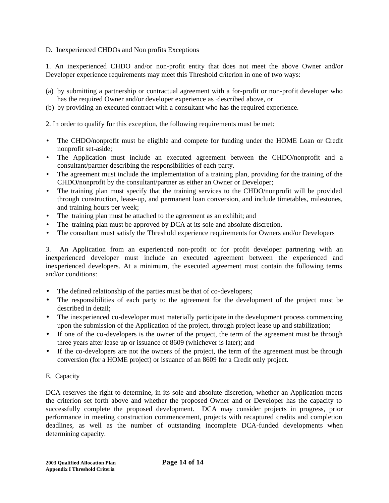## D. Inexperienced CHDOs and Non profits Exceptions

1. An inexperienced CHDO and/or non-profit entity that does not meet the above Owner and/or Developer experience requirements may meet this Threshold criterion in one of two ways:

- (a) by submitting a partnership or contractual agreement with a for-profit or non-profit developer who has the required Owner and/or developer experience as -described above, or
- (b) by providing an executed contract with a consultant who has the required experience.

2. In order to qualify for this exception, the following requirements must be met:

- The CHDO/nonprofit must be eligible and compete for funding under the HOME Loan or Credit nonprofit set-aside;
- The Application must include an executed agreement between the CHDO/nonprofit and a consultant/partner describing the responsibilities of each party.
- The agreement must include the implementation of a training plan, providing for the training of the CHDO/nonprofit by the consultant/partner as either an Owner or Developer;
- The training plan must specify that the training services to the CHDO/nonprofit will be provided through construction, lease-up, and permanent loan conversion, and include timetables, milestones, and training hours per week;
- The training plan must be attached to the agreement as an exhibit; and
- The training plan must be approved by DCA at its sole and absolute discretion.
- The consultant must satisfy the Threshold experience requirements for Owners and/or Developers

3. An Application from an experienced non-profit or for profit developer partnering with an inexperienced developer must include an executed agreement between the experienced and inexperienced developers. At a minimum, the executed agreement must contain the following terms and/or conditions:

- The defined relationship of the parties must be that of co-developers;
- The responsibilities of each party to the agreement for the development of the project must be described in detail;
- The inexperienced co-developer must materially participate in the development process commencing upon the submission of the Application of the project, through project lease up and stabilization;
- If one of the co-developers is the owner of the project, the term of the agreement must be through three years after lease up or issuance of 8609 (whichever is later); and
- If the co-developers are not the owners of the project, the term of the agreement must be through conversion (for a HOME project) or issuance of an 8609 for a Credit only project.

### E. Capacity

DCA reserves the right to determine, in its sole and absolute discretion, whether an Application meets the criterion set forth above and whether the proposed Owner and or Developer has the capacity to successfully complete the proposed development. DCA may consider projects in progress, prior performance in meeting construction commencement, projects with recaptured credits and completion deadlines, as well as the number of outstanding incomplete DCA-funded developments when determining capacity.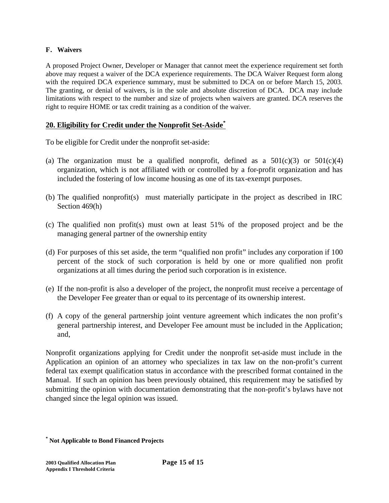# **F. Waivers**

A proposed Project Owner, Developer or Manager that cannot meet the experience requirement set forth above may request a waiver of the DCA experience requirements. The DCA Waiver Request form along with the required DCA experience summary, must be submitted to DCA on or before March 15, 2003. The granting, or denial of waivers, is in the sole and absolute discretion of DCA. DCA may include limitations with respect to the number and size of projects when waivers are granted. DCA reserves the right to require HOME or tax credit training as a condition of the waiver.

# **20. Eligibility for Credit under the Nonprofit Set-Aside\***

To be eligible for Credit under the nonprofit set-aside:

- (a) The organization must be a qualified nonprofit, defined as a  $501(c)(3)$  or  $501(c)(4)$ organization, which is not affiliated with or controlled by a for-profit organization and has included the fostering of low income housing as one of its tax-exempt purposes.
- (b) The qualified nonprofit(s) must materially participate in the project as described in IRC Section 469(h)
- (c) The qualified non profit(s) must own at least 51% of the proposed project and be the managing general partner of the ownership entity
- (d) For purposes of this set aside, the term "qualified non profit" includes any corporation if 100 percent of the stock of such corporation is held by one or more qualified non profit organizations at all times during the period such corporation is in existence.
- (e) If the non-profit is also a developer of the project, the nonprofit must receive a percentage of the Developer Fee greater than or equal to its percentage of its ownership interest.
- (f) A copy of the general partnership joint venture agreement which indicates the non profit's general partnership interest, and Developer Fee amount must be included in the Application; and,

Nonprofit organizations applying for Credit under the nonprofit set-aside must include in the Application an opinion of an attorney who specializes in tax law on the non-profit's current federal tax exempt qualification status in accordance with the prescribed format contained in the Manual. If such an opinion has been previously obtained, this requirement may be satisfied by submitting the opinion with documentation demonstrating that the non-profit's bylaws have not changed since the legal opinion was issued.

**<sup>\*</sup> Not Applicable to Bond Financed Projects**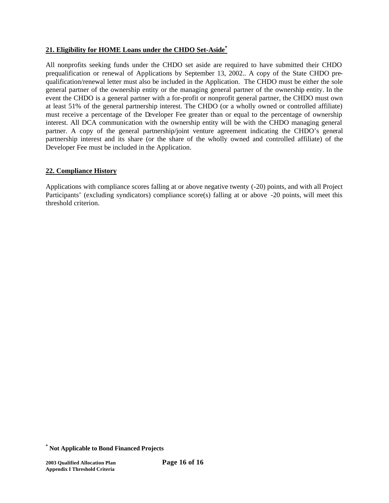# **21. Eligibility for HOME Loans under the CHDO Set-Aside\***

All nonprofits seeking funds under the CHDO set aside are required to have submitted their CHDO prequalification or renewal of Applications by September 13, 2002.. A copy of the State CHDO prequalification/renewal letter must also be included in the Application. The CHDO must be either the sole general partner of the ownership entity or the managing general partner of the ownership entity. In the event the CHDO is a general partner with a for-profit or nonprofit general partner, the CHDO must own at least 51% of the general partnership interest. The CHDO (or a wholly owned or controlled affiliate) must receive a percentage of the Developer Fee greater than or equal to the percentage of ownership interest. All DCA communication with the ownership entity will be with the CHDO managing general partner. A copy of the general partnership/joint venture agreement indicating the CHDO's general partnership interest and its share (or the share of the wholly owned and controlled affiliate) of the Developer Fee must be included in the Application.

# **22. Compliance History**

Applications with compliance scores falling at or above negative twenty (-20) points, and with all Project Participants' (excluding syndicators) compliance score(s) falling at or above -20 points, will meet this threshold criterion.

**<sup>\*</sup> Not Applicable to Bond Financed Projects**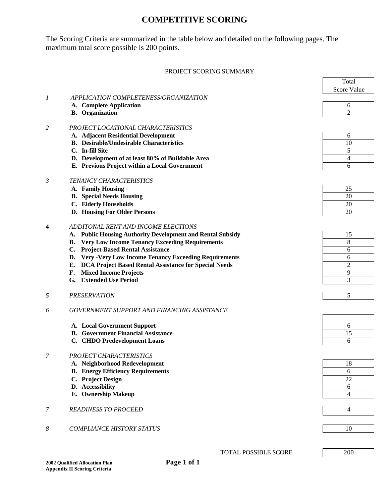# **COMPETITIVE SCORING**

The Scoring Criteria are summarized in the table below and detailed on the following pages. The maximum total score possible is 200 points.

#### PROJECT SCORING SUMMARY

F

|                |                                                                          | Total          |
|----------------|--------------------------------------------------------------------------|----------------|
|                |                                                                          | Score Value    |
| 1              | APPLICATION COMPLETENESS/ORGANIZATION                                    |                |
|                | A. Complete Application                                                  | 6              |
|                | <b>B.</b> Organization                                                   | $\overline{2}$ |
|                |                                                                          |                |
| 2              | PROJECT LOCATIONAL CHARACTERISTICS                                       |                |
|                | A. Adjacent Residential Development                                      | 6              |
|                | <b>B.</b> Desirable/Undesirable Characteristics                          | 10             |
|                | C. In-fill Site                                                          | 5              |
|                | D. Development of at least 80% of Buildable Area                         | 4              |
|                | E. Previous Project within a Local Government                            | 6              |
|                |                                                                          |                |
| $\mathfrak{Z}$ | TENANCY CHARACTERISTICS                                                  |                |
|                | A. Family Housing                                                        | 25             |
|                | <b>B.</b> Special Needs Housing                                          | 20             |
|                | C. Elderly Households                                                    | 20             |
|                | D. Housing For Older Persons                                             | 20             |
|                |                                                                          |                |
| 4              | ADDITONAL RENT AND INCOME ELECTIONS                                      |                |
|                | <b>Public Housing Authority Development and Rental Subsidy</b><br>А.     | 15             |
|                | <b>Very Low Income Tenancy Exceeding Requirements</b><br>В.              | 8              |
|                | <b>Project-Based Rental Assistance</b><br>C.                             | 6              |
|                | D. Very -Very Low Income Tenancy Exceeding Requirements                  | 6              |
|                | DCA Project Based Rental Assistance for Special Needs<br>Е.              | $\overline{2}$ |
|                | <b>Mixed Income Projects</b><br>F.                                       | 9              |
|                | G. Extended Use Period                                                   | 3              |
|                |                                                                          |                |
| 5              | <b>PRESERVATION</b>                                                      | 5              |
|                |                                                                          |                |
| 6              | GOVERNMENT SUPPORT AND FINANCING ASSISTANCE                              |                |
|                |                                                                          | 6              |
|                | A. Local Government Support<br><b>B.</b> Government Financial Assistance | 15             |
|                | C. CHDO Predevelopment Loans                                             | 6              |
|                |                                                                          |                |
| 7              | PROJECT CHARACTERISTICS                                                  |                |
|                | A. Neighborhood Redevelopment                                            | 18             |
|                | <b>B.</b> Energy Efficiency Requirements                                 | 6              |
|                | C. Project Design                                                        | 22             |
|                | D. Accessibility                                                         | 6              |
|                | E. Ownership Makeup                                                      | 4              |
|                |                                                                          |                |
| 7              | <b>READINESS TO PROCEED</b>                                              | $\overline{4}$ |
|                |                                                                          |                |
|                |                                                                          |                |
| 8              | <b>COMPLIANCE HISTORY STATUS</b>                                         | 10             |
|                |                                                                          |                |
|                |                                                                          |                |
|                | TOTAL POSSIBLE SCORE                                                     | 200            |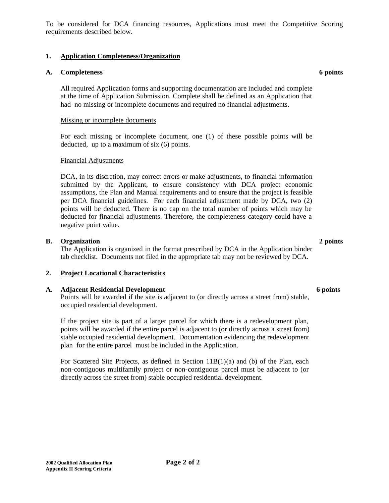To be considered for DCA financing resources, Applications must meet the Competitive Scoring requirements described below.

# **1. Application Completeness/Organization**

### **A. Completeness 6 points**

All required Application forms and supporting documentation are included and complete at the time of Application Submission. Complete shall be defined as an Application that had no missing or incomplete documents and required no financial adjustments.

### Missing or incomplete documents

For each missing or incomplete document, one (1) of these possible points will be deducted, up to a maximum of six (6) points.

### Financial Adjustments

DCA, in its discretion, may correct errors or make adjustments, to financial information submitted by the Applicant, to ensure consistency with DCA project economic assumptions, the Plan and Manual requirements and to ensure that the project is feasible per DCA financial guidelines. For each financial adjustment made by DCA, two (2) points will be deducted. There is no cap on the total number of points which may be deducted for financial adjustments. Therefore, the completeness category could have a negative point value.

### **B. Organization 2 points**

The Application is organized in the format prescribed by DCA in the Application binder tab checklist. Documents not filed in the appropriate tab may not be reviewed by DCA.

### **2. Project Locational Characteristics**

### **A. Adjacent Residential Development 6 points**

Points will be awarded if the site is adjacent to (or directly across a street from) stable, occupied residential development.

If the project site is part of a larger parcel for which there is a redevelopment plan, points will be awarded if the entire parcel is adjacent to (or directly across a street from) stable occupied residential development. Documentation evidencing the redevelopment plan for the entire parcel must be included in the Application.

For Scattered Site Projects, as defined in Section 11B(1)(a) and (b) of the Plan, each non-contiguous multifamily project or non-contiguous parcel must be adjacent to (or directly across the street from) stable occupied residential development.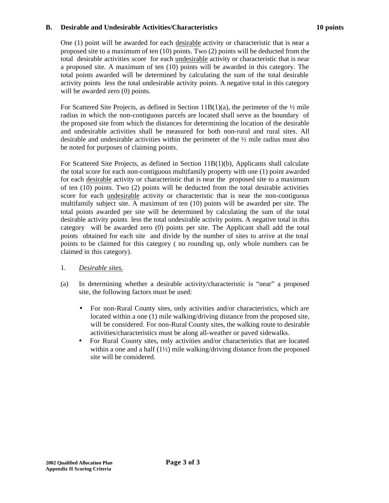### **B. Desirable and Undesirable Activities/Characteristics 10 points**

One (1) point will be awarded for each desirable activity or characteristic that is near a proposed site to a maximum of ten (10) points. Two (2) points will be deducted from the total desirable activities score for each undesirable activity or characteristic that is near a proposed site. A maximum of ten (10) points will be awarded in this category. The total points awarded will be determined by calculating the sum of the total desirable activity points less the total undesirable activity points. A negative total in this category will be awarded zero (0) points.

For Scattered Site Projects, as defined in Section 11B(1)(a), the perimeter of the  $\frac{1}{2}$  mile radius in which the non-contiguous parcels are located shall serve as the boundary of the proposed site from which the distances for determining the location of the desirable and undesirable activities shall be measured for both non-rural and rural sites. All desirable and undesirable activities within the perimeter of the  $\frac{1}{2}$  mile radius must also be noted for purposes of claiming points.

For Scattered Site Projects, as defined in Section 11B(1)(b), Applicants shall calculate the total score for each non-contiguous multifamily property with one (1) point awarded for each desirable activity or characteristic that is near the proposed site to a maximum of ten (10) points. Two (2) points will be deducted from the total desirable activities score for each undesirable activity or characteristic that is near the non-contiguous multifamily subject site. A maximum of ten (10) points will be awarded per site. The total points awarded per site will be determined by calculating the sum of the total desirable activity points less the total undesirable activity points. A negative total in this category will be awarded zero (0) points per site. The Applicant shall add the total points obtained for each site and divide by the number of sites to arrive at the total points to be claimed for this category ( no rounding up, only whole numbers can be claimed in this category).

- 1. *Desirable sites.*
- (a) In determining whether a desirable activity/characteristic is "near" a proposed site, the following factors must be used:
	- For non-Rural County sites, only activities and/or characteristics, which are located within a one (1) mile walking/driving distance from the proposed site, will be considered. For non-Rural County sites, the walking route to desirable activities/characteristics must be along all-weather or paved sidewalks.
	- For Rural County sites, only activities and/or characteristics that are located within a one and a half (1½) mile walking/driving distance from the proposed site will be considered.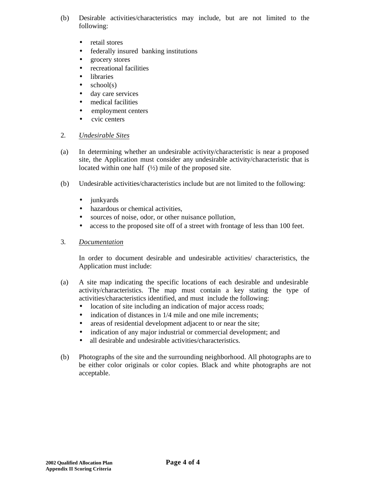- (b) Desirable activities/characteristics may include, but are not limited to the following:
	- retail stores
	- federally insured banking institutions
	- grocery stores
	- recreational facilities
	- libraries
	- $\bullet$  school(s)
	- day care services
	- medical facilities
	- employment centers
	- cvic centers

### 2. *Undesirable Sites*

- (a) In determining whether an undesirable activity/characteristic is near a proposed site, the Application must consider any undesirable activity/characteristic that is located within one half (½) mile of the proposed site.
- (b) Undesirable activities/characteristics include but are not limited to the following:
	- junkyards
	- hazardous or chemical activities,
	- sources of noise, odor, or other nuisance pollution,
	- access to the proposed site off of a street with frontage of less than 100 feet.
- 3. *Documentation*

In order to document desirable and undesirable activities/ characteristics, the Application must include:

- (a) A site map indicating the specific locations of each desirable and undesirable activity/characteristics. The map must contain a key stating the type of activities/characteristics identified, and must include the following:
	- location of site including an indication of major access roads;
	- indication of distances in  $1/4$  mile and one mile increments;
	- areas of residential development adjacent to or near the site;
	- indication of any major industrial or commercial development; and
	- all desirable and undesirable activities/characteristics.
- (b) Photographs of the site and the surrounding neighborhood. All photographs are to be either color originals or color copies. Black and white photographs are not acceptable.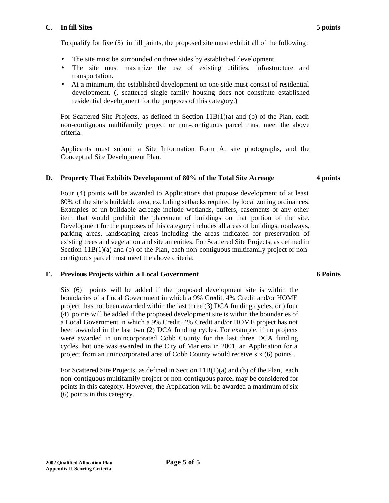#### **C. In fill Sites 5 points**

To qualify for five (5) in fill points, the proposed site must exhibit all of the following:

- The site must be surrounded on three sides by established development.
- The site must maximize the use of existing utilities, infrastructure and transportation.
- At a minimum, the established development on one side must consist of residential development. (, scattered single family housing does not constitute established residential development for the purposes of this category.)

For Scattered Site Projects, as defined in Section 11B(1)(a) and (b) of the Plan, each non-contiguous multifamily project or non-contiguous parcel must meet the above criteria.

Applicants must submit a Site Information Form A, site photographs, and the Conceptual Site Development Plan.

## **D. Property That Exhibits Development of 80% of the Total Site Acreage 4 points**

Four (4) points will be awarded to Applications that propose development of at least 80% of the site's buildable area, excluding setbacks required by local zoning ordinances. Examples of un-buildable acreage include wetlands, buffers, easements or any other item that would prohibit the placement of buildings on that portion of the site. Development for the purposes of this category includes all areas of buildings, roadways, parking areas, landscaping areas including the areas indicated for preservation of existing trees and vegetation and site amenities. For Scattered Site Projects, as defined in Section  $11B(1)(a)$  and (b) of the Plan, each non-contiguous multifamily project or noncontiguous parcel must meet the above criteria.

# **E. Previous Projects within a Local Government**

Six (6) points will be added if the proposed development site is within the boundaries of a Local Government in which a 9% Credit, 4% Credit and/or HOME project has not been awarded within the last three (3) DCA funding cycles, or ) four (4) points will be added if the proposed development site is within the boundaries of a Local Government in which a 9% Credit, 4% Credit and/or HOME project has not been awarded in the last two (2) DCA funding cycles. For example, if no projects were awarded in unincorporated Cobb County for the last three DCA funding cycles, but one was awarded in the City of Marietta in 2001, an Application for a project from an unincorporated area of Cobb County would receive six (6) points .

For Scattered Site Projects, as defined in Section 11B(1)(a) and (b) of the Plan, each non-contiguous multifamily project or non-contiguous parcel may be considered for points in this category. However, the Application will be awarded a maximum of six (6) points in this category.

#### **6 Points**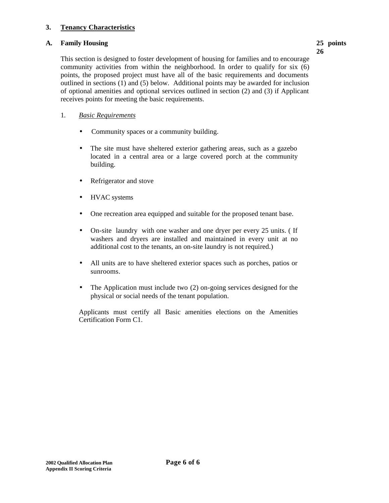### **3. Tenancy Characteristics**

### **A. Family Housing 25 points**

**26**

This section is designed to foster development of housing for families and to encourage community activities from within the neighborhood. In order to qualify for six (6) points, the proposed project must have all of the basic requirements and documents outlined in sections (1) and (5) below. Additional points may be awarded for inclusion of optional amenities and optional services outlined in section (2) and (3) if Applicant receives points for meeting the basic requirements.

## 1. *Basic Requirements*

- Community spaces or a community building.
- The site must have sheltered exterior gathering areas, such as a gazebo located in a central area or a large covered porch at the community building.
- Refrigerator and stove
- HVAC systems
- One recreation area equipped and suitable for the proposed tenant base.
- On-site laundry with one washer and one dryer per every 25 units. ( If washers and dryers are installed and maintained in every unit at no additional cost to the tenants, an on-site laundry is not required.)
- All units are to have sheltered exterior spaces such as porches, patios or sunrooms.
- The Application must include two (2) on-going services designed for the physical or social needs of the tenant population.

Applicants must certify all Basic amenities elections on the Amenities Certification Form C1.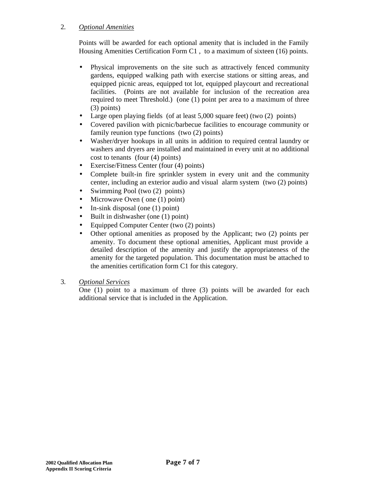# 2. *Optional Amenities*

Points will be awarded for each optional amenity that is included in the Family Housing Amenities Certification Form C1 , to a maximum of sixteen (16) points.

- Physical improvements on the site such as attractively fenced community gardens, equipped walking path with exercise stations or sitting areas, and equipped picnic areas, equipped tot lot, equipped playcourt and recreational facilities. (Points are not available for inclusion of the recreation area required to meet Threshold.) (one (1) point per area to a maximum of three (3) points)
- Large open playing fields (of at least 5,000 square feet) (two (2) points)
- Covered pavilion with picnic/barbecue facilities to encourage community or family reunion type functions (two (2) points)
- Washer/dryer hookups in all units in addition to required central laundry or washers and dryers are installed and maintained in every unit at no additional cost to tenants (four (4) points)
- Exercise/Fitness Center (four (4) points)
- Complete built-in fire sprinkler system in every unit and the community center, including an exterior audio and visual alarm system (two (2) points)
- Swimming Pool (two (2) points)
- Microwave Oven (one (1) point)
- In-sink disposal (one  $(1)$  point)
- Built in dishwasher (one (1) point)
- Equipped Computer Center (two (2) points)
- Other optional amenities as proposed by the Applicant; two (2) points per amenity. To document these optional amenities, Applicant must provide a detailed description of the amenity and justify the appropriateness of the amenity for the targeted population. This documentation must be attached to the amenities certification form C1 for this category.

# 3. *Optional Services*

One (1) point to a maximum of three (3) points will be awarded for each additional service that is included in the Application.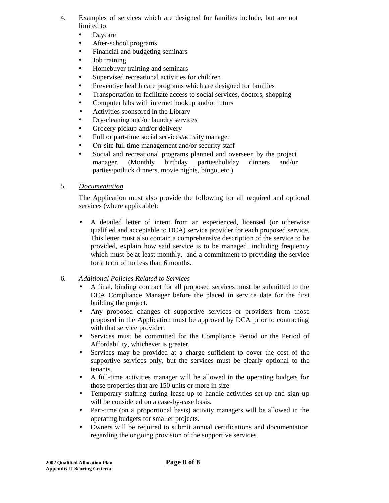- 4. Examples of services which are designed for families include, but are not limited to:
	- Daycare
	- After-school programs
	- Financial and budgeting seminars
	- Job training
	- Homebuyer training and seminars
	- Supervised recreational activities for children
	- Preventive health care programs which are designed for families
	- Transportation to facilitate access to social services, doctors, shopping
	- Computer labs with internet hookup and/or tutors
	- Activities sponsored in the Library
	- Dry-cleaning and/or laundry services
	- Grocery pickup and/or delivery
	- Full or part-time social services/activity manager
	- On-site full time management and/or security staff
	- Social and recreational programs planned and overseen by the project manager. (Monthly birthday parties/holiday dinners and/or parties/potluck dinners, movie nights, bingo, etc.)
- 5. *Documentation*

The Application must also provide the following for all required and optional services (where applicable):

• A detailed letter of intent from an experienced, licensed (or otherwise qualified and acceptable to DCA) service provider for each proposed service. This letter must also contain a comprehensive description of the service to be provided, explain how said service is to be managed, including frequency which must be at least monthly, and a commitment to providing the service for a term of no less than 6 months.

# 6. *Additional Policies Related to Services*

- A final, binding contract for all proposed services must be submitted to the DCA Compliance Manager before the placed in service date for the first building the project.
- Any proposed changes of supportive services or providers from those proposed in the Application must be approved by DCA prior to contracting with that service provider.
- Services must be committed for the Compliance Period or the Period of Affordability, whichever is greater.
- Services may be provided at a charge sufficient to cover the cost of the supportive services only, but the services must be clearly optional to the tenants.
- A full-time activities manager will be allowed in the operating budgets for those properties that are 150 units or more in size
- Temporary staffing during lease-up to handle activities set-up and sign-up will be considered on a case-by-case basis.
- Part-time (on a proportional basis) activity managers will be allowed in the operating budgets for smaller projects.
- Owners will be required to submit annual certifications and documentation regarding the ongoing provision of the supportive services.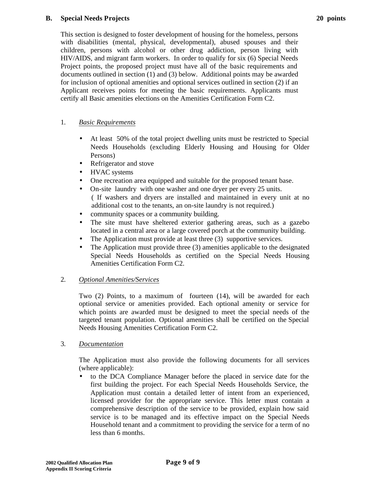#### **B. Special Needs Projects**

This section is designed to foster development of housing for the homeless, persons with disabilities (mental, physical, developmental), abused spouses and their children, persons with alcohol or other drug addiction, person living with HIV/AIDS, and migrant farm workers. In order to qualify for six (6) Special Needs Project points, the proposed project must have all of the basic requirements and documents outlined in section (1) and (3) below. Additional points may be awarded for inclusion of optional amenities and optional services outlined in section (2) if an Applicant receives points for meeting the basic requirements. Applicants must certify all Basic amenities elections on the Amenities Certification Form C2.

## 1. *Basic Requirements*

- At least 50% of the total project dwelling units must be restricted to Special Needs Households (excluding Elderly Housing and Housing for Older Persons)
- Refrigerator and stove
- HVAC systems
- One recreation area equipped and suitable for the proposed tenant base.
- On-site laundry with one washer and one dryer per every 25 units. ( If washers and dryers are installed and maintained in every unit at no additional cost to the tenants, an on-site laundry is not required.)
- community spaces or a community building.
- The site must have sheltered exterior gathering areas, such as a gazebo located in a central area or a large covered porch at the community building.
- The Application must provide at least three (3) supportive services.
- The Application must provide three (3) amenities applicable to the designated Special Needs Households as certified on the Special Needs Housing Amenities Certification Form C2.

# 2. *Optional Amenities/Services*

Two (2) Points, to a maximum of fourteen (14), will be awarded for each optional service or amenities provided. Each optional amenity or service for which points are awarded must be designed to meet the special needs of the targeted tenant population. Optional amenities shall be certified on the Special Needs Housing Amenities Certification Form C2.

### 3. *Documentation*

The Application must also provide the following documents for all services (where applicable):

• to the DCA Compliance Manager before the placed in service date for the first building the project. For each Special Needs Households Service, the Application must contain a detailed letter of intent from an experienced, licensed provider for the appropriate service. This letter must contain a comprehensive description of the service to be provided, explain how said service is to be managed and its effective impact on the Special Needs Household tenant and a commitment to providing the service for a term of no less than 6 months.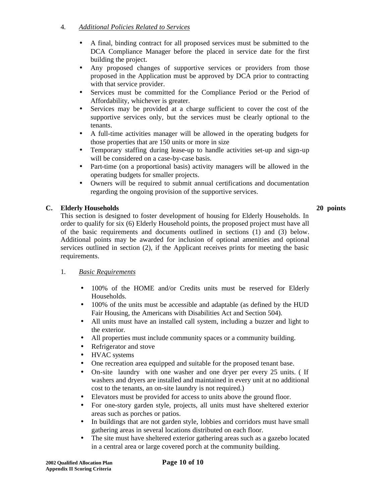# 4. *Additional Policies Related to Services*

- A final, binding contract for all proposed services must be submitted to the DCA Compliance Manager before the placed in service date for the first building the project.
- Any proposed changes of supportive services or providers from those proposed in the Application must be approved by DCA prior to contracting with that service provider.
- Services must be committed for the Compliance Period or the Period of Affordability, whichever is greater.
- Services may be provided at a charge sufficient to cover the cost of the supportive services only, but the services must be clearly optional to the tenants.
- A full-time activities manager will be allowed in the operating budgets for those properties that are 150 units or more in size
- Temporary staffing during lease-up to handle activities set-up and sign-up will be considered on a case-by-case basis.
- Part-time (on a proportional basis) activity managers will be allowed in the operating budgets for smaller projects.
- Owners will be required to submit annual certifications and documentation regarding the ongoing provision of the supportive services.

**C. Elderly Households 20 points** This section is designed to foster development of housing for Elderly Households. In order to qualify for six (6) Elderly Household points, the proposed project must have all of the basic requirements and documents outlined in sections (1) and (3) below. Additional points may be awarded for inclusion of optional amenities and optional services outlined in section (2), if the Applicant receives prints for meeting the basic requirements.

# 1. *Basic Requirements*

- 100% of the HOME and/or Credits units must be reserved for Elderly Households.
- 100% of the units must be accessible and adaptable (as defined by the HUD Fair Housing, the Americans with Disabilities Act and Section 504).
- All units must have an installed call system, including a buzzer and light to the exterior.
- All properties must include community spaces or a community building.
- Refrigerator and stove
- HVAC systems
- One recreation area equipped and suitable for the proposed tenant base.
- On-site laundry with one washer and one dryer per every 25 units. ( If washers and dryers are installed and maintained in every unit at no additional cost to the tenants, an on-site laundry is not required.)
- Elevators must be provided for access to units above the ground floor.
- For one-story garden style, projects, all units must have sheltered exterior areas such as porches or patios.
- In buildings that are not garden style, lobbies and corridors must have small gathering areas in several locations distributed on each floor.
- The site must have sheltered exterior gathering areas such as a gazebo located in a central area or large covered porch at the community building.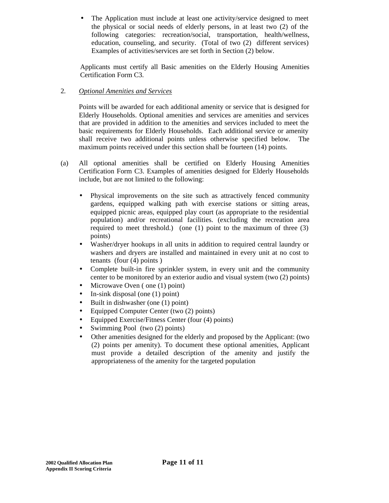The Application must include at least one activity/service designed to meet the physical or social needs of elderly persons, in at least two (2) of the following categories: recreation/social, transportation, health/wellness, education, counseling, and security. (Total of two (2) different services) Examples of activities/services are set forth in Section (2) below.

Applicants must certify all Basic amenities on the Elderly Housing Amenities Certification Form C3.

# 2. *Optional Amenities and Services*

Points will be awarded for each additional amenity or service that is designed for Elderly Households. Optional amenities and services are amenities and services that are provided in addition to the amenities and services included to meet the basic requirements for Elderly Households. Each additional service or amenity shall receive two additional points unless otherwise specified below. The maximum points received under this section shall be fourteen (14) points.

- (a) All optional amenities shall be certified on Elderly Housing Amenities Certification Form C3. Examples of amenities designed for Elderly Households include, but are not limited to the following:
	- Physical improvements on the site such as attractively fenced community gardens, equipped walking path with exercise stations or sitting areas, equipped picnic areas, equipped play court (as appropriate to the residential population) and/or recreational facilities. (excluding the recreation area required to meet threshold.) (one (1) point to the maximum of three (3) points)
	- Washer/dryer hookups in all units in addition to required central laundry or washers and dryers are installed and maintained in every unit at no cost to tenants (four (4) points )
	- Complete built-in fire sprinkler system, in every unit and the community center to be monitored by an exterior audio and visual system (two (2) points)
	- Microwave Oven (one (1) point)
	- In-sink disposal (one (1) point)
	- Built in dishwasher (one (1) point)
	- Equipped Computer Center (two (2) points)
	- Equipped Exercise/Fitness Center (four (4) points)
	- Swimming Pool (two (2) points)
	- Other amenities designed for the elderly and proposed by the Applicant: (two (2) points per amenity). To document these optional amenities, Applicant must provide a detailed description of the amenity and justify the appropriateness of the amenity for the targeted population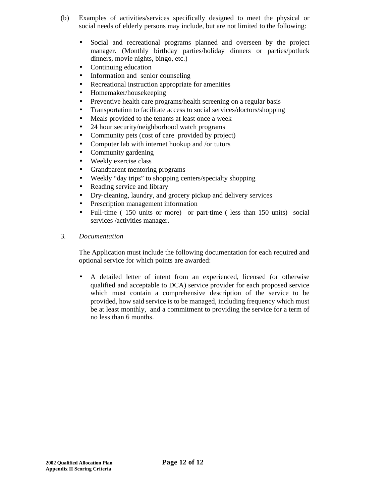- (b) Examples of activities/services specifically designed to meet the physical or social needs of elderly persons may include, but are not limited to the following:
	- Social and recreational programs planned and overseen by the project manager. (Monthly birthday parties/holiday dinners or parties/potluck dinners, movie nights, bingo, etc.)
	- Continuing education
	- Information and senior counseling
	- Recreational instruction appropriate for amenities
	- Homemaker/housekeeping
	- Preventive health care programs/health screening on a regular basis
	- Transportation to facilitate access to social services/doctors/shopping
	- Meals provided to the tenants at least once a week
	- 24 hour security/neighborhood watch programs
	- Community pets (cost of care provided by project)
	- Computer lab with internet hookup and /or tutors
	- Community gardening
	- Weekly exercise class
	- Grandparent mentoring programs
	- Weekly "day trips" to shopping centers/specialty shopping
	- Reading service and library
	- Dry-cleaning, laundry, and grocery pickup and delivery services
	- Prescription management information
	- Full-time (150 units or more) or part-time (less than 150 units) social services /activities manager.
- 3. *Documentation*

The Application must include the following documentation for each required and optional service for which points are awarded:

• A detailed letter of intent from an experienced, licensed (or otherwise qualified and acceptable to DCA) service provider for each proposed service which must contain a comprehensive description of the service to be provided, how said service is to be managed, including frequency which must be at least monthly, and a commitment to providing the service for a term of no less than 6 months.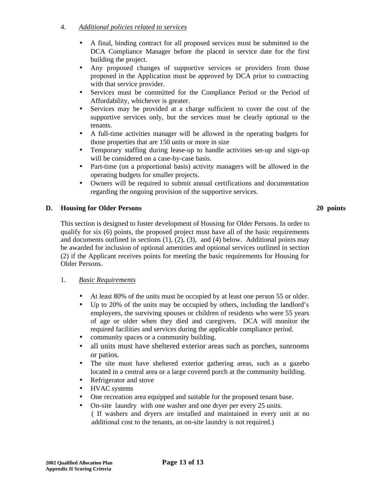# 4. *Additional policies related to services*

- A final, binding contract for all proposed services must be submitted to the DCA Compliance Manager before the placed in service date for the first building the project.
- Any proposed changes of supportive services or providers from those proposed in the Application must be approved by DCA prior to contracting with that service provider.
- Services must be committed for the Compliance Period or the Period of Affordability, whichever is greater.
- Services may be provided at a charge sufficient to cover the cost of the supportive services only, but the services must be clearly optional to the tenants.
- A full-time activities manager will be allowed in the operating budgets for those properties that are 150 units or more in size
- Temporary staffing during lease-up to handle activities set-up and sign-up will be considered on a case-by-case basis.
- Part-time (on a proportional basis) activity managers will be allowed in the operating budgets for smaller projects.
- Owners will be required to submit annual certifications and documentation regarding the ongoing provision of the supportive services.

### **D. Housing for Older Persons 20 points**

This section is designed to foster development of Housing for Older Persons. In order to qualify for six (6) points, the proposed project must have all of the basic requirements and documents outlined in sections  $(1)$ ,  $(2)$ ,  $(3)$ , and  $(4)$  below. Additional points may be awarded for inclusion of optional amenities and optional services outlined in section (2) if the Applicant receives points for meeting the basic requirements for Housing for Older Persons.

### 1. *Basic Requirements*

- At least 80% of the units must be occupied by at least one person 55 or older.
- Up to 20% of the units may be occupied by others, including the landlord's employees, the surviving spouses or children of residents who were 55 years of age or older when they died and caregivers. DCA will monitor the required facilities and services during the applicable compliance period.
- community spaces or a community building.
- all units must have sheltered exterior areas such as porches, sunrooms or patios.
- The site must have sheltered exterior gathering areas, such as a gazebo located in a central area or a large covered porch at the community building.
- Refrigerator and stove
- HVAC systems
- One recreation area equipped and suitable for the proposed tenant base.
- On-site laundry with one washer and one dryer per every 25 units. ( If washers and dryers are installed and maintained in every unit at no additional cost to the tenants, an on-site laundry is not required.)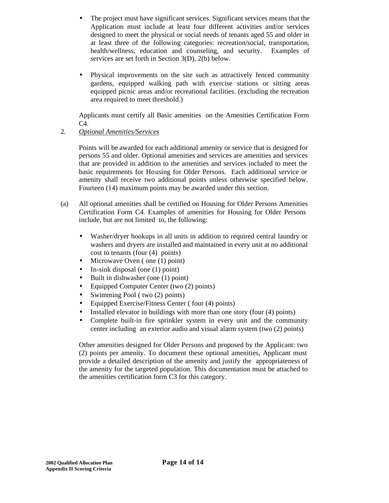- The project must have significant services. Significant services means that the Application must include at least four different activities and/or services designed to meet the physical or social needs of tenants aged 55 and older in at least three of the following categories: recreation/social, transportation, health/wellness, education and counseling, and security. Examples of services are set forth in Section 3(D), 2(b) below.
- Physical improvements on the site such as attractively fenced community gardens, equipped walking path with exercise stations or sitting areas equipped picnic areas and/or recreational facilities. (excluding the recreation area required to meet threshold.)

Applicants must certify all Basic amenities on the Amenities Certification Form C4.

# 2. *Optional Amenities/Services*

Points will be awarded for each additional amenity or service that is designed for persons 55 and older. Optional amenities and services are amenities and services that are provided in addition to the amenities and services included to meet the basic requirements for Housing for Older Persons. Each additional service or amenity shall receive two additional points unless otherwise specified below. Fourteen (14) maximum points may be awarded under this section.

- (a) All optional amenities shall be certified on Housing for Older Persons Amenities Certification Form C4. Examples of amenities for Housing for Older Persons include, but are not limited to, the following:
	- Washer/dryer hookups in all units in addition to required central laundry or washers and dryers are installed and maintained in every unit at no additional cost to tenants (four (4) points)
	- Microwave Oven (one (1) point)
	- In-sink disposal (one (1) point)
	- Built in dishwasher (one (1) point)
	- Equipped Computer Center (two (2) points)
	- Swimming Pool ( two (2) points)
	- Equipped Exercise/Fitness Center (four (4) points)
	- Installed elevator in buildings with more than one story (four (4) points)
	- Complete built-in fire sprinkler system in every unit and the community center including an exterior audio and visual alarm system (two (2) points)

Other amenities designed for Older Persons and proposed by the Applicant: two (2) points per amenity. To document these optional amenities, Applicant must provide a detailed description of the amenity and justify the appropriateness of the amenity for the targeted population. This documentation must be attached to the amenities certification form C3 for this category.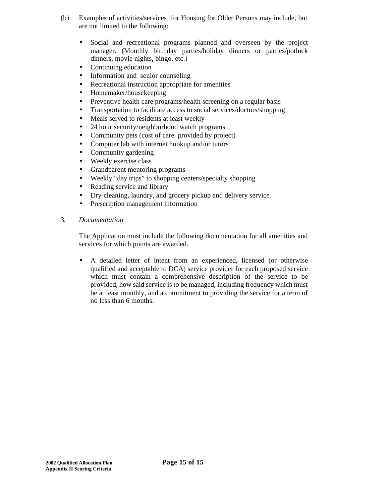- (b) Examples of activities/services for Housing for Older Persons may include, but are not limited to the following:
	- Social and recreational programs planned and overseen by the project manager. (Monthly birthday parties/holiday dinners or parties/potluck dinners, movie nights, bingo, etc.)
	- Continuing education
	- Information and senior counseling
	- Recreational instruction appropriate for amenities
	- Homemaker/housekeeping
	- Preventive health care programs/health screening on a regular basis
	- Transportation to facilitate access to social services/doctors/shopping
	- Meals served to residents at least weekly
	- 24 hour security/neighborhood watch programs
	- Community pets (cost of care provided by project)
	- Computer lab with internet hookup and/or tutors
	- Community gardening
	- Weekly exercise class
	- Grandparent mentoring programs
	- Weekly "day trips" to shopping centers/specialty shopping
	- Reading service and library
	- Dry-cleaning, laundry, and grocery pickup and delivery service.
	- Prescription management information

### 3. *Documentation*

The Application must include the following documentation for all amenities and services for which points are awarded.

• A detailed letter of intent from an experienced, licensed (or otherwise qualified and acceptable to DCA) service provider for each proposed service which must contain a comprehensive description of the service to be provided, how said service is to be managed, including frequency which must be at least monthly, and a commitment to providing the service for a term of no less than 6 months.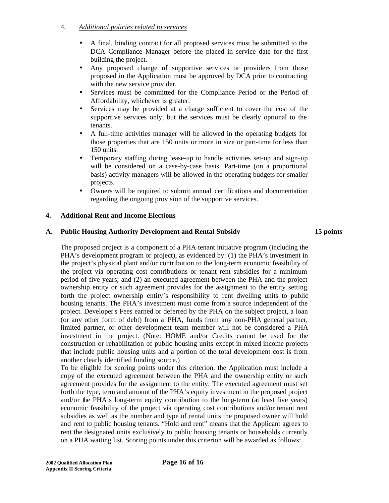# 4. *Additional policies related to services*

- A final, binding contract for all proposed services must be submitted to the DCA Compliance Manager before the placed in service date for the first building the project.
- Any proposed change of supportive services or providers from those proposed in the Application must be approved by DCA prior to contracting with the new service provider.
- Services must be committed for the Compliance Period or the Period of Affordability, whichever is greater.
- Services may be provided at a charge sufficient to cover the cost of the supportive services only, but the services must be clearly optional to the tenants.
- A full-time activities manager will be allowed in the operating budgets for those properties that are 150 units or more in size or part-time for less than 150 units.
- Temporary staffing during lease-up to handle activities set-up and sign-up will be considered on a case-by-case basis. Part-time (on a proportional basis) activity managers will be allowed in the operating budgets for smaller projects.
- Owners will be required to submit annual certifications and documentation regarding the ongoing provision of the supportive services.

## **4. Additional Rent and Income Elections**

## **A. Public Housing Authority Development and Rental Subsidy 15 points**

The proposed project is a component of a PHA tenant initiative program (including the PHA's development program or project), as evidenced by: (1) the PHA's investment in the project's physical plant and/or contribution to the long-term economic feasibility of the project via operating cost contributions or tenant rent subsidies for a minimum period of five years; and (2) an executed agreement between the PHA and the project ownership entity or such agreement provides for the assignment to the entity setting forth the project ownership entity's responsibility to rent dwelling units to public housing tenants. The PHA's investment must come from a source independent of the project. Developer's Fees earned or deferred by the PHA on the subject project, a loan (or any other form of debt) from a PHA, funds from any non-PHA general partner, limited partner, or other development team member will not be considered a PHA investment in the project. (Note: HOME and/or Credits cannot be used for the construction or rehabilitation of public housing units except in mixed income projects that include public housing units and a portion of the total development cost is from another clearly identified funding source.)

To be eligible for scoring points under this criterion, the Application must include a copy of the executed agreement between the PHA and the ownership entity or such agreement provides for the assignment to the entity. The executed agreement must set forth the type, term and amount of the PHA's equity investment in the proposed project and/or the PHA's long-term equity contribution to the long-term (at least five years) economic feasibility of the project via operating cost contributions and/or tenant rent subsidies as well as the number and type of rental units the proposed owner will hold and rent to public housing tenants. "Hold and rent" means that the Applicant agrees to rent the designated units exclusively to public housing tenants or households currently on a PHA waiting list. Scoring points under this criterion will be awarded as follows: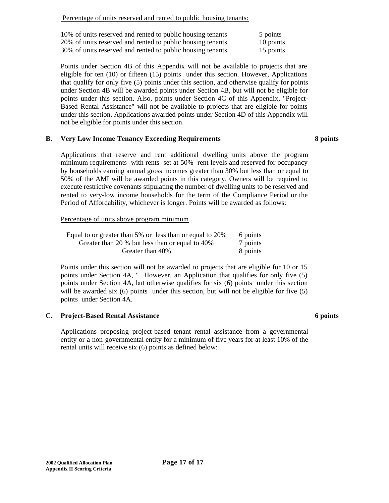| 10% of units reserved and rented to public housing tenants | 5 points  |
|------------------------------------------------------------|-----------|
| 20% of units reserved and rented to public housing tenants | 10 points |
| 30% of units reserved and rented to public housing tenants | 15 points |

Points under Section 4B of this Appendix will not be available to projects that are eligible for ten (10) or fifteen (15) points under this section. However, Applications that qualify for only five (5) points under this section, and otherwise qualify for points under Section 4B will be awarded points under Section 4B, but will not be eligible for points under this section. Also, points under Section 4C of this Appendix, "Project-Based Rental Assistance" will not be available to projects that are eligible for points under this section. Applications awarded points under Section 4D of this Appendix will not be eligible for points under this section.

#### **B. Very Low Income Tenancy Exceeding Requirements 8 points**

Applications that reserve and rent additional dwelling units above the program minimum requirements with rents set at 50% rent levels and reserved for occupancy by households earning annual gross incomes greater than 30% but less than or equal to 50% of the AMI will be awarded points in this category. Owners will be required to execute restrictive covenants stipulating the number of dwelling units to be reserved and rented to very-low income households for the term of the Compliance Period or the Period of Affordability, whichever is longer. Points will be awarded as follows:

Percentage of units above program minimum

| Equal to or greater than 5% or less than or equal to 20% | 6 points |
|----------------------------------------------------------|----------|
| Greater than 20 % but less than or equal to 40%          | 7 points |
| Greater than 40%                                         | 8 points |

Points under this section will not be awarded to projects that are eligible for 10 or 15 points under Section 4A, " However, an Application that qualifies for only five (5) points under Section 4A, but otherwise qualifies for six (6) points under this section will be awarded six (6) points under this section, but will not be eligible for five (5) points under Section 4A.

### **C. Project-Based Rental Assistance 6 points**

Applications proposing project-based tenant rental assistance from a governmental entity or a non-governmental entity for a minimum of five years for at least 10% of the rental units will receive six (6) points as defined below: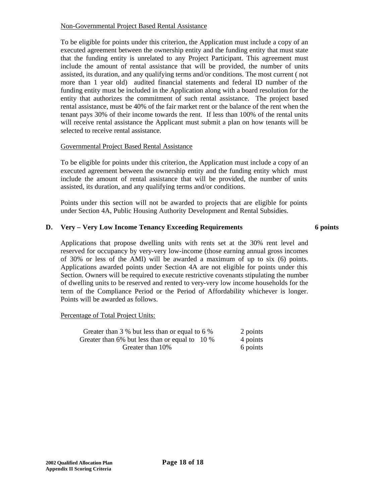### Non-Governmental Project Based Rental Assistance

To be eligible for points under this criterion, the Application must include a copy of an executed agreement between the ownership entity and the funding entity that must state that the funding entity is unrelated to any Project Participant. This agreement must include the amount of rental assistance that will be provided, the number of units assisted, its duration, and any qualifying terms and/or conditions. The most current ( not more than 1 year old) audited financial statements and federal ID number of the funding entity must be included in the Application along with a board resolution for the entity that authorizes the commitment of such rental assistance. The project based rental assistance, must be 40% of the fair market rent or the balance of the rent when the tenant pays 30% of their income towards the rent. If less than 100% of the rental units will receive rental assistance the Applicant must submit a plan on how tenants will be selected to receive rental assistance.

### Governmental Project Based Rental Assistance

To be eligible for points under this criterion, the Application must include a copy of an executed agreement between the ownership entity and the funding entity which must include the amount of rental assistance that will be provided, the number of units assisted, its duration, and any qualifying terms and/or conditions.

Points under this section will not be awarded to projects that are eligible for points under Section 4A, Public Housing Authority Development and Rental Subsidies.

# **D. Very – Very Low Income Tenancy Exceeding Requirements 6 points**

Applications that propose dwelling units with rents set at the 30% rent level and reserved for occupancy by very-very low-income (those earning annual gross incomes of 30% or less of the AMI) will be awarded a maximum of up to six (6) points. Applications awarded points under Section 4A are not eligible for points under this Section. Owners will be required to execute restrictive covenants stipulating the number of dwelling units to be reserved and rented to very-very low income households for the term of the Compliance Period or the Period of Affordability whichever is longer. Points will be awarded as follows.

### Percentage of Total Project Units:

| Greater than 3 % but less than or equal to 6 % | 2 points |
|------------------------------------------------|----------|
| Greater than 6% but less than or equal to 10 % | 4 points |
| Greater than 10%                               | 6 points |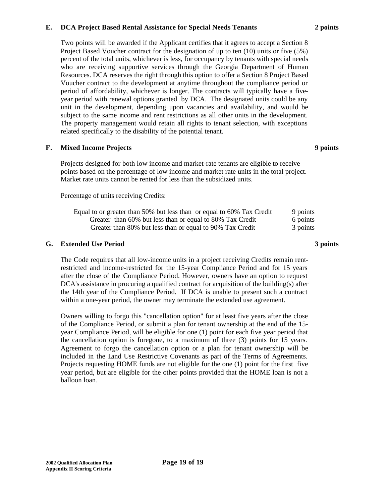#### **E. DCA Project Based Rental Assistance for Special Needs Tenants 2 points**

Two points will be awarded if the Applicant certifies that it agrees to accept a Section 8 Project Based Voucher contract for the designation of up to ten (10) units or five (5%) percent of the total units, whichever is less, for occupancy by tenants with special needs who are receiving supportive services through the Georgia Department of Human Resources. DCA reserves the right through this option to offer a Section 8 Project Based Voucher contract to the development at anytime throughout the compliance period or period of affordability, whichever is longer. The contracts will typically have a fiveyear period with renewal options granted by DCA. The designated units could be any unit in the development, depending upon vacancies and availability, and would be subject to the same income and rent restrictions as all other units in the development. The property management would retain all rights to tenant selection, with exceptions related specifically to the disability of the potential tenant.

#### **F. Mixed Income Projects 9 points**

Projects designed for both low income and market-rate tenants are eligible to receive points based on the percentage of low income and market rate units in the total project. Market rate units cannot be rented for less than the subsidized units.

#### Percentage of units receiving Credits:

| Equal to or greater than 50% but less than or equal to 60% Tax Credit | 9 points |
|-----------------------------------------------------------------------|----------|
| Greater than 60% but less than or equal to 80% Tax Credit             | 6 points |
| Greater than 80% but less than or equal to 90% Tax Credit             | 3 points |

#### **G. Extended Use Period 3 points**

The Code requires that all low-income units in a project receiving Credits remain rentrestricted and income-restricted for the 15-year Compliance Period and for 15 years after the close of the Compliance Period. However, owners have an option to request  $DCA's$  assistance in procuring a qualified contract for acquisition of the building(s) after the 14th year of the Compliance Period. If DCA is unable to present such a contract within a one-year period, the owner may terminate the extended use agreement.

Owners willing to forgo this "cancellation option" for at least five years after the close of the Compliance Period, or submit a plan for tenant ownership at the end of the 15 year Compliance Period, will be eligible for one (1) point for each five year period that the cancellation option is foregone, to a maximum of three (3) points for 15 years. Agreement to forgo the cancellation option or a plan for tenant ownership will be included in the Land Use Restrictive Covenants as part of the Terms of Agreements. Projects requesting HOME funds are not eligible for the one (1) point for the first five year period, but are eligible for the other points provided that the HOME loan is not a balloon loan.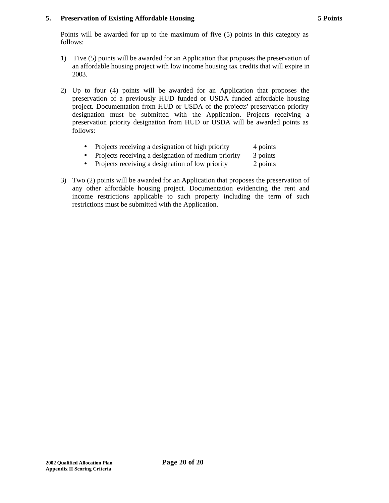### **5. Preservation of Existing Affordable Housing 5 Points**

Points will be awarded for up to the maximum of five (5) points in this category as follows:

- 1) Five (5) points will be awarded for an Application that proposes the preservation of an affordable housing project with low income housing tax credits that will expire in 2003.
- 2) Up to four (4) points will be awarded for an Application that proposes the preservation of a previously HUD funded or USDA funded affordable housing project. Documentation from HUD or USDA of the projects' preservation priority designation must be submitted with the Application. Projects receiving a preservation priority designation from HUD or USDA will be awarded points as follows:
	- Projects receiving a designation of high priority 4 points
	- Projects receiving a designation of medium priority 3 points
	- Projects receiving a designation of low priority 2 points
- 3) Two (2) points will be awarded for an Application that proposes the preservation of any other affordable housing project. Documentation evidencing the rent and income restrictions applicable to such property including the term of such restrictions must be submitted with the Application.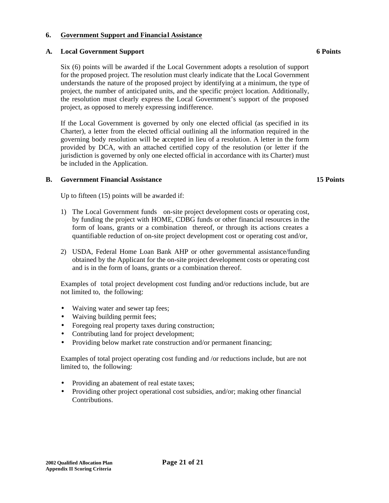## **6. Government Support and Financial Assistance**

### **A. Local Government Support 6 Points**

Six (6) points will be awarded if the Local Government adopts a resolution of support for the proposed project. The resolution must clearly indicate that the Local Government understands the nature of the proposed project by identifying at a minimum, the type of project, the number of anticipated units, and the specific project location. Additionally, the resolution must clearly express the Local Government's support of the proposed project, as opposed to merely expressing indifference.

If the Local Government is governed by only one elected official (as specified in its Charter), a letter from the elected official outlining all the information required in the governing body resolution will be accepted in lieu of a resolution. A letter in the form provided by DCA, with an attached certified copy of the resolution (or letter if the jurisdiction is governed by only one elected official in accordance with its Charter) must be included in the Application.

## **B. Government Financial Assistance 15 Points**

Up to fifteen (15) points will be awarded if:

- 1) The Local Government funds on-site project development costs or operating cost, by funding the project with HOME, CDBG funds or other financial resources in the form of loans, grants or a combination thereof, or through its actions creates a quantifiable reduction of on-site project development cost or operating cost and/or,
- 2) USDA, Federal Home Loan Bank AHP or other governmental assistance/funding obtained by the Applicant for the on-site project development costs or operating cost and is in the form of loans, grants or a combination thereof.

Examples of total project development cost funding and/or reductions include, but are not limited to, the following:

- Waiving water and sewer tap fees;
- Waiving building permit fees;
- Foregoing real property taxes during construction;
- Contributing land for project development;
- Providing below market rate construction and/or permanent financing;

Examples of total project operating cost funding and /or reductions include, but are not limited to, the following:

- Providing an abatement of real estate taxes;
- Providing other project operational cost subsidies, and/or; making other financial Contributions.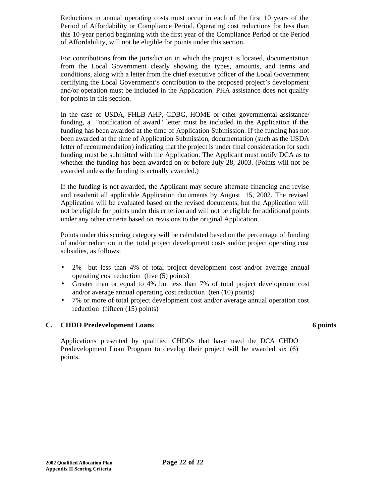Reductions in annual operating costs must occur in each of the first 10 years of the Period of Affordability or Compliance Period. Operating cost reductions for less than this 10-year period beginning with the first year of the Compliance Period or the Period of Affordability, will not be eligible for points under this section.

For contributions from the jurisdiction in which the project is located, documentation from the Local Government clearly showing the types, amounts, and terms and conditions, along with a letter from the chief executive officer of the Local Government certifying the Local Government's contribution to the proposed project's development and/or operation must be included in the Application. PHA assistance does not qualify for points in this section.

In the case of USDA, FHLB-AHP, CDBG, HOME or other governmental assistance/ funding, a "notification of award" letter must be included in the Application if the funding has been awarded at the time of Application Submission. If the funding has not been awarded at the time of Application Submission, documentation (such as the USDA letter of recommendation) indicating that the project is under final consideration for such funding must be submitted with the Application. The Applicant must notify DCA as to whether the funding has been awarded on or before July 28, 2003. (Points will not be awarded unless the funding is actually awarded.)

If the funding is not awarded, the Applicant may secure alternate financing and revise and resubmit all applicable Application documents by August 15, 2002. The revised Application will be evaluated based on the revised documents, but the Application will not be eligible for points under this criterion and will not be eligible for additional points under any other criteria based on revisions to the original Application.

Points under this scoring category will be calculated based on the percentage of funding of and/or reduction in the total project development costs and/or project operating cost subsidies, as follows:

- 2% but less than 4% of total project development cost and/or average annual operating cost reduction (five (5) points)
- Greater than or equal to 4% but less than 7% of total project development cost and/or average annual operating cost reduction (ten (10) points)
- 7% or more of total project development cost and/or average annual operation cost reduction (fifteen (15) points)

## **C. CHDO Predevelopment Loans 6 points**

Applications presented by qualified CHDOs that have used the DCA CHDO Predevelopment Loan Program to develop their project will be awarded six (6) points.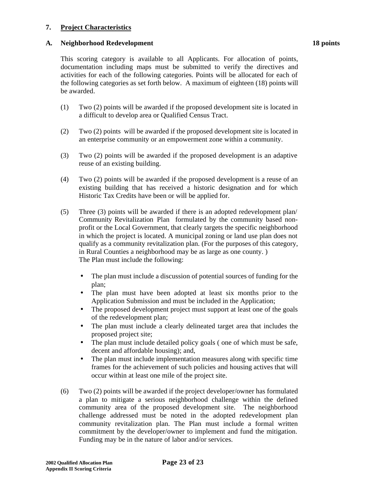#### **7. Project Characteristics**

#### **A. Neighborhood Redevelopment 18 points**

This scoring category is available to all Applicants. For allocation of points, documentation including maps must be submitted to verify the directives and activities for each of the following categories. Points will be allocated for each of the following categories as set forth below. A maximum of eighteen (18) points will be awarded.

- (1) Two (2) points will be awarded if the proposed development site is located in a difficult to develop area or Qualified Census Tract.
- (2) Two (2) points will be awarded if the proposed development site is located in an enterprise community or an empowerment zone within a community.
- (3) Two (2) points will be awarded if the proposed development is an adaptive reuse of an existing building.
- (4) Two (2) points will be awarded if the proposed development is a reuse of an existing building that has received a historic designation and for which Historic Tax Credits have been or will be applied for.
- (5) Three (3) points will be awarded if there is an adopted redevelopment plan/ Community Revitalization Plan formulated by the community based nonprofit or the Local Government, that clearly targets the specific neighborhood in which the project is located. A municipal zoning or land use plan does not qualify as a community revitalization plan. (For the purposes of this category, in Rural Counties a neighborhood may be as large as one county. ) The Plan must include the following:
	- The plan must include a discussion of potential sources of funding for the plan;
	- The plan must have been adopted at least six months prior to the Application Submission and must be included in the Application;
	- The proposed development project must support at least one of the goals of the redevelopment plan;
	- The plan must include a clearly delineated target area that includes the proposed project site;
	- The plan must include detailed policy goals (one of which must be safe, decent and affordable housing); and,
	- The plan must include implementation measures along with specific time frames for the achievement of such policies and housing actives that will occur within at least one mile of the project site.
- (6) Two (2) points will be awarded if the project developer/owner has formulated a plan to mitigate a serious neighborhood challenge within the defined community area of the proposed development site. The neighborhood challenge addressed must be noted in the adopted redevelopment plan community revitalization plan. The Plan must include a formal written commitment by the developer/owner to implement and fund the mitigation. Funding may be in the nature of labor and/or services.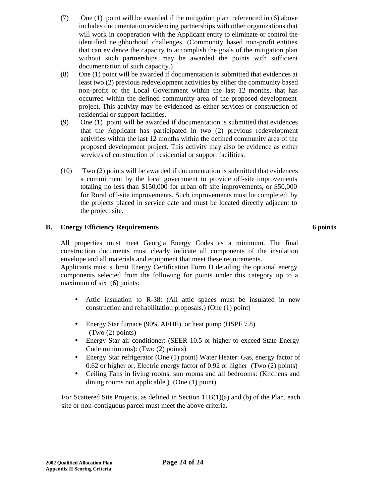- (7) One (1) point will be awarded if the mitigation plan referenced in (6) above includes documentation evidencing partnerships with other organizations that will work in cooperation with the Applicant entity to eliminate or control the identified neighborhood challenges. (Community based non-profit entities that can evidence the capacity to accomplish the goals of the mitigation plan without such partnerships may be awarded the points with sufficient documentation of such capacity.)
- (8) One (1) point will be awarded if documentation is submitted that evidences at least two (2) previous redevelopment activities by either the community based non-profit or the Local Government within the last 12 months, that has occurred within the defined community area of the proposed development project. This activity may be evidenced as either services or construction of residential or support facilities.
- (9) One (1) point will be awarded if documentation is submitted that evidences that the Applicant has participated in two (2) previous redevelopment activities within the last 12 months within the defined community area of the proposed development project. This activity may also be evidence as either services of construction of residential or support facilities.
- (10) Two (2) points will be awarded if documentation is submitted that evidences a commitment by the local government to provide off-site improvements totaling no less than \$150,000 for urban off site improvements, or \$50,000 for Rural off-site improvements. Such improvements must be completed by the projects placed in service date and must be located directly adjacent to the project site.

## **B. Energy Efficiency Requirements 6 points**

All properties must meet Georgia Energy Codes as a minimum. The final construction documents must clearly indicate all components of the insulation envelope and all materials and equipment that meet these requirements.

Applicants must submit Energy Certification Form D detailing the optional energy components selected from the following for points under this category up to a maximum of six (6) points:

- Attic insulation to R-38: (All attic spaces must be insulated in new construction and rehabilitation proposals.) (One (1) point)
- Energy Star furnace (90% AFUE), or heat pump (HSPF 7.8) (Two (2) points)
- Energy Star air conditioner: (SEER 10.5 or higher to exceed State Energy Code minimums): (Two (2) points)
- Energy Star refrigerator (One (1) point) Water Heater: Gas, energy factor of 0.62 or higher or, Electric energy factor of 0.92 or higher (Two (2) points)
- Ceiling Fans in living rooms, sun rooms and all bedrooms: (Kitchens and dining rooms not applicable.) (One (1) point)

For Scattered Site Projects, as defined in Section 11B(1)(a) and (b) of the Plan, each site or non-contiguous parcel must meet the above criteria.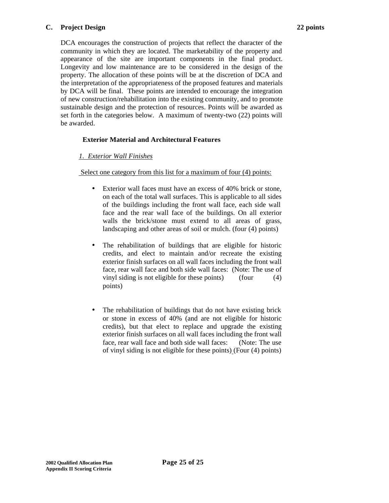### **C. Project Design 22 points**

DCA encourages the construction of projects that reflect the character of the community in which they are located. The marketability of the property and appearance of the site are important components in the final product. Longevity and low maintenance are to be considered in the design of the property. The allocation of these points will be at the discretion of DCA and the interpretation of the appropriateness of the proposed features and materials by DCA will be final. These points are intended to encourage the integration of new construction/rehabilitation into the existing community, and to promote sustainable design and the protection of resources. Points will be awarded as set forth in the categories below. A maximum of twenty-two (22) points will be awarded.

# **Exterior Material and Architectural Features**

## *1. Exterior Wall Finishes*

Select one category from this list for a maximum of four (4) points:

- Exterior wall faces must have an excess of 40% brick or stone, on each of the total wall surfaces. This is applicable to all sides of the buildings including the front wall face, each side wall face and the rear wall face of the buildings. On all exterior walls the brick/stone must extend to all areas of grass, landscaping and other areas of soil or mulch. (four (4) points)
- The rehabilitation of buildings that are eligible for historic credits, and elect to maintain and/or recreate the existing exterior finish surfaces on all wall faces including the front wall face, rear wall face and both side wall faces: (Note: The use of vinyl siding is not eligible for these points) (four (4) points)
- The rehabilitation of buildings that do not have existing brick or stone in excess of 40% (and are not eligible for historic credits), but that elect to replace and upgrade the existing exterior finish surfaces on all wall faces including the front wall face, rear wall face and both side wall faces: (Note: The use of vinyl siding is not eligible for these points) (Four (4) points)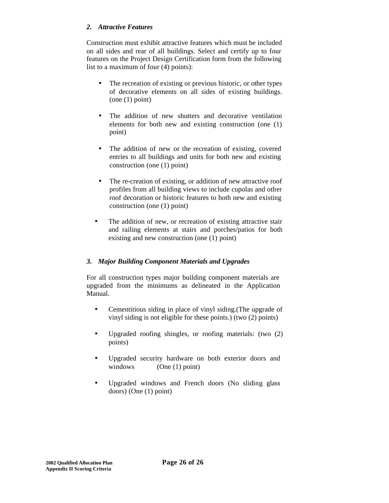## *2. Attractive Features*

Construction must exhibit attractive features which must be included on all sides and rear of all buildings. Select and certify up to four features on the Project Design Certification form from the following list to a maximum of four (4) points):

- The recreation of existing or previous historic, or other types of decorative elements on all sides of existing buildings. (one (1) point)
- The addition of new shutters and decorative ventilation elements for both new and existing construction (one (1) point)
- The addition of new or the recreation of existing, covered entries to all buildings and units for both new and existing construction (one (1) point)
- The re-creation of existing, or addition of new attractive roof profiles from all building views to include cupolas and other roof decoration or historic features to both new and existing construction (one (1) point)
- The addition of new, or recreation of existing attractive stair and railing elements at stairs and porches/patios for both existing and new construction (one (1) point)

## *3. Major Building Component Materials and Upgrades*

For all construction types major building component materials are upgraded from the minimums as delineated in the Application Manual.

- Cementitious siding in place of vinyl siding. (The upgrade of vinyl siding is not eligible for these points.) (two (2) points)
- Upgraded roofing shingles, or roofing materials: (two (2) points)
- Upgraded security hardware on both exterior doors and windows (One (1) point)
- Upgraded windows and French doors (No sliding glass doors) (One (1) point)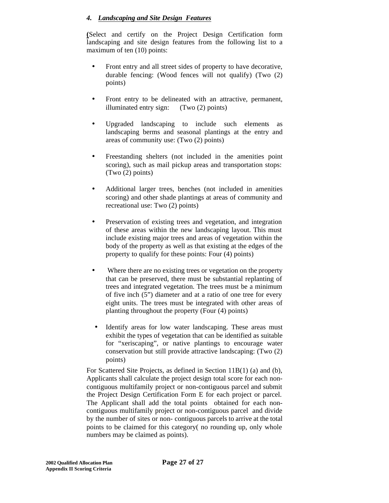## *4. Landscaping and Site Design Features*

**(**Select and certify on the Project Design Certification form landscaping and site design features from the following list to a maximum of ten (10) points:

- Front entry and all street sides of property to have decorative, durable fencing: (Wood fences will not qualify) (Two (2) points)
- Front entry to be delineated with an attractive, permanent, illuminated entry sign: (Two (2) points)
- Upgraded landscaping to include such elements as landscaping berms and seasonal plantings at the entry and areas of community use: (Two (2) points)
- Freestanding shelters (not included in the amenities point scoring), such as mail pickup areas and transportation stops: (Two (2) points)
- Additional larger trees, benches (not included in amenities scoring) and other shade plantings at areas of community and recreational use: Two (2) points)
- Preservation of existing trees and vegetation, and integration of these areas within the new landscaping layout. This must include existing major trees and areas of vegetation within the body of the property as well as that existing at the edges of the property to qualify for these points: Four (4) points)
- Where there are no existing trees or vegetation on the property that can be preserved, there must be substantial replanting of trees and integrated vegetation. The trees must be a minimum of five inch (5") diameter and at a ratio of one tree for every eight units. The trees must be integrated with other areas of planting throughout the property (Four (4) points)
- Identify areas for low water landscaping. These areas must exhibit the types of vegetation that can be identified as suitable for "xeriscaping", or native plantings to encourage water conservation but still provide attractive landscaping: (Two (2) points)

For Scattered Site Projects, as defined in Section 11B(1) (a) and (b), Applicants shall calculate the project design total score for each noncontiguous multifamily project or non-contiguous parcel and submit the Project Design Certification Form E for each project or parcel. The Applicant shall add the total points obtained for each noncontiguous multifamily project or non-contiguous parcel and divide by the number of sites or non- contiguous parcels to arrive at the total points to be claimed for this category( no rounding up, only whole numbers may be claimed as points).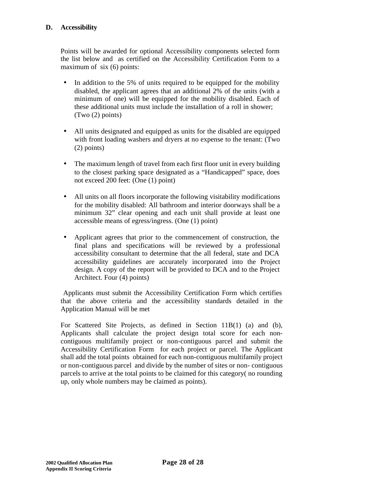## **D. Accessibility**

Points will be awarded for optional Accessibility components selected form the list below and as certified on the Accessibility Certification Form to a maximum of six (6) points:

- In addition to the 5% of units required to be equipped for the mobility disabled, the applicant agrees that an additional 2% of the units (with a minimum of one) will be equipped for the mobility disabled. Each of these additional units must include the installation of a roll in shower; (Two (2) points)
- All units designated and equipped as units for the disabled are equipped with front loading washers and dryers at no expense to the tenant: (Two (2) points)
- The maximum length of travel from each first floor unit in every building to the closest parking space designated as a "Handicapped" space, does not exceed 200 feet: (One (1) point)
- All units on all floors incorporate the following visitability modifications for the mobility disabled: All bathroom and interior doorways shall be a minimum 32" clear opening and each unit shall provide at least one accessible means of egress/ingress. (One (1) point)
- Applicant agrees that prior to the commencement of construction, the final plans and specifications will be reviewed by a professional accessibility consultant to determine that the all federal, state and DCA accessibility guidelines are accurately incorporated into the Project design. A copy of the report will be provided to DCA and to the Project Architect. Four (4) points)

 Applicants must submit the Accessibility Certification Form which certifies that the above criteria and the accessibility standards detailed in the Application Manual will be met

For Scattered Site Projects, as defined in Section 11B(1) (a) and (b), Applicants shall calculate the project design total score for each noncontiguous multifamily project or non-contiguous parcel and submit the Accessibility Certification Form for each project or parcel. The Applicant shall add the total points obtained for each non-contiguous multifamily project or non-contiguous parcel and divide by the number of sites or non- contiguous parcels to arrive at the total points to be claimed for this category( no rounding up, only whole numbers may be claimed as points).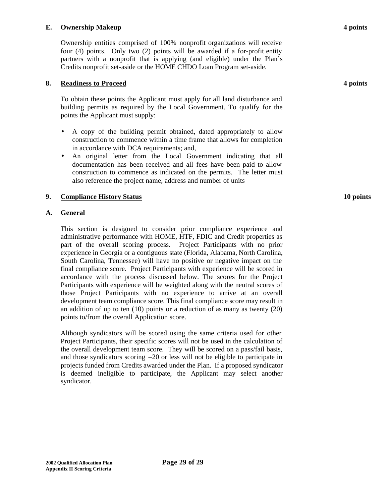#### **E. Ownership Makeup 4 points**

Ownership entities comprised of 100% nonprofit organizations will receive four (4) points. Only two (2) points will be awarded if a for-profit entity partners with a nonprofit that is applying (and eligible) under the Plan's Credits nonprofit set-aside or the HOME CHDO Loan Program set-aside.

#### **8. Readiness to Proceed 4 points**

To obtain these points the Applicant must apply for all land disturbance and building permits as required by the Local Government. To qualify for the points the Applicant must supply:

- A copy of the building permit obtained, dated appropriately to allow construction to commence within a time frame that allows for completion in accordance with DCA requirements; and,
- An original letter from the Local Government indicating that all documentation has been received and all fees have been paid to allow construction to commence as indicated on the permits. The letter must also reference the project name, address and number of units

#### **9. Compliance History Status 10 points**

#### **A. General**

This section is designed to consider prior compliance experience and administrative performance with HOME, HTF, FDIC and Credit properties as part of the overall scoring process. Project Participants with no prior experience in Georgia or a contiguous state (Florida, Alabama, North Carolina, South Carolina, Tennessee) will have no positive or negative impact on the final compliance score. Project Participants with experience will be scored in accordance with the process discussed below. The scores for the Project Participants with experience will be weighted along with the neutral scores of those Project Participants with no experience to arrive at an overall development team compliance score. This final compliance score may result in an addition of up to ten (10) points or a reduction of as many as twenty (20) points to/from the overall Application score.

Although syndicators will be scored using the same criteria used for other Project Participants, their specific scores will not be used in the calculation of the overall development team score. They will be scored on a pass/fail basis, and those syndicators scoring  $-20$  or less will not be eligible to participate in projects funded from Credits awarded under the Plan. If a proposed syndicator is deemed ineligible to participate, the Applicant may select another syndicator.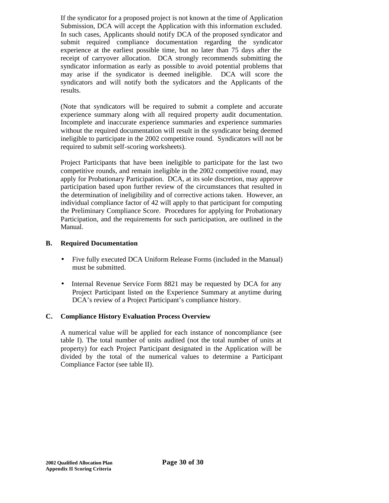If the syndicator for a proposed project is not known at the time of Application Submission, DCA will accept the Application with this information excluded. In such cases, Applicants should notify DCA of the proposed syndicator and submit required compliance documentation regarding the syndicator experience at the earliest possible time, but no later than 75 days after the receipt of carryover allocation. DCA strongly recommends submitting the syndicator information as early as possible to avoid potential problems that may arise if the syndicator is deemed ineligible. DCA will score the syndicators and will notify both the sydicators and the Applicants of the results.

(Note that syndicators will be required to submit a complete and accurate experience summary along with all required property audit documentation. Incomplete and inaccurate experience summaries and experience summaries without the required documentation will result in the syndicator being deemed ineligible to participate in the 2002 competitive round. Syndicators will not be required to submit self-scoring worksheets).

Project Participants that have been ineligible to participate for the last two competitive rounds, and remain ineligible in the 2002 competitive round, may apply for Probationary Participation. DCA, at its sole discretion, may approve participation based upon further review of the circumstances that resulted in the determination of ineligibility and of corrective actions taken. However, an individual compliance factor of 42 will apply to that participant for computing the Preliminary Compliance Score. Procedures for applying for Probationary Participation, and the requirements for such participation, are outlined in the Manual.

## **B. Required Documentation**

- Five fully executed DCA Uniform Release Forms (included in the Manual) must be submitted.
- Internal Revenue Service Form 8821 may be requested by DCA for any Project Participant listed on the Experience Summary at anytime during DCA's review of a Project Participant's compliance history.

#### **C. Compliance History Evaluation Process Overview**

A numerical value will be applied for each instance of noncompliance (see table I). The total number of units audited (not the total number of units at property) for each Project Participant designated in the Application will be divided by the total of the numerical values to determine a Participant Compliance Factor (see table II).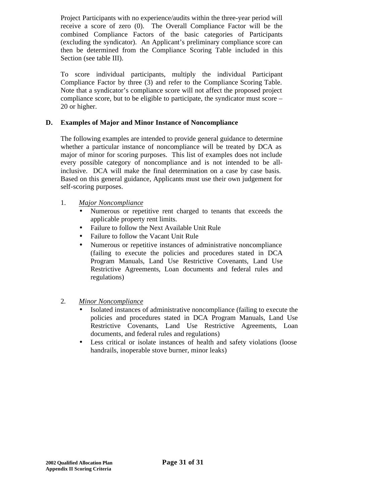Project Participants with no experience/audits within the three-year period will receive a score of zero (0). The Overall Compliance Factor will be the combined Compliance Factors of the basic categories of Participants (excluding the syndicator). An Applicant's preliminary compliance score can then be determined from the Compliance Scoring Table included in this Section (see table III).

To score individual participants, multiply the individual Participant Compliance Factor by three (3) and refer to the Compliance Scoring Table. Note that a syndicator's compliance score will not affect the proposed project compliance score, but to be eligible to participate, the syndicator must score – 20 or higher.

## **D. Examples of Major and Minor Instance of Noncompliance**

The following examples are intended to provide general guidance to determine whether a particular instance of noncompliance will be treated by DCA as major of minor for scoring purposes. This list of examples does not include every possible category of noncompliance and is not intended to be allinclusive. DCA will make the final determination on a case by case basis. Based on this general guidance, Applicants must use their own judgement for self-scoring purposes.

#### 1. *Major Noncompliance*

- Numerous or repetitive rent charged to tenants that exceeds the applicable property rent limits.
- Failure to follow the Next Available Unit Rule
- Failure to follow the Vacant Unit Rule
- Numerous or repetitive instances of administrative noncompliance (failing to execute the policies and procedures stated in DCA Program Manuals, Land Use Restrictive Covenants, Land Use Restrictive Agreements, Loan documents and federal rules and regulations)
- 2. *Minor Noncompliance*
	- Isolated instances of administrative noncompliance (failing to execute the policies and procedures stated in DCA Program Manuals, Land Use Restrictive Covenants, Land Use Restrictive Agreements, Loan documents, and federal rules and regulations)
	- Less critical or isolate instances of health and safety violations (loose handrails, inoperable stove burner, minor leaks)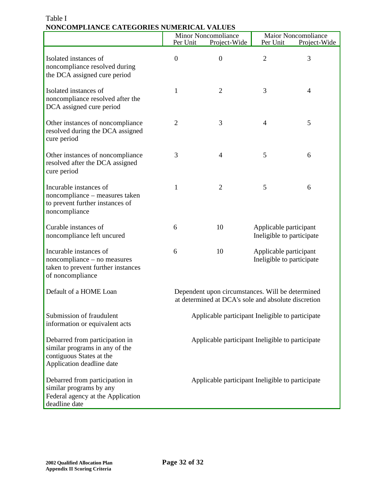|                                                                                                                           | Per Unit                                                                                                | Minor Noncompliance<br>Project-Wide              | Per Unit                                            | Maior Noncompliance<br>Project-Wide |
|---------------------------------------------------------------------------------------------------------------------------|---------------------------------------------------------------------------------------------------------|--------------------------------------------------|-----------------------------------------------------|-------------------------------------|
| Isolated instances of<br>noncompliance resolved during<br>the DCA assigned cure period                                    | $\theta$                                                                                                | $\theta$                                         | $\overline{2}$                                      | 3                                   |
| Isolated instances of<br>noncompliance resolved after the<br>DCA assigned cure period                                     | 1                                                                                                       | $\overline{2}$                                   | 3                                                   | $\overline{4}$                      |
| Other instances of noncompliance<br>resolved during the DCA assigned<br>cure period                                       | $\overline{2}$                                                                                          | 3                                                | $\overline{4}$                                      | 5                                   |
| Other instances of noncompliance<br>resolved after the DCA assigned<br>cure period                                        | 3                                                                                                       | $\overline{4}$                                   | 5                                                   | 6                                   |
| Incurable instances of<br>noncompliance - measures taken<br>to prevent further instances of<br>noncompliance              | 1                                                                                                       | $\overline{2}$                                   | 5                                                   | 6                                   |
| Curable instances of<br>noncompliance left uncured                                                                        | 6                                                                                                       | 10                                               | Applicable participant<br>Ineligible to participate |                                     |
| Incurable instances of<br>noncompliance – no measures<br>taken to prevent further instances<br>of noncompliance           | 6                                                                                                       | 10                                               | Applicable participant<br>Ineligible to participate |                                     |
| Default of a HOME Loan                                                                                                    | Dependent upon circumstances. Will be determined<br>at determined at DCA's sole and absolute discretion |                                                  |                                                     |                                     |
| Submission of fraudulent<br>information or equivalent acts                                                                | Applicable participant Ineligible to participate                                                        |                                                  |                                                     |                                     |
| Debarred from participation in<br>similar programs in any of the<br>contiguous States at the<br>Application deadline date |                                                                                                         | Applicable participant Ineligible to participate |                                                     |                                     |
| Debarred from participation in<br>similar programs by any<br>Federal agency at the Application<br>deadline date           |                                                                                                         | Applicable participant Ineligible to participate |                                                     |                                     |

# Table I **NONCOMPLIANCE CATEGORIES NUMERICAL VALUES**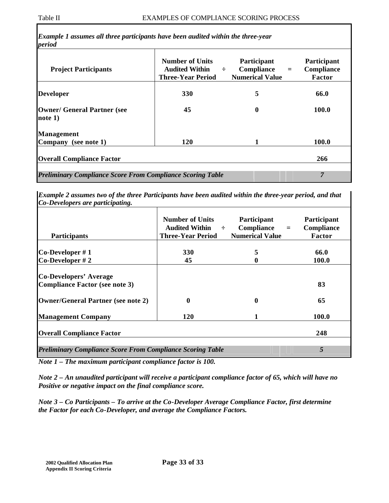| <b>330</b> | 5        | 66.0         |
|------------|----------|--------------|
| 45         | $\bf{0}$ | 100.0        |
|            |          |              |
| <b>120</b> | 1        | <b>100.0</b> |
|            |          |              |
|            |          |              |

*Example 2 assumes two of the three Participants have been audited within the three-year period, and that Co-Developers are participating.*

| <b>Participants</b>                                               | <b>Number of Units</b><br>Audited Within $\div$<br><b>Three-Year Period</b> | Participant<br>$Compliance =$<br><b>Numerical Value</b> | Participant<br>Compliance<br>Factor |
|-------------------------------------------------------------------|-----------------------------------------------------------------------------|---------------------------------------------------------|-------------------------------------|
|                                                                   | <b>330</b>                                                                  | 5                                                       | 66.0                                |
| $Co\text{-}Developer \#1$<br>$Co\text{-}Developer \# 2$           | 45                                                                          |                                                         | <b>100.0</b>                        |
|                                                                   |                                                                             |                                                         |                                     |
| <b>Co-Developers' Average</b>                                     |                                                                             |                                                         |                                     |
| <b>Compliance Factor (see note 3)</b>                             |                                                                             |                                                         | 83                                  |
| <b>Owner/General Partner (see note 2)</b>                         | 0                                                                           | 0                                                       | 65                                  |
| <b>Management Company</b>                                         | 120                                                                         |                                                         | 100.0                               |
| <b>Overall Compliance Factor</b>                                  |                                                                             |                                                         | 248                                 |
| <b>Preliminary Compliance Score From Compliance Scoring Table</b> |                                                                             |                                                         | 5                                   |

*Note 1 – The maximum participant compliance factor is 100.*

*Note 2 – An unaudited participant will receive a participant compliance factor of 65, which will have no Positive or negative impact on the final compliance score.*

*Note 3 – Co Participants – To arrive at the Co-Developer Average Compliance Factor, first determine the Factor for each Co-Developer, and average the Compliance Factors.*